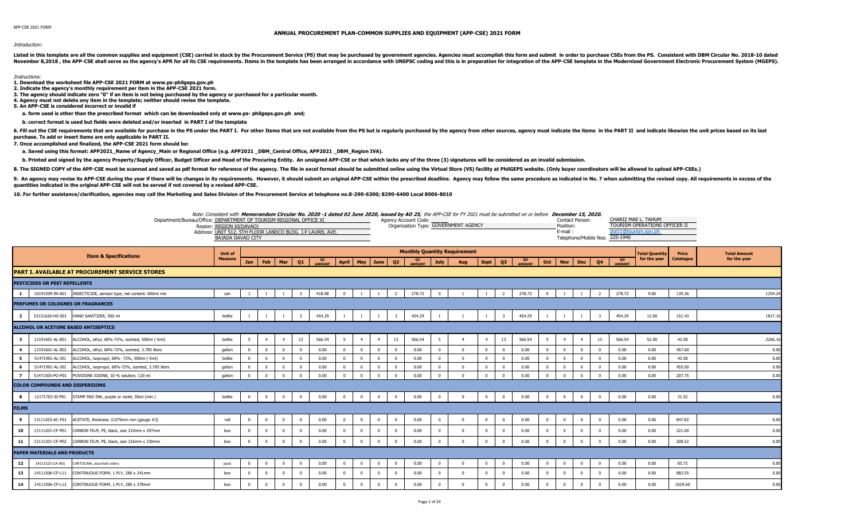## Introduction:

Listed in this template are all the common supplies and equipment (CSE) carried in stock by the Procurement Service (PS) that may be purchased by government agencies. Agencies must accomplish this form and submit in order November 8,2018, the APP-CSE shall serve as the agency's APR for all its CSE requirements. Items in the template has been arranged in accordance with UNSPSC coding and this is in preparation of the APP-CSE template in the

## Instructions:

- **1. Download the worksheet file APP-CSE 2021 FORM at www.ps-philgeps.gov.ph**
- **2. Indicate the agency's monthly requirement per item in the APP-CSE 2021 form.**
- **3. The agency should indicate zero "0" if an item is not being purchased by the agency or purchased for a particular month.**
- **4. Agency must not delete any item in the template; neither should revise the template.**
- **5. An APP-CSE is considered incorrect or invalid if**
- **a. form used is other than the prescribed format which can be downloaded only at www.ps- philgeps.gov.ph and;**
- **b. correct format is used but fields were deleted and/or inserted in PART I of the template**

6. Fill out the CSE requirements that are available for purchase in the PS under the PART I. For other Items that are not available from the PS but is regularly purchased by the agency from other sources, agency must indic **purchase. To add or insert items are only applicable in PART II.**

**7. Once accomplished and finalized, the APP-CSE 2021 form should be:**

a. Saved using this format: APP2021 Name of Agency Main or Regional Office (e.g. APP2021 DBM Central Office, APP2021 DBM Region IVA).

b. Printed and signed by the agency Property/Supply Officer, Budget Officer and Head of the Procuring Entity. An unsigned APP-CSE or that which lacks any of the three (3) signatures will be considered as an invalid submiss

8. The SIGNED COPY of the APP-CSE must be scanned and saved as pdf format for reference of the agency. The file in excel format should be submitted online using the Virtual Store (VS) facility at PhilGEPS website. (Only bu

9. An agency may revise its APP-CSE during the year if there will be changes in its requirements. However, it should submit an original APP-CSE within the prescribed deadline. Agency may follow the same procedure as indica **quantities indicated in the original APP-CSE will not be served if not covered by a revised APP-CSE.**

**10. For further assistance/clarification, agencies may call the Marketing and Sales Division of the Procurement Service at telephone no.8-290-6300; 8290-6400 Local 8006-8010**

|                               |                                        |                                                                                              | Note: Consistent with Memorandum Circular No. 2020 -1 dated 02 June 2020, issued by AO 25, the APP-CSE for FY 2021 must be submitted on or before December 15, 2020.<br>Department/Bureau/Office: DEPARTMENT OF TOURISM REGIONAL OFFICE XI<br>Region: REGION XI(DAVAO)<br>Address: UNIT 512, 5TH FLOOR LANDCO BLDG. J.P LAUREL AVE.<br><b>BAJADA DAVAO CITY</b> |                      |                      |                        |                         |                     |                      |                      |                      |                         | Agency Account Code:            |                         | Organization Type: GOVERNMENT AGENCY |          |                            |                     |                          | Contact Person:<br>Position:<br>E-mail: |                         | Telephone/Mobile Nos:   | 225-1940                        | CHARIZ MAE L. TAHUM<br>TOURISM OPERATIONS OFFICER II<br>dot11@tourism.gov.ph |                  |                     |
|-------------------------------|----------------------------------------|----------------------------------------------------------------------------------------------|-----------------------------------------------------------------------------------------------------------------------------------------------------------------------------------------------------------------------------------------------------------------------------------------------------------------------------------------------------------------|----------------------|----------------------|------------------------|-------------------------|---------------------|----------------------|----------------------|----------------------|-------------------------|---------------------------------|-------------------------|--------------------------------------|----------|----------------------------|---------------------|--------------------------|-----------------------------------------|-------------------------|-------------------------|---------------------------------|------------------------------------------------------------------------------|------------------|---------------------|
|                               |                                        | <b>Item &amp; Specifications</b>                                                             | <b>Unit of</b>                                                                                                                                                                                                                                                                                                                                                  |                      |                      |                        |                         |                     |                      |                      |                      |                         |                                 |                         | <b>Monthly Quantity Requirement</b>  |          |                            |                     |                          |                                         |                         |                         |                                 | <b>Total Ouantity</b>                                                        | Price            | <b>Total Amount</b> |
|                               |                                        |                                                                                              | <b>Measure</b>                                                                                                                                                                                                                                                                                                                                                  | Jan                  | Feb                  | Mar                    | Q1                      | Q1<br><b>AMOUNT</b> | <b>April</b>         | May                  | June                 | Q <sub>2</sub>          | Q <sub>2</sub><br><b>AMOUNT</b> | <b>July</b>             | Aug                                  | Sept     | Q <sub>3</sub>             | Q3<br><b>AMOUNT</b> | Oct                      | <b>Nov</b>                              | <b>Dec</b>              | Q <sub>4</sub>          | Q <sub>4</sub><br><b>AMOUNT</b> | for the year                                                                 | <b>Catalogue</b> | for the year        |
|                               |                                        | PART I. AVAILABLE AT PROCUREMENT SERVICE STORES                                              |                                                                                                                                                                                                                                                                                                                                                                 |                      |                      |                        |                         |                     |                      |                      |                      |                         |                                 |                         |                                      |          |                            |                     |                          |                                         |                         |                         |                                 |                                                                              |                  |                     |
|                               | PESTICIDES OR PEST REPELLENTS          |                                                                                              |                                                                                                                                                                                                                                                                                                                                                                 |                      |                      |                        |                         |                     |                      |                      |                      |                         |                                 |                         |                                      |          |                            |                     |                          |                                         |                         |                         |                                 |                                                                              |                  |                     |
|                               | 10191509-IN-A01                        | INSECTICIDE, aerosol type, net content: 600ml min                                            | can                                                                                                                                                                                                                                                                                                                                                             |                      |                      |                        |                         | 418.08              | $\Omega$             |                      |                      |                         | 278.72                          | $\overline{0}$          |                                      |          | $\overline{2}$             | 278.72              | $\overline{0}$           |                                         |                         | 2                       | 278.72                          | 9.00                                                                         | 139.36           | 1254.2              |
|                               |                                        | PERFUMES OR COLOGNES OR FRAGRANCES                                                           |                                                                                                                                                                                                                                                                                                                                                                 |                      |                      |                        |                         |                     |                      |                      |                      |                         |                                 |                         |                                      |          |                            |                     |                          |                                         |                         |                         |                                 |                                                                              |                  |                     |
| $\overline{2}$                | 53131626-HS-S01                        | HAND SANITIZER, 500 ml                                                                       | bottle                                                                                                                                                                                                                                                                                                                                                          |                      | <sup>1</sup>         |                        | $\overline{\mathbf{3}}$ | 454.29              |                      | $\overline{1}$       |                      | $\overline{\mathbf{3}}$ | 454.29                          |                         |                                      |          | $\overline{\mathbf{3}}$    | 454.29              | -1                       | 1                                       |                         | $\overline{\mathbf{3}}$ | 454.29                          | 12.00                                                                        | 151.43           | 1817.1              |
|                               |                                        | <b>ILCOHOL OR ACETONE BASED ANTISEPTICS</b>                                                  |                                                                                                                                                                                                                                                                                                                                                                 |                      |                      |                        |                         |                     |                      |                      |                      |                         |                                 |                         |                                      |          |                            |                     |                          |                                         |                         |                         |                                 |                                                                              |                  |                     |
|                               |                                        |                                                                                              |                                                                                                                                                                                                                                                                                                                                                                 |                      |                      |                        |                         |                     |                      |                      |                      |                         |                                 |                         |                                      |          |                            |                     |                          |                                         |                         |                         |                                 |                                                                              |                  |                     |
| $\overline{\mathbf{3}}$       | 12191601-AL-E01                        | ALCOHOL, ethyl, 68%-72%, scented, 500ml (-5ml)                                               | bottle                                                                                                                                                                                                                                                                                                                                                          | 5                    | $\overline{4}$       |                        | 13                      | 566.54              | -5                   | $\overline{4}$       |                      | 13                      | 566.54                          | 5                       |                                      |          | 13                         | 566.54              | $5\phantom{.0}$          | $\overline{4}$                          | $\overline{a}$          | 13                      | 566.54                          | 52.00                                                                        | 43.58            | 2266.1              |
| $\overline{\mathbf{4}}$       | 12191601-AL-E02                        | ALCOHOL, ethyl, 68%-72%, scented, 3.785 liters                                               | gallon                                                                                                                                                                                                                                                                                                                                                          | $\Omega$             | $\Omega$             | $\sqrt{ }$             | $\Omega$                | 0.00                | $\Omega$             | $\Omega$             | $\Omega$             | $\Omega$                | 0.00                            | $\overline{0}$          | $\Omega$                             |          | $\Omega$                   | 0.00                | $\overline{0}$           | $\mathbf{0}$                            | $\Omega$                | $\Omega$                | 0.00                            | 0.00                                                                         | 457.60           | 0.00                |
| 5                             | 51471901-AL-I01                        | ALCOHOL, isopropyl, 68%- 72%, 500ml (-5ml)                                                   | bottle                                                                                                                                                                                                                                                                                                                                                          | $\Omega$             | $\overline{0}$       | $\Omega$               | $\Omega$                | 0.00                | $\Omega$             | $\Omega$             | $\overline{0}$       | $\Omega$                | 0.00                            | $\overline{0}$          | $\Omega$                             | $\Omega$ | $\overline{0}$             | 0.00                | $\overline{0}$           | $\overline{0}$                          | $\overline{0}$          | $\Omega$                | 0.00                            | 0.00                                                                         | 43.58            | 0.00                |
| 6<br>$\overline{\phantom{a}}$ | 51471901-AL-I02<br>51471505-PO-P01     | ALCOHOL, isopropyl, 68%-72%, scented, 3.785 liters<br>POVIDONE IODINE, 10 % solution, 120 ml | qallon<br><b>gallon</b>                                                                                                                                                                                                                                                                                                                                         | $\Omega$<br>$\Omega$ | $\Omega$<br>$\Omega$ | $\Omega$<br>$\sqrt{ }$ | $\Omega$<br>$\Omega$    | 0.00<br>0.00        | $\Omega$<br>$\Omega$ | $\Omega$<br>$\Omega$ | $\Omega$<br>$\Omega$ | $\Omega$<br>$\Omega$    | 0.00<br>0.00                    | $\Omega$<br>$\Omega$    | $\Omega$<br>$\Omega$                 | $\Omega$ | $\Omega$<br>$\overline{0}$ | 0.00<br>0.00        | $\mathbf{0}$<br>$\Omega$ | $\Omega$<br>$\Omega$                    | $\Omega$<br>$\Omega$    | $\Omega$<br>$\sqrt{ }$  | 0.00<br>0.00                    | 0.00<br>0.00                                                                 | 455.00<br>207.75 | 0.00<br>0.00        |
|                               | <b>COLOR COMPOUNDS AND DISPERSIONS</b> |                                                                                              |                                                                                                                                                                                                                                                                                                                                                                 |                      |                      |                        |                         |                     |                      |                      |                      |                         |                                 |                         |                                      |          |                            |                     |                          |                                         |                         |                         |                                 |                                                                              |                  |                     |
|                               |                                        |                                                                                              |                                                                                                                                                                                                                                                                                                                                                                 |                      |                      | $\Omega$               |                         |                     |                      |                      |                      |                         |                                 |                         | $\Omega$                             |          |                            |                     |                          |                                         |                         | $\sqrt{ }$              |                                 |                                                                              |                  |                     |
| -8                            | 12171703-SI-P01                        | STAMP PAD INK, purple or violet, 50ml (min.)                                                 | bottle                                                                                                                                                                                                                                                                                                                                                          | $\Omega$             | $\Omega$             |                        | $\Omega$                | 0.00                | $\Omega$             | $\Omega$             | $\Omega$             | $\mathbf{0}$            | 0.00                            | $\Omega$                |                                      | $\Omega$ | $\overline{0}$             | 0.00                | $\overline{0}$           | $\overline{0}$                          | $\overline{0}$          |                         | 0.00                            | 0.00                                                                         | 31.52            | 0.00                |
| <b>FILMS</b>                  |                                        |                                                                                              |                                                                                                                                                                                                                                                                                                                                                                 |                      |                      |                        |                         |                     |                      |                      |                      |                         |                                 |                         |                                      |          |                            |                     |                          |                                         |                         |                         |                                 |                                                                              |                  |                     |
| 9                             | 13111203-AC-F01                        | ACETATE, thickness: 0.075mm min (gauge #3)                                                   | roll                                                                                                                                                                                                                                                                                                                                                            | $\Omega$             | $\overline{0}$       | $\Omega$               | $\overline{\mathbf{0}}$ | 0.00                | $\Omega$             | $\overline{0}$       | $\overline{0}$       | $\mathbf{0}$            | 0.00                            | $\overline{0}$          | $\Omega$                             | $\Omega$ | $\overline{0}$             | 0.00                | $\overline{0}$           | $\overline{0}$                          | $\overline{\mathbf{0}}$ | $\Omega$                | 0.00                            | 0.00                                                                         | 847.82           | 0.00                |
| 10                            | 13111201-CF-P01                        | CARBON FILM, PE, black, size 210mm x 297mm                                                   | box                                                                                                                                                                                                                                                                                                                                                             | $\Omega$             | $\overline{0}$       |                        |                         | 0.00                | $\Omega$             | $\Omega$             | $\Omega$             | $\Omega$                | 0.00                            | $\Omega$                |                                      |          | $\Omega$                   | 0.00                | $\Omega$                 | $\Omega$                                | $\Omega$                |                         | 0.00                            | 0.00                                                                         | 221.00           | 0.00                |
| 11                            | 13111201-CF-P02                        | CARBON FILM, PE, black, size 216mm x 330mm                                                   | box                                                                                                                                                                                                                                                                                                                                                             | $\Omega$             | $\Omega$             | $\sqrt{ }$             | $\Omega$                | 0.00                | $\Omega$             | $\Omega$             | $\overline{0}$       | $\mathbf{0}$            | 0.00                            | $\Omega$                | $\Omega$                             |          | $\Omega$                   | 0.00                | $\overline{0}$           | $\overline{0}$                          | $\Omega$                | $\sqrt{ }$              | 0.00                            | 0.00                                                                         | 208.52           | 0.00                |
|                               | PAPER MATERIALS AND PRODUCTS           |                                                                                              |                                                                                                                                                                                                                                                                                                                                                                 |                      |                      |                        |                         |                     |                      |                      |                      |                         |                                 |                         |                                      |          |                            |                     |                          |                                         |                         |                         |                                 |                                                                              |                  |                     |
| 12                            | 14111525-CA-A01                        | CARTOLINA, assorted colors                                                                   | pack                                                                                                                                                                                                                                                                                                                                                            |                      | $\Omega$             | $\Omega$               | $\Omega$                | 0.00                | $\Omega$             | $\Omega$             | $\Omega$             | $\Omega$                | 0.00                            | $\overline{0}$          | $\Omega$                             |          | $\Omega$                   | 0.00                | $\overline{0}$           | $\Omega$                                | $\Omega$                | $\Omega$                | 0.00                            | 0.00                                                                         | 83.72            | 0.00                |
| 13                            | 14111506-CF-L11                        | CONTINUOUS FORM, 1 PLY, 280 x 241mm                                                          | box                                                                                                                                                                                                                                                                                                                                                             |                      | $\Omega$             |                        | $\Omega$                | 0.00                | $\Omega$             | $\Omega$             | $\Omega$             | $\Omega$                | 0.00                            | $\Omega$                | $\Omega$                             |          | $\Omega$                   | 0.00                | $\overline{0}$           | $\mathbf{0}$                            | $\Omega$                |                         | 0.00                            | 0.00                                                                         | 882.55           | 0.00                |
| 14                            | 14111506-CF-L12                        | CONTINUOUS FORM, 1 PLY, 280 x 378mm                                                          | box                                                                                                                                                                                                                                                                                                                                                             | $\Omega$             | $\overline{0}$       | $\Omega$               | $\Omega$                | 0.00                | $\Omega$             | $\Omega$             | $\overline{0}$       | $\overline{0}$          | 0.00                            | $\overline{\mathbf{0}}$ | $\Omega$                             |          | $\Omega$                   | 0.00                | $\overline{0}$           | $\mathbf{0}$                            | $\overline{0}$          |                         | 0.00                            | 0.00                                                                         | 1029.60          | 0.0                 |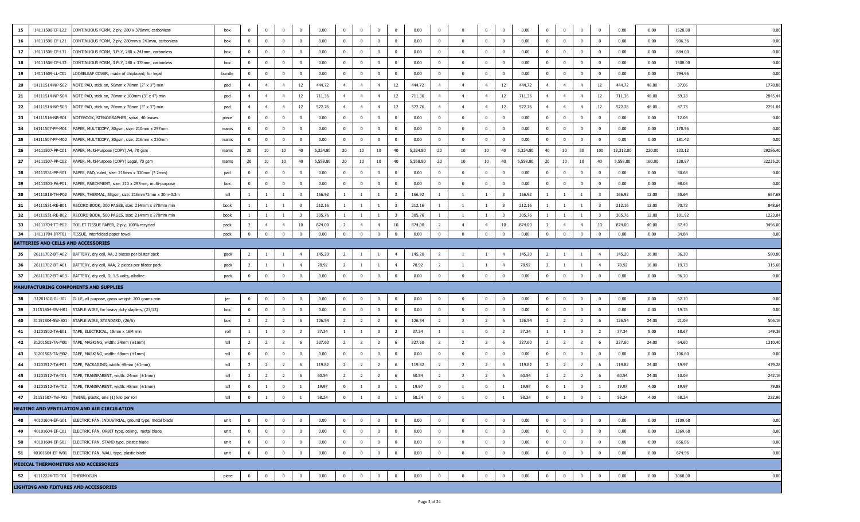| 15<br>14111506-CF-L22<br>CONTINUOUS FORM, 2 ply, 280 x 378mm, carbonless                                                                       | box          | $^{\circ}$        | $\mathbf{0}$                   | $\overline{0}$                 | $\mathbf 0$             | 0.00             | $^{\circ}$                     | $^{\circ}$                       |                                | $\overline{0}$                | 0.00             | $\mathbf 0$                    |                         | $\mathbf{0}$                   | $\overline{0}$                | 0.00             | $^{\circ}$                       | $\Omega$                       | $\mathbf{0}$         | $\mathbf{0}$                  | 0.00             | 0.00           | 1528.80         | 0.00             |
|------------------------------------------------------------------------------------------------------------------------------------------------|--------------|-------------------|--------------------------------|--------------------------------|-------------------------|------------------|--------------------------------|----------------------------------|--------------------------------|-------------------------------|------------------|--------------------------------|-------------------------|--------------------------------|-------------------------------|------------------|----------------------------------|--------------------------------|----------------------|-------------------------------|------------------|----------------|-----------------|------------------|
| 16<br>14111506-CF-L21<br>CONTINUOUS FORM, 2 ply, 280mm x 241mm, carbonless                                                                     | box          | $\Omega$          | $\mathbf{0}$                   | $\overline{0}$                 | $\mathbf{0}$            | 0.00             | $\overline{0}$                 | $\mathbf 0$                      | $\Omega$                       | $\overline{0}$                | 0.00             | $\bf{0}$                       | $\mathbf{0}$            | $\mathbf{0}$                   | $\overline{0}$                | 0.00             | $\overline{0}$                   | $\mathbf{0}$                   | $\mathbf{0}$         | $^{\circ}$                    | 0.00             | 0.00           | 906.36          | 0.00             |
| 17<br>14111506-CF-L31<br>CONTINUOUS FORM, 3 PLY, 280 x 241mm, carbonless                                                                       | box          | $\Omega$          | $\mathbf 0$                    | $\mathbf{0}$                   | $\mathbf 0$             | 0.00             | $\mathbf{0}$                   | $\mathbf{0}$                     |                                | $\overline{\mathbf{0}}$       | 0.00             | $\overline{0}$                 | $\Omega$                | $\mathbf{0}$                   | $\Omega$                      | 0.00             | $\overline{0}$                   | $\Omega$                       | $\mathbf 0$          | $^{\circ}$                    | 0.00             | 0.00           | 884.00          | 0.00             |
| 18<br>14111506-CF-L32<br>CONTINUOUS FORM, 3 PLY, 280 x 378mm, carbonless                                                                       | box          | $\mathbf 0$       | $\overline{0}$                 | $\overline{0}$                 | $\mathbf 0$             | 0.00             | $\overline{\mathbf{0}}$        | $\overline{0}$                   | $\bf{0}$                       | $\overline{\mathbf{0}}$       | 0.00             | $\bf{0}$                       | $\overline{\mathbf{0}}$ | $\overline{0}$                 | $\overline{\mathbf{0}}$       | 0.00             | $\bf{0}$                         | $\mathbf{0}$                   | $\bf{0}$             | $\overline{0}$                | 0.00             | 0.00           | 1508.00         | 0.00             |
| 19<br>14111609-LL-C01<br>LOOSELEAF COVER, made of chipboard, for legal                                                                         | bundle       | $\Omega$          | $\overline{0}$                 | $\mathbf{0}$                   | $\mathbf{0}$            | 0.00             | $\mathbf 0$                    | $\mathbf{0}$                     | $\Omega$                       | $\overline{0}$                | 0.00             | $\overline{0}$                 | $\Omega$                | $\overline{0}$                 | $\Omega$                      | 0.00             | $\overline{0}$                   | $\Omega$                       | $\mathbf{0}$         | $\mathbf{0}$                  | 0.00             | 0.00           | 794.96          | 0.00             |
| 20<br>14111514-NP-S02<br>NOTE PAD, stick on, 50mm x 76mm (2" x 3") min                                                                         | pad          | $\overline{4}$    | $\overline{4}$                 | $\overline{4}$                 | 12                      | 444.72           | 4 <sup>1</sup>                 | $\overline{4}$                   | $\overline{4}$                 | 12                            | 444.72           | $\overline{4}$                 | $\overline{4}$          | $\overline{4}$                 | 12                            | 444.72           | $\overline{4}$                   | $\overline{4}$                 | $\overline{4}$       | 12                            | 444.72           | 48.00          | 37.06           | 1778.8           |
| 21<br>14111514-NP-S04<br>NOTE PAD, stick on, 76mm x 100mm (3" x 4") min                                                                        | pad          | $\overline{4}$    | $\overline{4}$                 | $\overline{4}$                 | 12                      | 711.36           | $\overline{4}$                 | $\overline{4}$                   | $\overline{a}$                 | 12                            | 711.36           | $\overline{4}$                 | $\overline{4}$          | $\overline{4}$                 | 12                            | 711.36           | $\overline{4}$                   | $\overline{4}$                 | $\overline{4}$       | 12                            | 711.36           | 48.00          | 59.28           | 2845.4           |
| 22<br>14111514-NP-S03<br>NOTE PAD, stick on, 76mm x 76mm (3" x 3") min                                                                         | pad          | $\overline{4}$    | $\overline{4}$                 | $\overline{4}$                 | 12                      | 572.76           | 4                              | $\overline{4}$                   | $\overline{4}$                 | 12                            | 572.76           | $\overline{4}$                 | $\overline{4}$          | $\overline{4}$                 | 12                            | 572.76           | $\overline{4}$                   | $\overline{4}$                 | $\overline{4}$       | 12                            | 572.76           | 48.00          | 47.73           | 2291.0           |
| 23<br>14111514-NB-S01<br>NOTEBOOK, STENOGRAPHER, spiral, 40 leaves                                                                             | piece        | $\Omega$          | $\overline{0}$                 | $\overline{0}$                 | $\mathbf{0}$            | 0.00             | $\overline{0}$                 | $\mathbf 0$                      | $\Omega$                       | $\overline{0}$                | 0.00             | $\overline{0}$                 | $\overline{0}$          | $\overline{0}$                 | $\overline{\mathbf{0}}$       | 0.00             | $\mathbf 0$                      | $\mathbf{0}$                   | $\mathbf{0}$         | $\mathbf 0$                   | 0.00             | 0.00           | 12.04           | 0.00             |
| 24<br>14111507-PP-M01<br>PAPER, MULTICOPY, 80gsm, size: 210mm x 297mm                                                                          | reams        | $\mathbf{0}$      | $\mathbf 0$                    | $\mathbf{0}$                   | $\mathbf 0$             | 0.00             | $\mathbf{0}$                   | $\mathbf{0}$                     | $\Omega$                       | $\overline{0}$                | 0.00             | $\overline{0}$                 | $\overline{\mathbf{0}}$ | $\mathbf{0}$                   | $\overline{0}$                | 0.00             | $\mathbf 0$                      | $\Omega$                       | $\mathbf 0$          | $\mathbf{0}$                  | 0.00             | 0.00           | 170.56          | 0.00             |
| 25<br>14111507-PP-M02<br>PAPER, MULTICOPY, 80gsm, size: 216mm x 330mm                                                                          | reams        | $\bf{0}$          | $\overline{0}$                 | $\overline{0}$                 | $\mathbf{0}$            | 0.00             | $\overline{0}$                 | $\overline{0}$                   | $\mathbf{0}$                   | $\overline{\mathbf{0}}$       | 0.00             | $\bf{0}$                       | $\overline{\mathbf{0}}$ | $\overline{0}$                 | $\overline{\mathbf{0}}$       | 0.00             | $\overline{0}$                   | $\Omega$                       | $\overline{0}$       | $\mathbf{0}$                  | 0.00             | 0.00           | 181.42          | 0.00             |
| 26<br>14111507-PP-C01<br>PAPER, Multi-Purpose (COPY) A4, 70 gsm                                                                                | reams        | 20                | 10                             | 10                             | 40                      | 5,324.80         | 20                             | 10                               | 10                             | 40                            | 5,324.80         | 20                             | 10                      | 10                             | 40                            | 5,324.80         | 40                               | 30                             | 30                   | 100                           | 13,312.00        | 220.00         | 133.12          | 29286.4          |
| 27                                                                                                                                             |              |                   | 10                             | 10                             | 40                      |                  | 20                             |                                  |                                | 40                            |                  | 20                             | 10                      | 10                             | 40                            |                  |                                  |                                | 10                   | 40                            |                  |                | 138.97          |                  |
| 14111507-PP-C02<br>PAPER, Multi-Purpose (COPY) Legal, 70 gsm                                                                                   | reams        | 20                |                                |                                |                         | 5,558.80         |                                | 10                               | 10                             |                               | 5,558.80         |                                | $\Omega$                |                                | $\Omega$                      | 5,558.80         | 20                               | 10                             |                      |                               | 5,558.80         | 160.00         |                 | 22235.2          |
| 28<br>14111531-PP-R01<br>PAPER, PAD, ruled, size: 216mm x 330mm (? 2mm)                                                                        | pad          | $\mathbf{0}$      | $\overline{0}$                 | $\mathbf{0}$                   | $\Omega$                | 0.00             | $\overline{\mathbf{0}}$        | $\mathbf 0$                      | $\Omega$                       | $\overline{\mathbf{0}}$       | 0.00             | $\overline{\mathbf{0}}$        |                         | $\mathbf{0}$                   |                               | 0.00             | $\mathbf 0$                      | $\Omega$                       | $\mathbf{0}$         | $\mathbf{0}$                  | 0.00             | 0.00           | 30.68           | 0.00             |
| 29<br>14111503-PA-P01<br>PAPER, PARCHMENT, size: 210 x 297mm, multi-purpose                                                                    | box          | $^{\circ}$        | $\overline{0}$                 | $\mathbf{0}$                   | $\mathbf{0}$            | 0.00             | $\overline{0}$                 | $\bf{0}$                         | $\Omega$                       | $\overline{\mathbf{0}}$       | 0.00             | $\overline{\mathbf{0}}$        | $\overline{0}$          | $\overline{0}$                 | $\overline{0}$                | 0.00             | $\overline{0}$                   | $^{\circ}$                     | $\bf{0}$             | $^{\circ}$                    | 0.00             | 0.00           | 98.05           | 0.00             |
| 30<br>14111818-TH-P02<br>PAPER, THERMAL, 55gsm, size: 216mm?1mm x 30m-0.3m                                                                     | roll         | $\mathbf{1}$      | $\overline{1}$                 | <sup>1</sup>                   | -3                      | 166.92           | $\overline{1}$                 | 1                                | $\overline{1}$                 | $\overline{\mathbf{3}}$       | 166.92           | -1                             | $\overline{1}$          | $\mathbf{1}$                   | $\overline{\mathbf{3}}$       | 166.92           |                                  | $\overline{1}$                 | 1                    | $\overline{\mathbf{3}}$       | 166.92           | 12.00          | 55.64           | 667.6            |
| 31<br>14111531-RE-B01<br>RECORD BOOK, 300 PAGES, size: 214mm x 278mm min                                                                       | book         | $\mathbf{1}$      | <sup>1</sup>                   | $\mathbf{1}$                   | $\overline{\mathbf{3}}$ | 212.16           | $\mathbf{1}$                   | $\mathbf{1}$                     | $\overline{1}$                 | $\overline{\mathbf{3}}$       | 212.16           | <sup>1</sup>                   | <sup>1</sup>            | $\mathbf{1}$                   | $\overline{\mathbf{3}}$       | 212.16           | $\mathbf{1}$                     | $\overline{1}$                 | $\mathbf{1}$         | $\overline{\mathbf{3}}$       | 212.16           | 12.00          | 70.72           | 848.6            |
| 32<br>14111531-RE-B02<br>RECORD BOOK, 500 PAGES, size: 214mm x 278mm min<br>33<br>14111704-TT-P02<br>TOILET TISSUE PAPER, 2-ply, 100% recycled | book<br>pack | $\mathbf{1}$<br>2 | $\mathbf{1}$<br>$\overline{4}$ | $\mathbf{1}$<br>$\overline{4}$ | 3<br>10                 | 305.76<br>874.00 | $\mathbf{1}$<br>$\overline{2}$ | $\overline{1}$<br>$\overline{4}$ | <sup>1</sup><br>$\overline{4}$ | $\overline{\mathbf{3}}$<br>10 | 305.76<br>874.00 | <sup>1</sup><br>$\overline{2}$ | - 1<br>$\overline{4}$   | $\mathbf{1}$<br>$\overline{4}$ | $\overline{\mathbf{3}}$<br>10 | 305.76<br>874.00 | $\overline{1}$<br>$\overline{2}$ | $\mathbf{1}$<br>$\overline{4}$ | -1<br>$\overline{4}$ | $\overline{\mathbf{3}}$<br>10 | 305.76<br>874.00 | 12.00<br>40.00 | 101.92<br>87.40 | 1223.0<br>3496.0 |
| 34<br>14111704-IFPT01<br>TISSUE, interfolded paper towel                                                                                       | pack         | $\mathbf{0}$      | $\overline{0}$                 | $\mathbf{0}$                   | $\bf{0}$                | 0.00             | $\overline{0}$                 | $\overline{0}$                   | $\bf{0}$                       | $\overline{\mathbf{0}}$       | 0.00             | $\bf{0}$                       | $\overline{\mathbf{0}}$ | $\overline{0}$                 | $\overline{0}$                | 0.00             | $\overline{0}$                   | $\overline{0}$                 | $\overline{0}$       | $\overline{0}$                | 0.00             | 0.00           | 34.84           | 0.00             |
| BATTERIES AND CELLS AND ACCESSORIES                                                                                                            |              |                   |                                |                                |                         |                  |                                |                                  |                                |                               |                  |                                |                         |                                |                               |                  |                                  |                                |                      |                               |                  |                |                 |                  |
| 35<br>26111702-BT-A02<br>BATTERY, dry cell, AA, 2 pieces per blister pack                                                                      | pack         | $\overline{2}$    |                                |                                | $\overline{4}$          | 145.20           | $\overline{2}$                 | 1                                |                                | $\overline{4}$                | 145.20           | $\overline{2}$                 | $\overline{1}$          | $\mathbf{1}$                   | $\overline{a}$                | 145.20           | $\overline{2}$                   |                                |                      |                               | 145.20           | 16.00          | 36.30           | 580.8            |
| 36<br>26111702-BT-A01<br>BATTERY, dry cell, AAA, 2 pieces per blister pack                                                                     | pack         | $\overline{2}$    | $\mathbf{1}$                   | 1                              | $\overline{4}$          | 78.92            | $\overline{2}$                 | $\overline{1}$                   | -1                             | $\overline{4}$                | 78.92            | $\overline{2}$                 | <sup>1</sup>            | $\mathbf{1}$                   | $\overline{4}$                | 78.92            | $\overline{2}$                   | -1                             | 1                    | $\overline{4}$                | 78.92            | 16.00          | 19.73           | 315.68           |
| 37<br>26111702-BT-A03<br>BATTERY, dry cell, D, 1.5 volts, alkaline                                                                             | pack         | $\mathbf 0$       | $\bf{0}$                       | $\overline{0}$                 | $\mathbf 0$             | 0.00             | $\bf{0}$                       | $\bf{0}$                         | $\mathbf{0}$                   | $\overline{\mathbf{0}}$       | 0.00             | $\pmb{0}$                      | $\mathbf{0}$            | $\overline{0}$                 | $\bf{0}$                      | 0.00             | $\mathbf 0$                      | $\mathbf 0$                    | $\overline{0}$       | $\mathbf 0$                   | 0.00             | 0.00           | 96.20           | 0.00             |
| <b>MANUFACTURING COMPONENTS AND SUPPLIES</b>                                                                                                   |              |                   |                                |                                |                         |                  |                                |                                  |                                |                               |                  |                                |                         |                                |                               |                  |                                  |                                |                      |                               |                  |                |                 |                  |
| 38<br>31201610-GL-J01<br>GLUE, all purpose, gross weight: 200 grams min                                                                        | jar          | $\mathbf{0}$      | $\overline{0}$                 | $\mathbf 0$                    | $\mathbf{0}$            | 0.00             | $\overline{0}$                 | $\bf{0}$                         | $^{\circ}$                     | $\overline{0}$                | 0.00             | $\overline{0}$                 | $\overline{\mathbf{0}}$ | $\overline{0}$                 | $\overline{0}$                | 0.00             | $\overline{0}$                   | $^{\circ}$                     | $\overline{0}$       | $^{\circ}$                    | 0.00             | 0.00           | 62.10           | 0.00             |
| 39<br>31151804-SW-H01<br>STAPLE WIRE, for heavy duty staplers, (23/13)                                                                         | box          | $\mathbf{0}$      | $\overline{0}$                 | $\overline{0}$                 | $^{\circ}$              | 0.00             | $\overline{0}$                 | $\overline{0}$                   | $^{\circ}$                     | $\overline{0}$                | 0.00             | $\overline{\mathbf{0}}$        | $\overline{\mathbf{0}}$ | $\overline{0}$                 | $\overline{0}$                | 0.00             | $\overline{0}$                   | $\mathbf{0}$                   | $\mathbf 0$          | $\mathbf{0}$                  | 0.00             | 0.00           | 19.76           | 0.00             |
| 40                                                                                                                                             |              |                   |                                | $\overline{2}$                 | - 6                     |                  | $\overline{2}$                 |                                  | 2                              | 6                             |                  |                                | $\overline{2}$          | $\overline{2}$                 | - 6                           |                  |                                  | $\overline{2}$                 | 2                    |                               |                  |                |                 |                  |
| 31151804-SW-S01<br>STAPLE WIRE, STANDARD, (26/6)                                                                                               | box          | $\overline{2}$    | $\overline{2}$                 |                                |                         | 126.54           |                                | $\overline{2}$                   |                                |                               | 126.54           | $\overline{2}$                 |                         |                                |                               | 126.54           | $\overline{2}$                   |                                |                      | 6                             | 126.54           | 24.00          | 21.09           | 506.1            |
| 41<br>31201502-TA-E01<br>TAPE, ELECTRICAL, 18mm x 16M min                                                                                      | roll         | -1                | <sup>1</sup>                   | $\mathbf{0}$                   | $\overline{2}$          | 37.34            | -1                             | -1                               | $^{\circ}$                     | $\overline{2}$                | 37.34            | -1                             | <sup>1</sup>            | $\overline{0}$                 | $\overline{2}$                | 37.34            |                                  | -1                             | $\overline{0}$       | $\overline{2}$                | 37.34            | 8.00           | 18.67           | 149.3            |
| 42<br>31201503-TA-M01<br>TAPE, MASKING, width: 24mm (±1mm)                                                                                     | roll         | 2                 | $\overline{2}$                 | $\overline{2}$                 | - 6                     | 327.60           | $\overline{2}$                 | $\overline{2}$                   | $\overline{2}$                 | 6                             | 327.60           | $\overline{2}$                 | $\overline{2}$          | $\overline{2}$                 | 6                             | 327.60           | $\overline{2}$                   | $\overline{2}$                 | $\overline{2}$       | 6                             | 327.60           | 24.00          | 54.60           | 1310.4           |
| 43<br>31201503-TA-M02<br>TAPE, MASKING, width: 48mm (±1mm)                                                                                     | roll         | $^{\circ}$        | $\mathbf 0$                    | $\overline{0}$                 | $\mathbf{0}$            | 0.00             | $\overline{0}$                 | $\mathbf{0}$                     | $^{\circ}$                     | $\overline{\mathbf{0}}$       | 0.00             | $\overline{0}$                 | $\overline{\mathbf{0}}$ | $\overline{0}$                 | $\overline{\mathbf{0}}$       | 0.00             | $\mathbf 0$                      | $\mathbf{0}$                   | $\mathbf{0}$         | $^{\circ}$                    | 0.00             | 0.00           | 106.60          | 0.00             |
| 44<br>31201517-TA-P01<br>TAPE, PACKAGING, width: 48mm (±1mm)                                                                                   | roll         | $\overline{2}$    | $\overline{2}$                 | $\overline{2}$                 | 6                       | 119.82           | $\overline{2}$                 | $\overline{2}$                   | $\overline{2}$                 | 6                             | 119.82           | $\overline{2}$                 | $\overline{2}$          | $\overline{2}$                 | - 6                           | 119.82           | $\overline{2}$                   | $\overline{2}$                 | $\overline{2}$       | 6                             | 119.82           | 24.00          | 19.97           | 479.28           |
| 45<br>31201512-TA-T01<br>TAPE, TRANSPARENT, width: 24mm (±1mm)                                                                                 | roll         | 2                 | $\overline{2}$                 | $\overline{2}$                 | 6                       | 60.54            | 2                              | $\overline{2}$                   | 2                              | 6                             | 60.54            | $\overline{2}$                 | $\overline{2}$          | $\overline{2}$                 | - 6                           | 60.54            | 2                                | $\overline{2}$                 | $\overline{2}$       | 6                             | 60.54            | 24.00          | 10.09           | 242.1            |
| 46<br>31201512-TA-T02<br>TAPE, TRANSPARENT, width: 48mm (±1mm)                                                                                 | roll         | $^{\circ}$        | <sup>1</sup>                   | $\overline{0}$                 |                         | 19.97            | $\overline{0}$                 | -1                               | $^{\circ}$                     | $\overline{1}$                | 19.97            | $\overline{0}$                 | -1                      | $\mathbf{0}$                   |                               | 19.97            | $^{\circ}$                       | -1                             | $\mathbf 0$          |                               | 19.97            | 4.00           | 19.97           | 79.8             |
| 47<br>31151507-TW-P01<br>TWINE, plastic, one (1) kilo per roll                                                                                 | roll         | $\mathbf 0$       |                                | $\mathbf{0}$                   |                         | 58.24            | $\Omega$                       |                                  |                                |                               | 58.24            | $\overline{0}$                 |                         | $\mathbf{0}$                   |                               | 58.24            | $\mathbf 0$                      |                                | $\Omega$             |                               | 58.24            | 4.00           | 58.24           | 232.9            |
| HEATING AND VENTILATION AND AIR CIRCULATION                                                                                                    |              |                   |                                |                                |                         |                  |                                |                                  |                                |                               |                  |                                |                         |                                |                               |                  |                                  |                                |                      |                               |                  |                |                 |                  |
| 48<br>40101604-EF-G01<br>ELECTRIC FAN, INDUSTRIAL, ground type, metal blade                                                                    | unit         | $^{\circ}$        | $\mathbf 0$                    | $\mathbf{0}$                   | $\mathbf 0$             | 0.00             | $\overline{\mathbf{0}}$        | $\mathbf{0}$                     | $\Omega$                       | $\overline{\mathbf{0}}$       | 0.00             | $\overline{0}$                 | $\Omega$                | $\mathbf{0}$                   | $\mathbf{0}$                  | 0.00             | $\overline{0}$                   | $\Omega$                       | $\mathbf{0}$         | $\mathbf{0}$                  | 0.00             | 0.00           | 1109.68         | 0.00             |
| 49<br>40101604-EF-C01<br>ELECTRIC FAN, ORBIT type, ceiling, metal blade                                                                        | unit         | $\mathbf{0}$      | $\overline{0}$                 | $\overline{0}$                 | $\mathbf{0}$            | 0.00             | $\overline{0}$                 | $\bf{0}$                         | $\bf{0}$                       | $\overline{\mathbf{0}}$       | 0.00             | $\overline{\mathbf{0}}$        | $\overline{0}$          | $\overline{0}$                 | $\overline{\mathbf{0}}$       | 0.00             | $\overline{0}$                   | $\mathbf{0}$                   | $\bf{0}$             | $\overline{0}$                | 0.00             | 0.00           | 1369.68         | 0.00             |
| 50<br>ELECTRIC FAN, STAND type, plastic blade<br>40101604-EF-S01                                                                               | unit         | $\mathbf{0}$      | $\mathbf{0}$                   | $\overline{0}$                 | $\mathbf 0$             | 0.00             | $\overline{0}$                 | $\mathbf{0}$                     | $^{\circ}$                     | $\overline{0}$                | 0.00             | $\overline{0}$                 | $\overline{0}$          | $\overline{0}$                 | $\overline{0}$                | 0.00             | $\overline{0}$                   | $\mathbf{0}$                   | $\mathbf{0}$         | $\mathbf{0}$                  | 0.00             | 0.00           | 856.86          | 0.00             |
| 51<br>40101604-EF-W01 ELECTRIC FAN, WALL type, plastic blade                                                                                   | unit         | $\mathbf{0}$      | $\mathbf 0$                    | $\overline{0}$                 | $\mathbf{0}$            | 0.00             | $\overline{\mathbf{0}}$        | $\overline{0}$                   | $\mathbf{0}$                   | $\overline{\mathbf{0}}$       | 0.00             | $\overline{0}$                 | $\Omega$                | $\mathbf{0}$                   | $\overline{\mathbf{0}}$       | 0.00             | $\overline{0}$                   | $\mathbf 0$                    | $\mathbf{0}$         | $\mathbf{0}$                  | 0.00             | 0.00           | 674.96          | 0.00             |
| MEDICAL THERMOMETERS AND ACCESSORIES                                                                                                           |              |                   |                                |                                |                         |                  |                                |                                  |                                |                               |                  |                                |                         |                                |                               |                  |                                  |                                |                      |                               |                  |                |                 |                  |
| 41112224-TG-T01<br>52<br><b>THERMOGUN</b>                                                                                                      | piece        | $\bf{0}$          | $\overline{0}$                 | $\overline{0}$                 | $\mathbf{0}$            | 0.00             | $\overline{\mathbf{0}}$        | $\overline{0}$                   | $\mathbf{0}$                   | $\overline{\mathbf{0}}$       | 0.00             | $\bf{0}$                       | $\Omega$                | $\mathbf{0}$                   | $\bf{0}$                      | 0.00             | $\overline{0}$                   | $\mathbf 0$                    | $\mathbf{0}$         | $\mathbf{0}$                  | 0.00             | 0.00           | 3068.00         | 0.00             |
| LIGHTING AND FIXTURES AND ACCESSORIES                                                                                                          |              |                   |                                |                                |                         |                  |                                |                                  |                                |                               |                  |                                |                         |                                |                               |                  |                                  |                                |                      |                               |                  |                |                 |                  |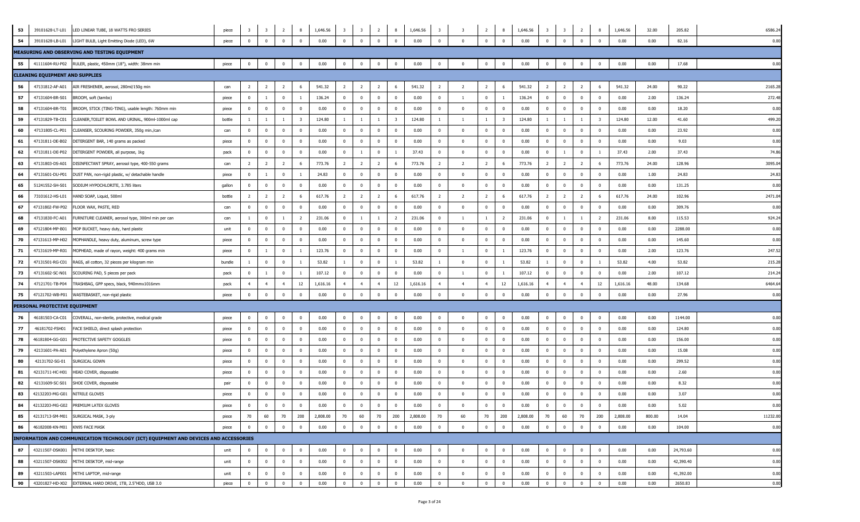| 53 | LED LINEAR TUBE, 18 WATTS FRO SERIES<br>39101628-LT-L01                              | piece  | $\overline{\mathbf{3}}$ | $\overline{\mathbf{3}}$ | $\overline{2}$ | 8                       | 1,646.56 | $\overline{\mathbf{3}}$ | $\overline{\mathbf{3}}$ | $\overline{2}$ | 8                       | 1,646.56 | $\overline{\mathbf{3}}$ | - 3                     | 2              | - 8                     | 1,646.56 | $\overline{\mathbf{3}}$ | $\overline{\mathbf{3}}$ | $\overline{2}$          | 8                       | 1,646.56 | 32.00  | 205.82    | 6586.2   |
|----|--------------------------------------------------------------------------------------|--------|-------------------------|-------------------------|----------------|-------------------------|----------|-------------------------|-------------------------|----------------|-------------------------|----------|-------------------------|-------------------------|----------------|-------------------------|----------|-------------------------|-------------------------|-------------------------|-------------------------|----------|--------|-----------|----------|
| 54 | 39101628-LB-L01<br>LIGHT BULB, Light Emitting Diode (LED), 6W                        | piece  | $\overline{0}$          | $\mathbf 0$             | $\Omega$       | $\overline{0}$          | 0.00     | $\overline{\mathbf{0}}$ | $\mathbf 0$             | $\mathbf 0$    | $\overline{\mathbf{0}}$ | 0.00     | $\mathbf 0$             | $\overline{\mathbf{0}}$ | $\overline{0}$ | $\overline{0}$          | 0.00     | $\mathbf 0$             | $^{\circ}$              | $\overline{\mathbf{0}}$ | $\overline{\mathbf{0}}$ | 0.00     | 0.00   | 82.16     | 0.00     |
|    | MEASURING AND OBSERVING AND TESTING EQUIPMENT                                        |        |                         |                         |                |                         |          |                         |                         |                |                         |          |                         |                         |                |                         |          |                         |                         |                         |                         |          |        |           |          |
| 55 | 41111604-RU-P02 RULER, plastic, 450mm (18"), width: 38mm min                         | piece  | $\bf{0}$                | $\overline{0}$          | $\bf{0}$       | $\overline{\mathbf{0}}$ | 0.00     | $\overline{0}$          | $\bf{0}$                | $\mathbf{0}$   | $\overline{\mathbf{0}}$ | 0.00     | $\bf{0}$                | $\bf{0}$                | $\overline{0}$ | $\overline{\mathbf{0}}$ | 0.00     | $\bf{0}$                | $\mathbf 0$             | $\overline{\mathbf{0}}$ | $\overline{\mathbf{0}}$ | 0.00     | 0.00   | 17.68     | 0.00     |
|    | <b>CLEANING EQUIPMENT AND SUPPLIES</b>                                               |        |                         |                         |                |                         |          |                         |                         |                |                         |          |                         |                         |                |                         |          |                         |                         |                         |                         |          |        |           |          |
| 56 | 47131812-AF-A01<br>AIR FRESHENER, aerosol, 280ml/150g min                            | can    | $\overline{2}$          | $\overline{2}$          | $\overline{2}$ | 6                       | 541.32   | $\overline{2}$          | $\overline{2}$          | $\overline{2}$ | 6                       | 541.32   | $\overline{2}$          | $\overline{2}$          | $\overline{2}$ | 6                       | 541.32   | $\overline{2}$          | $\overline{2}$          | $\overline{2}$          | 6                       | 541.32   | 24.00  | 90.22     | 2165.2   |
| 57 | 47131604-BR-S01<br>BROOM, soft (tambo)                                               | piece  | $\mathbf{0}$            | <sup>1</sup>            | $\overline{0}$ | 1                       | 136.24   | $\mathbf{0}$            | $\bf{0}$                | $\mathbf{0}$   | $\mathbf{0}$            | 0.00     | $\bf{0}$                | - 1                     | $\mathbf{0}$   | -1                      | 136.24   | $\mathbf 0$             | $^{\circ}$              | $\overline{0}$          | $\overline{0}$          | 0.00     | 2.00   | 136.24    | 272.4    |
| 58 | 47131604-BR-T01<br>BROOM, STICK (TING-TING), usable length: 760mm min                | piece  | $\mathbf{0}$            | $\overline{0}$          | $\overline{0}$ | $\mathbf 0$             | 0.00     | $\mathbf{0}$            | $\mathbf 0$             | $\mathbf 0$    | $\mathbf{0}$            | 0.00     | $\bf{0}$                | $\overline{\mathbf{0}}$ | $\overline{0}$ | $\overline{\mathbf{0}}$ | 0.00     | $\mathbf 0$             | $\Omega$                | $\bf{0}$                | $\bf{0}$                | 0.00     | 0.00   | 18.20     | 0.00     |
| 59 | 47131829-TB-C01<br>CLEANER, TOILET BOWL AND URINAL, 900ml-1000ml cap                 | bottle | -1                      | 1                       | -1             | $\overline{\mathbf{3}}$ | 124.80   | $\mathbf{1}$            | -1                      |                | $\overline{\mathbf{3}}$ | 124.80   | <sup>1</sup>            | $\overline{1}$          | $\mathbf{1}$   | $\overline{3}$          | 124.80   | 1                       |                         | 1                       | 3                       | 124.80   | 12.00  | 41.60     | 499.20   |
| 60 | 47131805-CL-P01<br>CLEANSER, SCOURING POWDER, 350g min./can                          | can    | $\mathbf 0$             | $\overline{0}$          | $\mathbf{0}$   | $\overline{0}$          | 0.00     | $\mathbf{0}$            | $\bf{0}$                | $\mathbf{0}$   | $\overline{\mathbf{0}}$ | 0.00     | $\overline{\mathbf{0}}$ | $\bf{0}$                | $\mathbf 0$    | $\overline{\mathbf{0}}$ | 0.00     | $\mathbf 0$             | $\Omega$                | $\overline{\mathbf{0}}$ | $\bf{0}$                | 0.00     | 0.00   | 23.92     | 0.00     |
| 61 | 47131811-DE-B02<br>DETERGENT BAR, 140 grams as packed                                | piece  | $\mathbf{0}$            | $\mathbf 0$             | $\mathbf{0}$   | $\overline{\mathbf{0}}$ | 0.00     | $\overline{0}$          | $\bf{0}$                | $\mathbf{0}$   | $\mathbf{0}$            | 0.00     | $\overline{0}$          | $\overline{\mathbf{0}}$ | $\mathbf{0}$   | $\overline{\mathbf{0}}$ | 0.00     | $\overline{0}$          | $\Omega$                | $\bf{0}$                | $\overline{0}$          | 0.00     | 0.00   | 9.03      | 0.00     |
| 62 | 47131811-DE-P02<br>DETERGENT POWDER, all purpose, 1kg                                | pack   | $\mathbf 0$             | $\mathbf 0$             | $\mathbf{0}$   | $^{\circ}$              | 0.00     | $\overline{0}$          |                         | $\overline{0}$ | $\mathbf{1}$            | 37.43    | $\overline{\mathbf{0}}$ | $\overline{\mathbf{0}}$ | $\mathbf{0}$   | $\overline{\mathbf{0}}$ | 0.00     | $\overline{0}$          |                         | $\overline{0}$          |                         | 37.43    | 2.00   | 37.43     | 74.8     |
| 63 | 47131803-DS-A01<br>DISINFECTANT SPRAY, aerosol type, 400-550 grams                   | can    | $\overline{2}$          | $\overline{2}$          | $\overline{2}$ | 6                       | 773.76   | $\overline{2}$          | $\overline{2}$          | $\overline{2}$ | 6                       | 773.76   | $\overline{2}$          | $\overline{2}$          | $\overline{2}$ | 6                       | 773.76   | $\overline{2}$          | $\overline{2}$          | $\overline{2}$          | 6                       | 773.76   | 24.00  | 128.96    | 3095.0   |
| 64 | 47131601-DU-P01<br>DUST PAN, non-rigid plastic, w/ detachable handle                 | piece  | $\mathbf{0}$            | $\mathbf{1}$            | $\mathbf{0}$   | 1                       | 24.83    | $\overline{0}$          | $\bf{0}$                | $\mathbf{0}$   | $\overline{0}$          | 0.00     | $\mathbf{0}$            | $\overline{\mathbf{0}}$ | $\mathbf{0}$   | $\overline{0}$          | 0.00     | $\mathbf{0}$            | $\Omega$                | $\overline{0}$          | $\mathbf{0}$            | 0.00     | 1.00   | 24.83     | 24.8     |
| 65 | 51241552-SH-S01<br>SODIUM HYPOCHLORITE, 3.785 liters                                 | gallon | $\mathbf{0}$            | $\mathbf 0$             | $\overline{0}$ | $\overline{\mathbf{0}}$ | 0.00     | $\mathbf{0}$            | $\bf{0}$                | $^{\circ}$     | $\overline{0}$          | 0.00     | $\bf{0}$                | $\overline{\mathbf{0}}$ | $\mathbf{0}$   | $\overline{\mathbf{0}}$ | 0.00     | $\mathbf{0}$            | $\Omega$                | $\overline{\mathbf{0}}$ | $\overline{0}$          | 0.00     | 0.00   | 131.25    | 0.00     |
| 66 | 73101612-HS-L01<br>HAND SOAP, Liquid, 500ml                                          | bottle | 2                       | $\overline{2}$          | 2              | 6                       | 617.76   | $\overline{2}$          | $\overline{2}$          | $\overline{2}$ | 6                       | 617.76   | $\overline{2}$          | $\overline{2}$          | $\overline{2}$ | 6                       | 617.76   | $\overline{2}$          | 2                       | $\overline{2}$          | 6                       | 617.76   | 24.00  | 102.96    | 2471.0   |
| 67 | 47131802-FW-P02<br>FLOOR WAX, PASTE, RED                                             | can    | $\overline{0}$          | $\overline{0}$          | $\overline{0}$ | $\overline{\mathbf{0}}$ | 0.00     | $\overline{0}$          | $\bf{0}$                | $\overline{0}$ | $\overline{\mathbf{0}}$ | 0.00     | $\overline{\mathbf{0}}$ | $\bf{0}$                | $\overline{0}$ | $\overline{\mathbf{0}}$ | 0.00     | $\bf{0}$                | $^{\circ}$              | $\overline{\mathbf{0}}$ | $\bf{0}$                | 0.00     | 0.00   | 309.76    | 0.00     |
| 68 | 47131830-FC-A01<br>FURNITURE CLEANER, aerosol type, 300ml min per can                | can    | -1                      | $\mathbf 0$             | $\overline{1}$ | $\overline{2}$          | 231.06   | $\overline{0}$          | -1                      |                | $\overline{2}$          | 231.06   | $\overline{\mathbf{0}}$ | - 1                     | $\mathbf{1}$   | $\overline{2}$          | 231.06   | $\overline{0}$          |                         | 1                       | $\overline{2}$          | 231.06   | 8.00   | 115.53    | 924.2    |
| 69 | 47121804-MP-B01<br>MOP BUCKET, heavy duty, hard plastic                              | unit   | $\mathbf 0$             | $\mathbf 0$             | $\overline{0}$ | $^{\circ}$              | 0.00     | $\overline{0}$          | $\bf{0}$                | $^{\circ}$     | $\overline{0}$          | 0.00     | $\overline{\mathbf{0}}$ | $\overline{\mathbf{0}}$ | $^{\circ}$     | $\overline{0}$          | 0.00     | $\overline{0}$          | $\Omega$                | $\bf{0}$                | $\overline{0}$          | 0.00     | 0.00   | 2288.00   | 0.00     |
| 70 | 47131613-MP-H02<br>MOPHANDLE, heavy duty, aluminum, screw type                       | piece  | $\mathbf 0$             | $\mathbf 0$             | $\mathbf{0}$   | $\mathbf 0$             | 0.00     | $\mathbf{0}$            | $\bf{0}$                | $\mathbf 0$    | $\overline{\mathbf{0}}$ | 0.00     | $\bf{0}$                | $\overline{0}$          | $^{\circ}$     | $\overline{\mathbf{0}}$ | 0.00     | $\mathbf 0$             | $\Omega$                | $\overline{0}$          | $\mathbf 0$             | 0.00     | 0.00   | 145.60    | 0.00     |
| 71 | 47131619-MP-R01<br>MOPHEAD, made of rayon, weight: 400 grams min                     | piece  | $\mathbf 0$             | 1                       | $\mathbf{0}$   | 1                       | 123.76   | $\mathbf{0}$            | $\bf{0}$                | $\mathbf{0}$   | $\overline{0}$          | 0.00     | $\bf{0}$                | -1                      | $\overline{0}$ |                         | 123.76   | $\overline{0}$          | $^{\circ}$              | $\overline{\mathbf{0}}$ | $\bf{0}$                | 0.00     | 2.00   | 123.76    | 247.5    |
| 72 | 47131501-RG-C01<br>RAGS, all cotton, 32 pieces per kilogram min                      | bundle | $\overline{1}$          | $\mathbf 0$             | $\mathbf 0$    | -1                      | 53.82    | $\mathbf{1}$            | $\bf{0}$                | $\mathbf{0}$   | 1                       | 53.82    | <sup>1</sup>            | $\overline{\mathbf{0}}$ | $\mathbf{0}$   | $\overline{1}$          | 53.82    | -1                      | $\Omega$                | $\pmb{0}$               | -1                      | 53.82    | 4.00   | 53.82     | 215.28   |
| 73 | 47131602-SC-N01<br>SCOURING PAD, 5 pieces per pack                                   | pack   | $\mathbf{0}$            | $\overline{1}$          | $\overline{0}$ | $\overline{1}$          | 107.12   | $\mathbf{0}$            | $\mathbf 0$             | $\mathbf{0}$   | $\overline{0}$          | 0.00     | $\bf{0}$                | - 1                     | $\mathbf{0}$   |                         | 107.12   | $\overline{0}$          | $\Omega$                | $\overline{0}$          | $\mathbf{0}$            | 0.00     | 2.00   | 107.12    | 214.24   |
| 74 | 47121701-TB-P04<br>TRASHBAG, GPP specs, black, 940mmx1016mm                          | pack   | $\overline{4}$          | $\overline{4}$          | $\overline{4}$ | 12                      | 1,616.16 | $\overline{4}$          | $\overline{4}$          | $\overline{4}$ | 12                      | 1,616.16 | $\overline{4}$          | $\overline{4}$          | $\overline{4}$ | 12                      | 1,616.16 | $\overline{4}$          | $\overline{4}$          | $\overline{4}$          | 12                      | 1,616.16 | 48.00  | 134.68    | 6464.6   |
| 75 | 47121702-WB-P01<br>WASTEBASKET, non-rigid plastic                                    | piece  | $\mathbf 0$             | $\mathbf{0}$            | $\Omega$       | $\mathbf 0$             | 0.00     | $\mathbf 0$             | $\mathbf 0$             | $\mathbf 0$    | $\overline{0}$          | 0.00     | $\overline{\mathbf{0}}$ | $\overline{\mathbf{0}}$ | $\mathbf{0}$   | $\mathbf{0}$            | 0.00     | $\mathbf 0$             |                         | $\mathbf{0}$            | $\overline{0}$          | 0.00     | 0.00   | 27.96     | 0.00     |
|    | PERSONAL PROTECTIVE EQUIPMENT                                                        |        |                         |                         |                |                         |          |                         |                         |                |                         |          |                         |                         |                |                         |          |                         |                         |                         |                         |          |        |           |          |
| 76 | 46181503-CA-C01<br>COVERALL, non-sterile, protective, medical grade                  | piece  | $\mathbf{0}$            | $\mathbf 0$             | $^{\circ}$     | $\mathbf 0$             | 0.00     | $\mathbf{0}$            | $\mathbf{0}$            | $\mathbf{0}$   | $\overline{0}$          | 0.00     | $\mathbf 0$             | $\overline{\mathbf{0}}$ | $\mathbf{0}$   | $\overline{0}$          | 0.00     | $\mathbf{0}$            | $\Omega$                | $\overline{0}$          | $\overline{0}$          | 0.00     | 0.00   | 1144.00   | 0.00     |
| 77 | 46181702-FSH01<br>FACE SHIELD, direct splash protection                              | piece  | $\mathbf{0}$            | $\mathbf 0$             | $\mathbf 0$    | $\mathbf 0$             | 0.00     | $\overline{0}$          | $\mathbf 0$             | $^{\circ}$     | $\mathbf{0}$            | 0.00     | $\bf{0}$                | $\overline{\mathbf{0}}$ | $\mathbf{0}$   | $\overline{0}$          | 0.00     | $\mathbf{0}$            |                         | $\pmb{0}$               | $\mathbf 0$             | 0.00     | 0.00   | 124.80    | 0.00     |
| 78 | 46181804-GG-G01<br>PROTECTIVE SAFETY GOGGLES                                         | piece  | $\mathbf 0$             | $\mathbf{0}$            | $\mathbf{0}$   | $\overline{\mathbf{0}}$ | 0.00     | $\overline{0}$          | $\mathbf{0}$            | $\overline{0}$ | $\overline{0}$          | 0.00     | $\overline{0}$          | $\overline{\mathbf{0}}$ | $\mathbf{0}$   | $\Omega$                | 0.00     | $\mathbf 0$             |                         | $\overline{0}$          | $\overline{0}$          | 0.00     | 0.00   | 156.00    | 0.00     |
| 79 | 42131601-PA-A01<br>Polyethylene Apron (50g)                                          | piece  | $\overline{0}$          | $\overline{0}$          | $\overline{0}$ | $\overline{\mathbf{0}}$ | 0.00     | $\mathbf{0}$            | $\bf{0}$                | $\overline{0}$ | $\overline{\mathbf{0}}$ | 0.00     | $\overline{\mathbf{0}}$ | $\bf{0}$                | $\overline{0}$ | $\overline{\mathbf{0}}$ | 0.00     | $\overline{0}$          | $^{\circ}$              | $\overline{\mathbf{0}}$ | $\bf{0}$                | 0.00     | 0.00   | 15.08     | 0.00     |
| 80 | SURGICAL GOWN<br>42131702-SG-01                                                      | piece  | $^{\circ}$              | $\mathbf 0$             | $\overline{0}$ | $^{\circ}$              | 0.00     | $\overline{0}$          | $\bf{0}$                | $\Omega$       | $\mathbf{0}$            | 0.00     | $\overline{0}$          | $\overline{\mathbf{0}}$ | $^{\circ}$     | $\overline{0}$          | 0.00     | $\overline{0}$          |                         | $\overline{0}$          | $\overline{0}$          | 0.00     | 0.00   | 299.52    | 0.00     |
| 81 | 42131711-HC-H01<br>HEAD COVER, disposable                                            | piece  | $^{\circ}$              | $\mathbf 0$             | $\mathbf{0}$   | $^{\circ}$              | 0.00     | $\mathbf{0}$            | $\bf{0}$                | $^{\circ}$     | $\overline{0}$          | 0.00     | $\overline{0}$          | $\overline{\mathbf{0}}$ | $^{\circ}$     | $\overline{\mathbf{0}}$ | 0.00     | $\overline{0}$          |                         | $\overline{0}$          | $\mathbf{0}$            | 0.00     | 0.00   | 2.60      | 0.00     |
| 82 | 42131609-SC-S01<br>SHOE COVER, disposable                                            | pair   | $\overline{0}$          | $\mathbf 0$             | $\mathbf{0}$   | $\mathbf 0$             | 0.00     | $\mathbf 0$             | $\bf{0}$                | $\Omega$       | $\overline{0}$          | 0.00     | $\overline{\mathbf{0}}$ | $\overline{\mathbf{0}}$ | $^{\circ}$     | $\overline{0}$          | 0.00     | $\mathbf 0$             | $\Omega$                | $\overline{0}$          | $\mathbf 0$             | 0.00     | 0.00   | 8.32      | 0.00     |
| 83 | 42132203-MG-G01<br>NITRILE GLOVES                                                    | piece  | $\mathbf 0$             | $\overline{0}$          | $\mathbf{0}$   | $\overline{0}$          | 0.00     | $\overline{0}$          | $\bf{0}$                | $\mathbf 0$    | $\overline{0}$          | 0.00     | $\bf{0}$                | $\overline{\mathbf{0}}$ | $\mathbf{0}$   | $\overline{0}$          | 0.00     | $\overline{0}$          | $^{\circ}$              | $\overline{\mathbf{0}}$ | $\overline{0}$          | 0.00     | 0.00   | 3.07      | 0.00     |
| 84 | 42132203-MG-G02 PREMIUM LATEX GLOVES                                                 | piece  | $\Omega$                | $\Omega$                |                | $\Omega$                | 0.00     | $\Omega$                | $\Omega$                |                | $\Omega$                | 0.00     | $\Omega$                | $\Omega$                | $\Omega$       | $\Omega$                | 0.00     | $\Omega$                |                         | $\Omega$                |                         | 0.00     | 0.00   | 5.02      | 0.00     |
| 85 | 42131713-SM-M01 SURGICAL MASK, 3-ply                                                 | piece  | 70                      | 60                      | 70             | 200                     | 2,808.00 | 70                      | 60                      | 70             | 200                     | 2,808.00 | 70                      | 60                      | 70             | 200                     | 2,808.00 | 70                      | 60                      | 70                      | 200                     | 2,808.00 | 800.00 | 14.04     | 11232.00 |
| 86 | KN95 FACE MASK<br>46182008-KN-M01                                                    | piece  | $\mathbf{0}$            | $\mathbf 0$             | $\overline{0}$ | $\overline{0}$          | 0.00     | $\mathbf 0$             | $\mathbf 0$             | $\mathbf 0$    | $\overline{\mathbf{0}}$ | 0.00     | $\overline{0}$          | $\overline{\mathbf{0}}$ | $\overline{0}$ | $\overline{\mathbf{0}}$ | 0.00     | $\overline{0}$          | $\mathbf{0}$            | $\overline{\mathbf{0}}$ | $\overline{0}$          | 0.00     | 0.00   | 104.00    | 0.00     |
|    | INFORMATION AND COMMUNICATION TECHNOLOGY (ICT) EQUIPMENT AND DEVICES AND ACCESSORIES |        |                         |                         |                |                         |          |                         |                         |                |                         |          |                         |                         |                |                         |          |                         |                         |                         |                         |          |        |           |          |
| 87 | 43211507-DSK001<br>MITHI DESKTOP, basic                                              | unit   | $\overline{0}$          | $\overline{0}$          | $\overline{0}$ | $\overline{\mathbf{0}}$ | 0.00     | $\overline{0}$          | $\bf{0}$                | $\mathbf{0}$   | $\overline{\mathbf{0}}$ | 0.00     | $\bf{0}$                | $\overline{\mathbf{0}}$ | $\overline{0}$ | $\overline{\mathbf{0}}$ | 0.00     | $\mathbf{0}$            | $\bf{0}$                | $\overline{\mathbf{0}}$ | $\mathbf 0$             | 0.00     | 0.00   | 24,793.60 | 0.00     |
| 88 | 43211507-DSK002<br>MITHI DESKTOP, mid-range                                          | unit   | $\mathbf 0$             | $\mathbf 0$             | $\mathbf{0}$   | $\overline{0}$          | 0.00     | $\mathbf{0}$            | $\mathbf 0$             | $\mathbf 0$    | $\overline{0}$          | 0.00     | $\mathbf 0$             | $\overline{\mathbf{0}}$ | $\mathbf{0}$   | $\overline{\mathbf{0}}$ | 0.00     | $\mathbf{0}$            | $\Omega$                | $\overline{0}$          | $\mathbf{0}$            | 0.00     | 0.00   | 42,390.40 | 0.00     |
| 89 | MITHI LAPTOP, mid-range<br>43211503-LAP001                                           | unit   | $\overline{0}$          | $\overline{0}$          | $\overline{0}$ | $\overline{0}$          | 0.00     | $\mathbf{0}$            | $\bf{0}$                | $\mathbf 0$    | $\overline{\mathbf{0}}$ | 0.00     | $\mathbf 0$             | $\overline{\mathbf{0}}$ | $\pmb{0}$      | $\overline{\mathbf{0}}$ | 0.00     | $\overline{0}$          | $^{\circ}$              | $\overline{\mathbf{0}}$ | $\mathbf 0$             | 0.00     | 0.00   | 41,392.00 | 0.00     |
| 90 | EXTERNAL HARD DRIVE, 1TB, 2.5"HDD, USB 3.0<br>43201827-HD-X02                        | piece  | $\overline{0}$          | $\bf{0}$                | $\mathbf{0}$   | $\overline{0}$          | 0.00     | $\overline{0}$          | $\bf{0}$                | $\overline{0}$ | $\overline{\mathbf{0}}$ | 0.00     | $\bf{0}$                | $\overline{\mathbf{0}}$ | $\overline{0}$ | $\overline{0}$          | 0.00     | $\mathbf{0}$            | $\overline{0}$          | $\overline{0}$          | $\bf{0}$                | 0.00     | 0.00   | 2650.83   | 0.00     |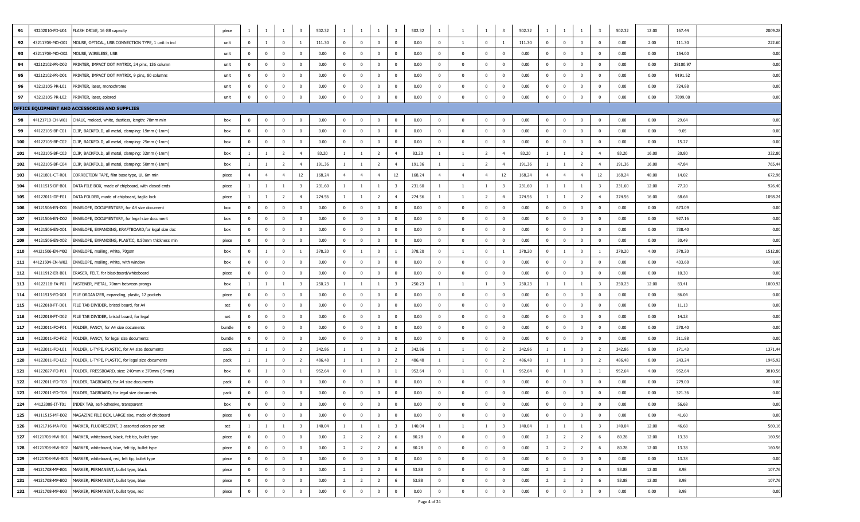| 91  | 43202010-FD-U01 | FLASH DRIVE, 16 GB capacity                                      | piece  |                | -1             |                |                         | 502.32 | $\mathbf{1}$   |                | -1                      |                         | 502.32 |                |                         | <sup>1</sup>            |                         | 502.32 |                |                         |                |                         | 502.32 | 12.00 | 167.44   | 2009.28 |
|-----|-----------------|------------------------------------------------------------------|--------|----------------|----------------|----------------|-------------------------|--------|----------------|----------------|-------------------------|-------------------------|--------|----------------|-------------------------|-------------------------|-------------------------|--------|----------------|-------------------------|----------------|-------------------------|--------|-------|----------|---------|
| 92  | 43211708-MO-O01 | MOUSE, OPTICAL, USB CONNECTION TYPE, 1 unit in ind               | unit   | $\overline{0}$ | $\overline{1}$ | $\mathbf 0$    | $\overline{1}$          | 111.30 | $\overline{0}$ | $\Omega$       | $\overline{0}$          | $\overline{0}$          | 0.00   | $\mathbf{0}$   | $\overline{1}$          | $\mathbf{0}$            | $\overline{1}$          | 111.30 | $\mathbf{0}$   | $\overline{0}$          | $\bf{0}$       | $\overline{0}$          | 0.00   | 2.00  | 111.30   | 222.60  |
| 93  | 43211708-MO-O02 | MOUSE, WIRELESS, USB                                             | unit   | $\mathbf 0$    | $^{\circ}$     | $^{\circ}$     | $\overline{0}$          | 0.00   | $\overline{0}$ | $\Omega$       | $\overline{0}$          | $\mathbf{0}$            | 0.00   | $\mathbf{0}$   | $\overline{\mathbf{0}}$ | $\mathbf{0}$            | $\Omega$                | 0.00   | $\overline{0}$ | $\overline{\mathbf{0}}$ | $\bf{0}$       | $\mathbf 0$             | 0.00   | 0.00  | 154.00   | 0.00    |
| 94  | 43212102-PR-D02 | PRINTER, IMPACT DOT MATRIX, 24 pins, 136 column                  | unit   | $\mathbf 0$    | $\mathbf 0$    | $\mathbf 0$    | $\overline{\mathbf{0}}$ | 0.00   | $\bf{0}$       | $^{\circ}$     | $\overline{\mathbf{0}}$ | $\bf{0}$                | 0.00   | $\bf{0}$       | $\overline{0}$          | $\overline{0}$          | $^{\circ}$              | 0.00   | $\overline{0}$ | $\overline{\mathbf{0}}$ | $\bf{0}$       | $\mathbf 0$             | 0.00   | 0.00  | 38100.97 | 0.00    |
| 95  | 43212102-PR-D01 | PRINTER, IMPACT DOT MATRIX, 9 pins, 80 columns                   | unit   | $\overline{0}$ | $^{\circ}$     | $^{\circ}$     | $\overline{0}$          | 0.00   | $\bf{0}$       | $^{\circ}$     | $\overline{0}$          | $\bf{0}$                | 0.00   | $\mathbf 0$    | $\overline{0}$          | $\overline{0}$          | $^{\circ}$              | 0.00   | $\overline{0}$ | $\overline{0}$          | $\bf{0}$       | $\mathbf 0$             | 0.00   | 0.00  | 9191.52  | 0.00    |
| 96  | 43212105-PR-L01 | PRINTER, laser, monochrome                                       | unit   | $\mathbf 0$    | $\mathbf{0}$   | $^{\circ}$     | $\overline{0}$          | 0.00   | $\overline{0}$ | $\Omega$       | $\overline{0}$          | $\bf{0}$                | 0.00   | $\mathbf 0$    | $\overline{0}$          | $\bf{0}$                | $^{\circ}$              | 0.00   | $\mathbf{0}$   | $\overline{\mathbf{0}}$ | $\bf{0}$       | $\mathbf{0}$            | 0.00   | 0.00  | 724.88   | 0.00    |
| 97  | 43212105-PR-L02 | PRINTER, laser, colored                                          | unit   | $\mathbf 0$    | $\mathbf 0$    | $\overline{0}$ | $\overline{0}$          | 0.00   | $\mathbf 0$    | $\Omega$       | $\overline{0}$          | $\mathbf 0$             | 0.00   | $\mathbf{0}$   | $\Omega$                | $\mathbf 0$             | $\mathbf{0}$            | 0.00   | $\overline{0}$ | $\overline{\mathbf{0}}$ | $\mathbf 0$    | $\Omega$                | 0.00   | 0.00  | 7899.00  | 0.00    |
|     |                 | OFFICE EQUIPMENT AND ACCESSORIES AND SUPPLIES                    |        |                |                |                |                         |        |                |                |                         |                         |        |                |                         |                         |                         |        |                |                         |                |                         |        |       |          |         |
| 98  | 44121710-CH-W01 | CHALK, molded, white, dustless, length: 78mm min                 | box    | $\overline{0}$ | $^{\circ}$     | $^{\circ}$     | $\overline{0}$          | 0.00   | $\overline{0}$ | $^{\circ}$     | $\overline{0}$          | $\overline{0}$          | 0.00   | $\mathbf 0$    | $\overline{0}$          | $\overline{0}$          | $\overline{\mathbf{0}}$ | 0.00   | $\mathbf{0}$   | $\overline{\mathbf{0}}$ | $\bf{0}$       | $\mathbf 0$             | 0.00   | 0.00  | 29.64    | 0.00    |
| 99  | 44122105-BF-C01 | CLIP, BACKFOLD, all metal, clamping: 19mm (-1mm)                 | box    | $\overline{0}$ | $\mathbf 0$    | $\mathbf 0$    | $\overline{\mathbf{0}}$ | 0.00   | $\overline{0}$ | $\mathbf 0$    | $\overline{\mathbf{0}}$ | $\bf{0}$                | 0.00   | $\mathbf{0}$   | $\overline{0}$          | $\overline{0}$          | $\mathbf 0$             | 0.00   | $\mathbf{0}$   | $\overline{\mathbf{0}}$ | $\bf{0}$       | $\mathbf 0$             | 0.00   | 0.00  | 9.05     | 0.00    |
| 100 | 44122105-BF-C02 | CLIP, BACKFOLD, all metal, clamping: 25mm (-1mm)                 | box    | $\mathbf{0}$   | $^{\circ}$     | $^{\circ}$     | $\overline{0}$          | 0.00   | $\overline{0}$ | $\mathbf{0}$   | $\overline{0}$          | $\overline{0}$          | 0.00   | $\mathbf 0$    | $\mathbf{0}$            | $\mathbf{0}$            | $^{\circ}$              | 0.00   | $\overline{0}$ | $\overline{0}$          | $\bf{0}$       | $\mathbf 0$             | 0.00   | 0.00  | 15.27    | 0.00    |
| 101 | 44122105-BF-C03 | CLIP, BACKFOLD, all metal, clamping: 32mm (-1mm)                 | box    | $\overline{1}$ | -1             | $\overline{2}$ | $\overline{4}$          | 83.20  | $\overline{1}$ | $\overline{1}$ | $\overline{2}$          | $\overline{4}$          | 83.20  | $\overline{1}$ | $\overline{1}$          | $\overline{2}$          | $\overline{4}$          | 83.20  | $\overline{1}$ | <sup>1</sup>            | $\overline{2}$ | $\overline{4}$          | 83.20  | 16.00 | 20.80    | 332.80  |
| 102 | 44122105-BF-C04 | CLIP, BACKFOLD, all metal, clamping: 50mm (-1mm)                 | box    |                | -1             | 2              | $\overline{4}$          | 191.36 | $\overline{1}$ |                | $\overline{2}$          | $\overline{4}$          | 191.36 |                | $\overline{1}$          | $\overline{2}$          | $\overline{4}$          | 191.36 |                | <sup>1</sup>            | $\overline{2}$ | $\overline{4}$          | 191.36 | 16.00 | 47.84    | 765.44  |
| 103 | 44121801-CT-R01 | CORRECTION TAPE, film base type, UL 6m min                       | piece  | $\overline{4}$ | $\overline{4}$ | $\overline{4}$ | 12                      | 168.24 | $\overline{4}$ | $\overline{4}$ | $\overline{4}$          | 12                      | 168.24 | $\overline{4}$ | $\overline{4}$          | $\overline{4}$          | 12                      | 168.24 | $\overline{4}$ | $\overline{4}$          | $\overline{4}$ | 12                      | 168.24 | 48.00 | 14.02    | 672.96  |
| 104 | 44111515-DF-B01 | DATA FILE BOX, made of chipboard, with closed ends               | piece  | $\overline{1}$ | $\overline{1}$ | $\mathbf{1}$   | $\overline{\mathbf{3}}$ | 231.60 | $\overline{1}$ | $\overline{1}$ | -1                      | $\overline{\mathbf{3}}$ | 231.60 | $\overline{1}$ | $\overline{1}$          | $\mathbf{1}$            | $\overline{\mathbf{3}}$ | 231.60 | $\overline{1}$ | <sup>1</sup>            | <sup>1</sup>   | $\overline{\mathbf{3}}$ | 231.60 | 12.00 | 77.20    | 926.4   |
| 105 | 44122011-DF-F01 | DATA FOLDER, made of chipboard, taglia lock                      | piece  | $\overline{1}$ | $\overline{1}$ | 2              | $\overline{4}$          | 274.56 | $\overline{1}$ | $\overline{1}$ | $\overline{2}$          | $\overline{4}$          | 274.56 |                |                         | $\overline{2}$          | $\overline{4}$          | 274.56 | $\overline{1}$ | <sup>1</sup>            | $\overline{2}$ | $\overline{4}$          | 274.56 | 16.00 | 68.64    | 1098.24 |
| 106 | 44121506-EN-D01 | ENVELOPE, DOCUMENTARY, for A4 size document                      | box    | $\mathbf 0$    | $\mathbf 0$    | $\mathbf 0$    | $\overline{\mathbf{0}}$ | 0.00   | $\bf{0}$       | $\mathbf{0}$   | $\overline{\mathbf{0}}$ | $\bf{0}$                | 0.00   | $\bf{0}$       | $\overline{0}$          | $\overline{0}$          | $\mathbf 0$             | 0.00   | $\overline{0}$ | $\overline{\mathbf{0}}$ | $\bf{0}$       | $\mathbf 0$             | 0.00   | 0.00  | 673.09   | 0.00    |
| 107 | 44121506-EN-D02 | ENVELOPE, DOCUMENTARY, for legal size document                   | box    | $\overline{0}$ | $^{\circ}$     | $^{\circ}$     | $\overline{0}$          | 0.00   | $\overline{0}$ | $^{\circ}$     | $\overline{0}$          | $\bf{0}$                | 0.00   | $\mathbf{0}$   | $\overline{0}$          | $\overline{0}$          | $^{\circ}$              | 0.00   | $\overline{0}$ | $\overline{0}$          | $\bf{0}$       | $\mathbf 0$             | 0.00   | 0.00  | 927.16   | 0.00    |
| 108 | 44121506-EN-X01 | ENVELOPE, EXPANDING, KRAFTBOARD, for legal size doc              | box    | $\mathbf{0}$   | $^{\circ}$     | $^{\circ}$     | $\overline{0}$          | 0.00   | $\mathbf{0}$   | $\Omega$       | $\overline{0}$          | $\bf{0}$                | 0.00   | $\mathbf{0}$   | $\overline{0}$          | $\mathbf{0}$            | $\overline{\mathbf{0}}$ | 0.00   | $\overline{0}$ | $\overline{\mathbf{0}}$ | $\bf{0}$       | $\mathbf{0}$            | 0.00   | 0.00  | 738.40   | 0.00    |
| 109 | 44121506-EN-X02 | ENVELOPE, EXPANDING, PLASTIC, 0.50mm thickness min               | piece  | $\mathbf{0}$   | $\mathbf{0}$   | $^{\circ}$     | $\overline{\mathbf{0}}$ | 0.00   | $\mathbf{0}$   | $\Omega$       | $\overline{\mathbf{0}}$ | $\overline{0}$          | 0.00   | $\mathbf 0$    | $\mathbf{0}$            | $\overline{\mathbf{0}}$ | $^{\circ}$              | 0.00   | $\mathbf{0}$   | $\overline{\mathbf{0}}$ | $\mathbf 0$    | $\mathbf 0$             | 0.00   | 0.00  | 30.49    | 0.00    |
| 110 | 44121506-EN-M02 | ENVELOPE, mailing, white, 70gsm                                  | box    | $\mathbf 0$    | -1             | $\overline{0}$ | $\overline{1}$          | 378.20 | $\mathbf{0}$   | $\overline{1}$ | $\overline{\mathbf{0}}$ | $\overline{1}$          | 378.20 | $\mathbf 0$    | $\mathbf{1}$            | $\bf{0}$                | $\mathbf{1}$            | 378.20 | $\mathbf{0}$   | <sup>1</sup>            | $\bf{0}$       |                         | 378.20 | 4.00  | 378.20   | 1512.80 |
| 111 | 44121504-EN-W02 | ENVELOPE, mailing, white, with window                            | box    | $\overline{0}$ | $^{\circ}$     | $\overline{0}$ | $\overline{0}$          | 0.00   | $\overline{0}$ | $\mathbf 0$    | $\overline{0}$          | $\bf{0}$                | 0.00   | $\mathbf 0$    | $\overline{\mathbf{0}}$ | $\bf{0}$                | $\overline{\mathbf{0}}$ | 0.00   | $\mathbf{0}$   | $\overline{0}$          | $\bf{0}$       | $\mathbf 0$             | 0.00   | 0.00  | 433.68   | 0.00    |
| 112 | 44111912-ER-B01 | ERASER, FELT, for blackboard/whiteboard                          | piece  | $\mathbf 0$    | $^{\circ}$     | $\mathbf 0$    | $\overline{0}$          | 0.00   | $\overline{0}$ | $\Omega$       | $\mathbf 0$             | $\bf{0}$                | 0.00   | $\mathbf 0$    | $\overline{0}$          | $\bf{0}$                | $^{\circ}$              | 0.00   | $\overline{0}$ | $\mathbf 0$             | $\bf{0}$       | $\mathbf 0$             | 0.00   | 0.00  | 10.30    | 0.00    |
| 113 | 44122118-FA-P01 | FASTENER, METAL, 70mm between prongs                             | box    |                | -1             | $\overline{1}$ | $\overline{\mathbf{3}}$ | 250.23 | $\overline{1}$ |                | $\overline{1}$          | $\overline{\mathbf{3}}$ | 250.23 |                | $\overline{1}$          | <sup>1</sup>            | -3                      | 250.23 |                | <sup>1</sup>            | <sup>1</sup>   | $\overline{\mathbf{3}}$ | 250.23 | 12.00 | 83.41    | 1000.92 |
| 114 | 44111515-FO-X01 | FILE ORGANIZER, expanding, plastic, 12 pockets                   | piece  | $\overline{0}$ | $^{\circ}$     | $^{\circ}$     | $\overline{0}$          | 0.00   | $\bf{0}$       | $\Omega$       | $\overline{\mathbf{0}}$ | $\overline{0}$          | 0.00   | $\mathbf 0$    | $\overline{0}$          | $\overline{0}$          | $\Omega$                | 0.00   | $\overline{0}$ | $\overline{\mathbf{0}}$ | $\bf{0}$       | $\mathbf{0}$            | 0.00   | 0.00  | 86.04    | 0.00    |
| 115 | 44122018-FT-D01 | FILE TAB DIVIDER, bristol board, for A4                          | set    | $\overline{0}$ | $^{\circ}$     | $^{\circ}$     | $\overline{0}$          | 0.00   | $\bf{0}$       | $\mathbf{0}$   | $\overline{0}$          | $\overline{0}$          | 0.00   | $\mathbf 0$    | $\mathbf{0}$            | $\mathbf{0}$            | $^{\circ}$              | 0.00   | $\overline{0}$ | $\overline{\mathbf{0}}$ | $\bf{0}$       | $\mathbf{0}$            | 0.00   | 0.00  | 11.13    | 0.00    |
| 116 | 44122018-FT-D02 | FILE TAB DIVIDER, bristol board, for legal                       | set    | $\mathbf{0}$   | $\Omega$       | $^{\circ}$     | $\overline{0}$          | 0.00   | $\overline{0}$ | $\Omega$       | $\mathbf{0}$            | $\overline{0}$          | 0.00   | $\mathbf{0}$   | $\Omega$                | $\overline{0}$          | $\Omega$                | 0.00   | $\mathbf{0}$   | $\overline{0}$          | $\bf{0}$       | $\mathbf{0}$            | 0.00   | 0.00  | 14.23    | 0.00    |
| 117 | 44122011-FO-F01 | FOLDER, FANCY, for A4 size documents                             | bundle | $\mathbf 0$    | $\mathbf{0}$   | $\mathbf{0}$   | $\overline{0}$          | 0.00   | $\mathbf{0}$   | $\Omega$       | $\overline{0}$          | $\overline{0}$          | 0.00   | $\overline{0}$ | $\overline{0}$          | $\overline{\mathbf{0}}$ | $\overline{\mathbf{0}}$ | 0.00   | $\overline{0}$ | $\overline{\mathbf{0}}$ | $\mathbf 0$    | $\mathbf{0}$            | 0.00   | 0.00  | 270.40   | 0.00    |
| 118 | 44122011-FO-F02 | FOLDER, FANCY, for legal size documents                          | bundle | $\overline{0}$ | $\overline{0}$ | $\overline{0}$ | $\overline{\mathbf{0}}$ | 0.00   | $\overline{0}$ | $\mathbf 0$    | $\overline{\mathbf{0}}$ | $\bf{0}$                | 0.00   | $\mathbf 0$    | $\overline{0}$          | $\bf{0}$                | $\overline{0}$          | 0.00   | $\mathbf{0}$   | $\overline{\mathbf{0}}$ | $\bf{0}$       | $\mathbf 0$             | 0.00   | 0.00  | 311.88   | 0.00    |
| 119 | 44122011-FO-L01 | FOLDER, L-TYPE, PLASTIC, for A4 size documents                   | pack   | $\mathbf{1}$   | <sup>1</sup>   | $\overline{0}$ | $\overline{2}$          | 342.86 | $\mathbf{1}$   | $\overline{1}$ | $\overline{\mathbf{0}}$ | $\overline{2}$          | 342.86 | -1             | $\mathbf{1}$            | $\overline{0}$          | $\overline{2}$          | 342.86 | $\mathbf{1}$   | -1                      | $\bf{0}$       | $\overline{2}$          | 342.86 | 8.00  | 171.43   | 1371.44 |
| 120 | 44122011-FO-L02 | FOLDER, L-TYPE, PLASTIC, for legal size documents                | pack   | $\overline{1}$ | -1             | $\mathbf 0$    | $\overline{2}$          | 486.48 | $\overline{1}$ | $\overline{1}$ | $\overline{0}$          | $\overline{2}$          | 486.48 |                | $\overline{1}$          | $\bf{0}$                | $\overline{2}$          | 486.48 | $\overline{1}$ | $\overline{1}$          | $\bf{0}$       | 2                       | 486.48 | 8.00  | 243.24   | 1945.92 |
| 121 | 44122027-FO-P01 | FOLDER, PRESSBOARD, size: 240mm x 370mm (-5mm)                   | box    | $\mathbf{0}$   | -1             | $^{\circ}$     |                         | 952.64 | $\mathbf 0$    |                | $\overline{0}$          | 1                       | 952.64 | $\overline{0}$ | $\overline{1}$          | $\overline{0}$          | $\overline{1}$          | 952.64 | $\overline{0}$ | <sup>1</sup>            | $\bf{0}$       |                         | 952.64 | 4.00  | 952.64   | 3810.56 |
| 122 | 44122011-FO-T03 | FOLDER, TAGBOARD, for A4 size documents                          | pack   | $\overline{0}$ | $^{\circ}$     | $\mathbf 0$    | $\overline{\mathbf{0}}$ | 0.00   | $\bf{0}$       | $\mathbf 0$    | $\overline{\mathbf{0}}$ | $\bf{0}$                | 0.00   | $\bf{0}$       | $\overline{\mathbf{0}}$ | $\bf{0}$                | $^{\circ}$              | 0.00   | $\overline{0}$ | $\overline{\mathbf{0}}$ | $\bf{0}$       | $\mathbf 0$             | 0.00   | 0.00  | 279.00   | 0.00    |
| 123 | 44122011-FO-T04 | FOLDER, TAGBOARD, for legal size documents                       | pack   | $\mathbf{0}$   | $^{\circ}$     | $^{\circ}$     | $\overline{0}$          | 0.00   | $\overline{0}$ | $\mathbf{0}$   | $\overline{0}$          | $\mathbf{0}$            | 0.00   | $\mathbf 0$    | $\mathbf{0}$            | $\overline{0}$          | $^{\circ}$              | 0.00   | $\overline{0}$ | $\overline{0}$          | $\bf{0}$       | $\mathbf 0$             | 0.00   | 0.00  | 321.36   | 0.00    |
| 124 | 44122008-IT-T01 | INDEX TAB, self-adhesive, transparent                            | box    | <sup>n</sup>   | $\mathbf 0$    | $\mathbf 0$    | $\Omega$                | 0.00   | $\mathbf 0$    |                | $\mathbf 0$             | $\mathbf 0$             | 0.00   |                |                         | $\Omega$                |                         | 0.00   |                | $\mathbf{0}$            | $\Omega$       |                         | 0.00   | 0.00  | 56.68    | 0.00    |
| 125 |                 | 44111515-MF-B02 MAGAZINE FILE BOX, LARGE size, made of chipboard | piece  | $\bf{0}$       | $\overline{0}$ | $\overline{0}$ | $\overline{0}$          | 0.00   | $\overline{0}$ | $\mathbf 0$    | $\overline{\mathbf{0}}$ | $\bf{0}$                | 0.00   | $\mathbf 0$    | $\overline{0}$          | $\overline{0}$          | $\bf{0}$                | 0.00   | $\mathbf{0}$   | $\overline{\mathbf{0}}$ | $\bf{0}$       | $\mathbf{0}$            | 0.00   | 0.00  | 41.60    | 0.00    |
| 126 |                 | 44121716-MA-F01 MARKER, FLUORESCENT, 3 assorted colors per set   | set    | $\overline{1}$ | $\mathbf{1}$   | $\mathbf{1}$   | $\overline{\mathbf{3}}$ | 140.04 | $\mathbf{1}$   | $\overline{1}$ | $\overline{1}$          | $\overline{\mathbf{3}}$ | 140.04 | -1             | $\mathbf{1}$            | $\mathbf{1}$            | $\overline{\mathbf{3}}$ | 140.04 | $\mathbf{1}$   | <sup>1</sup>            | $\mathbf{1}$   | $\overline{\mathbf{3}}$ | 140.04 | 12.00 | 46.68    | 560.16  |
| 127 |                 | 44121708-MW-B01 MARKER, whiteboard, black, felt tip, bullet type | piece  | $\overline{0}$ | $\overline{0}$ | $\overline{0}$ | $\bf{0}$                | 0.00   | $\overline{2}$ | $\overline{2}$ | $\overline{2}$          | 6                       | 80.28  | $\mathbf 0$    | $\overline{0}$          | $\overline{0}$          | $\overline{0}$          | 0.00   | $\overline{2}$ | $\overline{2}$          | $\overline{2}$ | 6                       | 80.28  | 12.00 | 13.38    | 160.56  |
| 128 |                 | 44121708-MW-B02 MARKER, whiteboard, blue, felt tip, bullet type  | piece  | $\mathbf{0}$   | $\overline{0}$ | $^{\circ}$     | $\overline{0}$          | 0.00   | $\overline{2}$ | 2              | $\overline{2}$          | 6                       | 80.28  | $\mathbf 0$    | $\overline{0}$          | $\overline{0}$          | $^{\circ}$              | 0.00   | $\overline{2}$ | $\overline{2}$          | $\overline{2}$ | 6                       | 80.28  | 12.00 | 13.38    | 160.56  |
| 129 |                 | 44121708-MW-B03 MARKER, whiteboard, red, felt tip, bullet type   | piece  | $\bf{0}$       | $\overline{0}$ | $\overline{0}$ | $\overline{\mathbf{0}}$ | 0.00   | $\overline{0}$ | $\bf{0}$       | $\overline{\mathbf{0}}$ | $\bf{0}$                | 0.00   | $\bf{0}$       | $\bf{0}$                | $\overline{0}$          | $\overline{0}$          | 0.00   | $\mathbf{0}$   | $\overline{\mathbf{0}}$ | $\bf{0}$       | $\bf{0}$                | 0.00   | 0.00  | 13.38    | 0.00    |
| 130 | 44121708-MP-B01 | MARKER, PERMANENT, bullet type, black                            | piece  | $\overline{0}$ | $\mathbf{0}$   | $\mathbf{0}$   | $\overline{0}$          | 0.00   | $\overline{2}$ | $\overline{2}$ | $\overline{2}$          | 6                       | 53.88  | $\mathbf{0}$   | $\overline{0}$          | $\mathbf{0}$            | $^{\circ}$              | 0.00   | $\overline{2}$ | $\overline{2}$          | $\overline{2}$ | 6                       | 53.88  | 12.00 | 8.98     | 107.76  |
| 131 |                 | 44121708-MP-B02 MARKER, PERMANENT, bullet type, blue             | piece  | $\mathbf{0}$   | $\overline{0}$ | $\pmb{0}$      | $\pmb{0}$               | 0.00   | $\overline{2}$ | $\overline{2}$ | $\overline{2}$          | 6                       | 53.88  | $\bf{0}$       | $\mathbf 0$             | $\overline{0}$          | $\overline{0}$          | 0.00   | $\overline{2}$ | $\overline{2}$          | $\overline{2}$ | 6                       | 53.88  | 12.00 | 8.98     | 107.76  |
| 132 |                 | 44121708-MP-B03 MARKER, PERMANENT, bullet type, red              | piece  | $\overline{0}$ | $\overline{0}$ | $\overline{0}$ | $\overline{0}$          | 0.00   | $\overline{0}$ | $\mathbf{0}$   | $\overline{\mathbf{0}}$ | $\mathbf 0$             | 0.00   | $\mathbf{0}$   | $\mathbf{0}$            | $\overline{0}$          | $\overline{0}$          | 0.00   | $\mathbf{0}$   | $\overline{\mathbf{0}}$ | $\mathbf 0$    | $\mathbf{0}$            | 0.00   | 0.00  | 8.98     | 0.00    |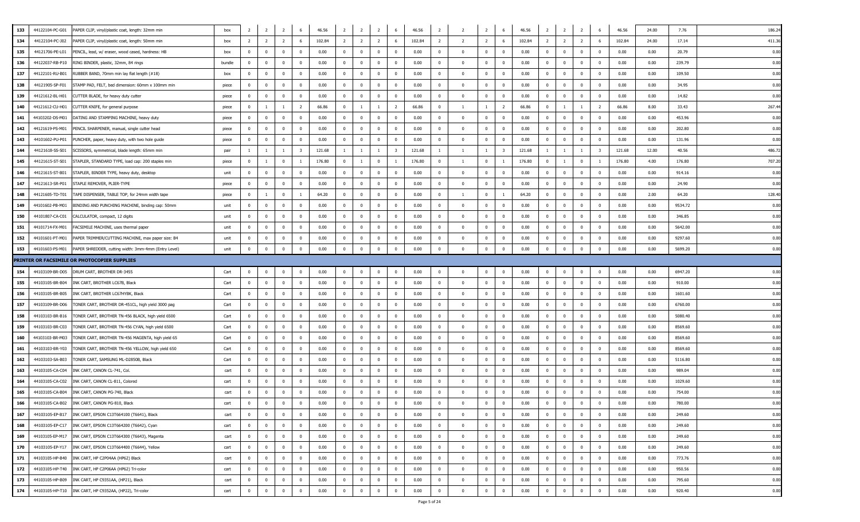| 133 | 44122104-PC-G01 | PAPER CLIP, vinyl/plastic coat, length: 32mm min      | box    | -2             | $\overline{2}$ | $\overline{2}$          | 6              | 46.56  | $\overline{2}$ | 2                       | $\overline{2}$ | 6                       | 46.56  | $\overline{2}$ | $\overline{2}$ | $\overline{2}$ | 6                       | 46.56  | 2              | $\overline{2}$ | $\overline{2}$ | 6              | 46.56  | 24.00 | 186.2<br>7.76   |
|-----|-----------------|-------------------------------------------------------|--------|----------------|----------------|-------------------------|----------------|--------|----------------|-------------------------|----------------|-------------------------|--------|----------------|----------------|----------------|-------------------------|--------|----------------|----------------|----------------|----------------|--------|-------|-----------------|
| 134 | 44122104-PC-J02 | APER CLIP, vinyl/plastic coat, length: 50mm min       | box    | $\overline{2}$ | $\overline{2}$ | $\overline{2}$          | 6              | 102.84 | $\overline{2}$ | $\overline{2}$          | $\overline{2}$ | 6                       | 102.84 | $\overline{2}$ | 2              | $\overline{2}$ | 6                       | 102.84 | $\overline{2}$ | $\overline{2}$ | $\overline{2}$ |                | 102.84 | 24.00 | 411.3<br>17.14  |
| 135 | 44121706-PE-L01 | PENCIL, lead, w/ eraser, wood cased, hardness: HB     | box    | $\mathbf{0}$   | $\overline{0}$ | $\overline{0}$          | $^{\circ}$     | 0.00   | $\mathbf{0}$   | $\overline{\mathbf{0}}$ | $\bf{0}$       | $\mathbf 0$             | 0.00   | $\bf{0}$       | $^{\circ}$     | $\overline{0}$ | $\overline{\mathbf{0}}$ | 0.00   | $\overline{0}$ | $\overline{0}$ | $\bf{0}$       | $\mathbf{0}$   | 0.00   | 0.00  | 0.00<br>20.79   |
| 136 | 44122037-RB-P10 | RING BINDER, plastic, 32mm, 84 rings                  | bundle | $\mathbf 0$    | $\overline{0}$ | $\overline{0}$          | $^{\circ}$     | 0.00   | $\mathbf{0}$   | $\overline{0}$          | $\bf{0}$       | $^{\circ}$              | 0.00   | $\mathbf 0$    | $^{\circ}$     | $\overline{0}$ | $\overline{\mathbf{0}}$ | 0.00   | $\mathbf 0$    | $\overline{0}$ | $\mathbf 0$    | $^{\circ}$     | 0.00   | 0.00  | 0.00<br>239.79  |
| 137 | 44122101-RU-B01 | RUBBER BAND, 70mm min lay flat length (#18)           | box    | $\mathbf 0$    | $^{\circ}$     | $\overline{\mathbf{0}}$ | $^{\circ}$     | 0.00   | $\mathbf{0}$   | $\overline{0}$          | $\bf{0}$       | $^{\circ}$              | 0.00   | $\mathbf 0$    | $\Omega$       | $\mathbf{0}$   | $^{\circ}$              | 0.00   | $^{\circ}$     | $\overline{0}$ | $\mathbf{0}$   | $^{\circ}$     | 0.00   | 0.00  | 0.00<br>109.50  |
| 138 | 44121905-SP-F01 | STAMP PAD, FELT, bed dimension: 60mm x 100mm min      | piece  | $\mathbf 0$    | $\mathbf{0}$   | $\mathbf{0}$            | $\Omega$       | 0.00   | $\mathbf{0}$   | $\overline{0}$          | $\mathbf{0}$   | $^{\circ}$              | 0.00   | $\mathbf 0$    | $\Omega$       | $\mathbf{0}$   | $\overline{\mathbf{0}}$ | 0.00   | $\overline{0}$ | $\mathbf{0}$   | $^{\circ}$     | $^{\circ}$     | 0.00   | 0.00  | 0.00<br>34.95   |
| 139 | 44121612-BL-H01 | CUTTER BLADE, for heavy duty cutter                   | piece  | $^{\circ}$     | $\mathbf 0$    | $\mathbf 0$             | $^{\circ}$     | 0.00   | $\mathbf 0$    | $\mathbf 0$             | $\mathbf 0$    | $^{\circ}$              | 0.00   | $\mathbf{0}$   | $^{\circ}$     | $\mathbf 0$    | $\overline{\mathbf{0}}$ | 0.00   | $\overline{0}$ | $\mathbf 0$    | $^{\circ}$     | $\mathbf 0$    | 0.00   | 0.00  | 0.00<br>14.82   |
| 140 | 44121612-CU-H01 | CUTTER KNIFE, for general purpose                     | piece  | $^{\circ}$     | $\mathbf{1}$   | -1                      | $\overline{z}$ | 66.86  | $\mathbf{0}$   | -1                      | $\mathbf{1}$   | 2                       | 66.86  | $\mathbf 0$    | $\overline{1}$ | $\overline{1}$ | 2                       | 66.86  | $\mathbf{0}$   | $\mathbf{1}$   | $\overline{1}$ | 2              | 66.86  | 8.00  | 267.4<br>33.43  |
| 141 | 44103202-DS-M01 | DATING AND STAMPING MACHINE, heavy duty               | piece  | $\mathbf{0}$   | $\mathbf{0}$   | $\overline{0}$          | $\Omega$       | 0.00   | $\mathbf{0}$   | $\overline{0}$          | $\overline{0}$ | $\mathbf{0}$            | 0.00   | $\mathbf 0$    | $\Omega$       | $\overline{0}$ | $\overline{0}$          | 0.00   | $\overline{0}$ | $\mathbf 0$    | $\mathbf 0$    | $\Omega$       | 0.00   | 0.00  | 0.00<br>453.96  |
| 142 | 44121619-PS-M01 | PENCIL SHARPENER, manual, single cutter head          | piece  | $\Omega$       | $\Omega$       | $\overline{\mathbf{0}}$ | $\Omega$       | 0.00   | $\mathbf{0}$   | $\overline{0}$          | $\mathbf{0}$   | $^{\circ}$              | 0.00   | $\mathbf 0$    | $\Omega$       | $\overline{0}$ | $\overline{\mathbf{0}}$ | 0.00   | $\overline{0}$ | $\mathbf{0}$   | $\mathbf 0$    | $\Omega$       | 0.00   | 0.00  | 0.00<br>202.80  |
| 143 | 44101602-PU-P01 | PUNCHER, paper, heavy duty, with two hole guide       | piece  | $\overline{0}$ | $\overline{0}$ | $\overline{\mathbf{0}}$ | $\Omega$       | 0.00   | $\mathbf{0}$   | $\overline{0}$          | $\overline{0}$ | $\mathbf{0}$            | 0.00   | $\mathbf 0$    | $^{\circ}$     | $\overline{0}$ | $\overline{\mathbf{0}}$ | 0.00   | $\overline{0}$ | $\overline{0}$ | $\mathbf 0$    | $^{\circ}$     | 0.00   | 0.00  | 0.00<br>131.96  |
| 144 | 44121618-SS-S01 | SCISSORS, symmetrical, blade length: 65mm min         | pair   | $\overline{1}$ | $\mathbf{1}$   | <sup>1</sup>            |                | 121.68 | $\mathbf{1}$   | -1                      | $\mathbf{1}$   | $\overline{\mathbf{3}}$ | 121.68 | $\overline{1}$ | $\overline{1}$ | $\overline{1}$ | $\overline{\mathbf{3}}$ | 121.68 | -1.            | $\overline{1}$ | $\overline{1}$ | 3              | 121.68 | 12.00 | 40.56<br>486.7  |
| 145 | 44121615-ST-S01 | STAPLER, STANDARD TYPE, load cap: 200 staples min     | piece  | $\mathbf 0$    |                | $\overline{0}$          |                | 176.80 | $\mathbf{0}$   | 1                       | $\mathbf{0}$   |                         | 176.80 | $\mathbf 0$    | $\overline{1}$ | $\overline{0}$ |                         | 176.80 | $\mathbf{0}$   | $\overline{1}$ | $\mathbf{0}$   |                | 176.80 | 4.00  | 707.2<br>176.80 |
| 146 | 44121615-ST-B01 | STAPLER, BINDER TYPE, heavy duty, desktop             | unit   | $^{\circ}$     | $\mathbf 0$    | $\mathbf 0$             | $\Omega$       | 0.00   | $\mathbf 0$    | $\overline{\mathbf{0}}$ | $\mathbf{0}$   | $^{\circ}$              | 0.00   | $\mathbf{0}$   | $^{\circ}$     | $\mathbf{0}$   | $\overline{0}$          | 0.00   | $\mathbf 0$    | $\overline{0}$ | $^{\circ}$     | $^{\circ}$     | 0.00   | 0.00  | 0.00<br>914.16  |
| 147 | 44121613-SR-P01 | TAPLE REMOVER, PLIER-TYPE                             | piece  | $^{\circ}$     | $\mathbf{0}$   | $\mathbf{0}$            | $\Omega$       | 0.00   | $\mathbf{0}$   | $\overline{\mathbf{0}}$ | $\mathbf 0$    | $^{\circ}$              | 0.00   | $\mathbf{0}$   |                | $\Omega$       | $\overline{0}$          | 0.00   | $\mathbf 0$    | $\mathbf{0}$   | $^{\circ}$     | $\Omega$       | 0.00   | 0.00  | 0.00<br>24.90   |
| 148 | 44121605-TD-T01 | TAPE DISPENSER, TABLE TOP, for 24mm width tape        | piece  | $\mathbf{0}$   | $\overline{1}$ | $\mathbf 0$             |                | 64.20  | $\mathbf{0}$   | $\overline{0}$          | $\mathbf{0}$   | $\mathbf{0}$            | 0.00   | $\mathbf 0$    | $\overline{1}$ | $\overline{0}$ | $\overline{1}$          | 64.20  | $\overline{0}$ | $\mathbf 0$    | $\mathbf 0$    | $\Omega$       | 0.00   | 2.00  | 64.20<br>128.4  |
| 149 | 44101602-PB-M01 | BINDING AND PUNCHING MACHINE, binding cap: 50mm       | unit   | $\Omega$       | $\Omega$       | $\overline{0}$          | $\Omega$       | 0.00   | $\mathbf{0}$   | $\overline{0}$          | $\mathbf{0}$   | $\Omega$                | 0.00   | $\mathbf 0$    | $\Omega$       | $^{\circ}$     | $\overline{0}$          | 0.00   | $\mathbf{0}$   | $\mathbf{0}$   | $\mathbf 0$    | $\Omega$       | 0.00   | 0.00  | 0.00<br>9534.72 |
| 150 | 44101807-CA-C01 | CALCULATOR, compact, 12 digits                        | unit   | $^{\circ}$     | $\overline{0}$ | $\overline{\mathbf{0}}$ | $\Omega$       | 0.00   | $\mathbf{0}$   | $\overline{0}$          | $\mathbf{0}$   | $^{\circ}$              | 0.00   | $\mathbf 0$    | $^{\circ}$     | $\overline{0}$ | $\overline{\mathbf{0}}$ | 0.00   | $\overline{0}$ | $\overline{0}$ | $\mathbf 0$    | $^{\circ}$     | 0.00   | 0.00  | 0.00<br>346.85  |
| 151 | 44101714-FX-M01 | ACSIMILE MACHINE, uses thermal paper                  | unit   | $\Omega$       | $^{\circ}$     | $\overline{0}$          | $\Omega$       | 0.00   | $\mathbf{0}$   | $\overline{\mathbf{0}}$ | $\mathbf{0}$   | $\Omega$                | 0.00   | $\Omega$       | $\Omega$       | $\Omega$       | $\Omega$                | 0.00   | $\mathbf 0$    | $\mathbf{0}$   | $\Omega$       | $\Omega$       | 0.00   | 0.00  | 0.00<br>5642.00 |
| 152 | 44101601-PT-M01 | PAPER TRIMMER/CUTTING MACHINE, max paper size: B4     | unit   | $^{\circ}$     | $\mathbf{0}$   | $\mathbf{0}$            | $\Omega$       | 0.00   | $^{\circ}$     | $\overline{\mathbf{0}}$ | $\mathbf{0}$   | $^{\circ}$              | 0.00   | $\mathbf 0$    | $\Omega$       | $\mathbf{0}$   | $\mathbf{0}$            | 0.00   | $^{\circ}$     | $\mathbf{0}$   | $^{\circ}$     |                | 0.00   | 0.00  | 0.00<br>9297.60 |
| 153 | 44101603-PS-M01 | PAPER SHREDDER, cutting width: 3mm-4mm (Entry Level)  | unit   | $\overline{0}$ | $\overline{0}$ | $\mathbf 0$             | $\Omega$       | 0.00   | $^{\circ}$     | $\pmb{0}$               | $\bf{0}$       | $\Omega$                | 0.00   | $\bf{0}$       | $\Omega$       | $\overline{0}$ | $\overline{\mathbf{0}}$ | 0.00   | $\mathbf 0$    | $\overline{0}$ | $\Omega$       | $\mathbf{0}$   | 0.00   | 0.00  | 0.00<br>5699.20 |
|     |                 | PRINTER OR FACSIMILE OR PHOTOCOPIER SUPPLIES          |        |                |                |                         |                |        |                |                         |                |                         |        |                |                |                |                         |        |                |                |                |                |        |       |                 |
| 154 | 44103109-BR-D05 | DRUM CART, BROTHER DR-3455                            | Cart   | $\Omega$       | $\Omega$       | $\overline{\mathbf{0}}$ | $\Omega$       | 0.00   | $^{\circ}$     | $\overline{\mathbf{0}}$ | $\overline{0}$ | $^{\circ}$              | 0.00   | $\mathbf 0$    | $\Omega$       | $\mathbf{0}$   | $\overline{\mathbf{0}}$ | 0.00   | $\overline{0}$ | $\overline{0}$ | $\mathbf 0$    | $^{\circ}$     | 0.00   | 0.00  | 0.00<br>6947.20 |
| 155 | 44103105-BR-B04 | INK CART, BROTHER LC67B, Black                        | Cart   | $\mathbf 0$    | $\overline{0}$ | $\overline{0}$          | $\mathbf{0}$   | 0.00   | $\mathbf{0}$   | $\bf{0}$                | $\bf{0}$       | $\bf{0}$                | 0.00   | $\mathbf 0$    | $^{\circ}$     | $\overline{0}$ | $\overline{\mathbf{0}}$ | 0.00   | $\mathbf 0$    | $\mathbf 0$    | $\mathbf 0$    | $^{\circ}$     | 0.00   | 0.00  | 0.00<br>910.00  |
| 156 | 44103105-BR-B05 | INK CART, BROTHER LC67HYBK, Black                     | Cart   | $\mathbf 0$    | $\mathbf 0$    | $\overline{\mathbf{0}}$ | $^{\circ}$     | 0.00   | $\mathbf{0}$   | $\overline{0}$          | $\bf{0}$       | $^{\circ}$              | 0.00   | $\mathbf 0$    | $\Omega$       | $\mathbf{0}$   | $^{\circ}$              | 0.00   | $^{\circ}$     | $\mathbf{0}$   | $\mathbf{0}$   | $\Omega$       | 0.00   | 0.00  | 0.00<br>1601.60 |
| 157 | 44103109-BR-D06 | TONER CART, BROTHER DR-451CL, high yield 3000 pag     | Cart   | $\overline{0}$ | $\mathbf{0}$   | $\mathbf{0}$            | $\Omega$       | 0.00   | $\mathbf{0}$   | $\overline{0}$          | $\mathbf{0}$   | $^{\circ}$              | 0.00   | $\mathbf 0$    | $\Omega$       | $\mathbf{0}$   | $\overline{\mathbf{0}}$ | 0.00   | $\mathbf 0$    | $\mathbf{0}$   | $^{\circ}$     | $^{\circ}$     | 0.00   | 0.00  | 0.00<br>6760.00 |
| 158 | 44103103-BR-B16 | TONER CART, BROTHER TN-456 BLACK, high yield 6500     | Cart   |                |                |                         |                |        |                |                         | $\mathbf{0}$   | $^{\circ}$              | 0.00   | $\bf{0}$       | $^{\circ}$     | $\mathbf{0}$   | $\overline{\mathbf{0}}$ | 0.00   | $\mathbf 0$    | $\overline{0}$ | $^{\circ}$     | $^{\circ}$     | 0.00   | 0.00  | 0.00<br>5080.40 |
| 159 | 44103103-BR-C03 |                                                       |        | $^{\circ}$     | $\mathbf 0$    | $\overline{\mathbf{0}}$ | $^{\circ}$     | 0.00   | $\mathbf 0$    | $\overline{\mathbf{0}}$ |                |                         |        |                |                |                |                         |        |                |                |                |                |        |       |                 |
| 160 |                 | TONER CART, BROTHER TN-456 CYAN, high yield 6500      | Cart   | $\mathbf{0}$   | $^{\circ}$     | $\mathbf{0}$            | $^{\circ}$     | 0.00   | $\mathbf{0}$   | $\overline{0}$          | $\mathbf 0$    | $^{\circ}$              | 0.00   | $\mathbf 0$    | $\Omega$       | $\Omega$       | $\overline{0}$          | 0.00   | $\mathbf{0}$   | $\mathbf{0}$   | $\mathbf 0$    | $^{\circ}$     | 0.00   | 0.00  | 0.00<br>8569.60 |
|     | 44103103-BR-M03 | TONER CART, BROTHER TN-456 MAGENTA, high yield 65     | Cart   | $\mathbf 0$    | $\mathbf{0}$   | $\mathbf 0$             | $\Omega$       | 0.00   | $\mathbf{0}$   | $\overline{0}$          | $\overline{0}$ | $\mathbf{0}$            | 0.00   | $\mathbf 0$    | $\Omega$       | $\Omega$       | $\overline{0}$          | 0.00   | $\mathbf 0$    | $\mathbf{0}$   | $\mathbf 0$    | $\Omega$       | 0.00   | 0.00  | 0.00<br>8569.60 |
| 161 | 44103103-BR-Y03 | TONER CART, BROTHER TN-456 YELLOW, high yield 650     | Cart   | $\Omega$       | $\Omega$       | $\overline{\mathbf{0}}$ | $\Omega$       | 0.00   | $\mathbf{0}$   | $\overline{\mathbf{0}}$ | $\mathbf{0}$   | $\Omega$                | 0.00   | $\mathbf 0$    | $\Omega$       | $\mathbf{0}$   | $\overline{0}$          | 0.00   | $\overline{0}$ | $\overline{0}$ | $\mathbf 0$    | $\Omega$       | 0.00   | 0.00  | 0.00<br>8569.60 |
| 162 | 44103103-SA-B03 | TONER CART, SAMSUNG ML-D2850B, Black                  | Cart   | $^{\circ}$     | $\overline{0}$ | $\overline{0}$          | $\Omega$       | 0.00   | $\mathbf{0}$   | $\overline{\mathbf{0}}$ | $\overline{0}$ | $\mathbf{0}$            | 0.00   | $\mathbf 0$    | $^{\circ}$     | $\overline{0}$ | $\overline{\mathbf{0}}$ | 0.00   | $\overline{0}$ | $\overline{0}$ | $\mathbf 0$    | $^{\circ}$     | 0.00   | 0.00  | 0.00<br>5116.80 |
| 163 | 44103105-CA-C04 | INK CART, CANON CL-741, Col.                          | cart   | $\mathbf 0$    | $^{\circ}$     | $\overline{0}$          | $\Omega$       | 0.00   | $\mathbf{0}$   | $\overline{0}$          | $\mathbf 0$    | $^{\circ}$              | 0.00   | $\mathbf{0}$   | $\Omega$       | $\mathbf{0}$   | $\overline{0}$          | 0.00   | $\overline{0}$ | $\mathbf{0}$   | $\mathbf{0}$   | $\Omega$       | 0.00   | 0.00  | 0.00<br>989.04  |
| 164 | 44103105-CA-C02 | INK CART, CANON CL-811, Colored                       | cart   | $^{\circ}$     | $\mathbf{0}$   | $\mathbf{0}$            | $\Omega$       | 0.00   | $^{\circ}$     | $\overline{\mathbf{0}}$ | $\mathbf{0}$   | $^{\circ}$              | 0.00   | $\mathbf 0$    | $\Omega$       | $\Omega$       | $\mathbf{0}$            | 0.00   | $^{\circ}$     | $\mathbf{0}$   | $^{\circ}$     |                | 0.00   | 0.00  | 0.00<br>1029.60 |
| 165 | 44103105-CA-B04 | INK CART, CANON PG-740, Black                         | cart   | $^{\circ}$     | $\mathbf 0$    | $\mathbf 0$             | $^{\circ}$     | 0.00   | $^{\circ}$     | $\overline{\mathbf{0}}$ | $\mathbf 0$    | $^{\circ}$              | 0.00   | $\bf{0}$       | $\Omega$       | $\mathbf{0}$   | $\overline{\mathbf{0}}$ | 0.00   | $\mathbf{0}$   | $\overline{0}$ | $^{\circ}$     | $^{\circ}$     | 0.00   | 0.00  | 0.00<br>754.00  |
| 166 | 44103105-CA-B02 | INK CART, CANON PG-810, Black                         | cart   | $\Omega$       | $\overline{0}$ | $\mathbf{0}$            | $\Omega$       | 0.00   | $\Omega$       | $\mathbf{0}$            | $\mathbf{0}$   | $\Omega$                | 0.00   | $\Omega$       |                | $\Omega$       | $\mathbf{0}$            | 0.00   | $\Omega$       | $\Omega$       | $\Omega$       |                | 0.00   | 0.00  | 0.00<br>780.00  |
| 167 | 44103105-EP-B17 | INK CART, EPSON C13T664100 (T6641), Black             | cart   | $\mathbf 0$    | $\overline{0}$ | $\mathbf 0$             | $\mathbf{0}$   | 0.00   | $\overline{0}$ | $\overline{0}$          | $\overline{0}$ | $\mathbf{0}$            | 0.00   | $\mathbf 0$    |                | $\overline{0}$ | $\mathbf{0}$            | 0.00   | $\mathbf 0$    | $\mathbf 0$    | $\mathbf{0}$   | $\Omega$       | 0.00   | 0.00  | 249.60<br>0.00  |
| 168 | 44103105-EP-C17 | INK CART, EPSON C13T664200 (T6642), Cyan              | cart   | $\mathbf 0$    | $\mathbf{0}$   | $\mathbf 0$             | $\Omega$       | 0.00   | $\mathbf{0}$   | $\overline{0}$          | $\overline{0}$ | $\mathbf{0}$            | 0.00   | $\mathbf{0}$   |                | $\overline{0}$ | $\overline{0}$          | 0.00   | $\mathbf 0$    | $\mathbf 0$    | $\mathbf{0}$   | $^{\circ}$     | 0.00   | 0.00  | 0.00<br>249.60  |
| 169 | 44103105-EP-M17 | INK CART, EPSON C13T664300 (T6643), Magenta           | cart   | $\mathbf 0$    | $\overline{0}$ | $\overline{0}$          | $\mathbf{0}$   | 0.00   | $\mathbf{0}$   | $\bf{0}$                | $\bf{0}$       | $\mathbf{0}$            | 0.00   | $\bf{0}$       | $^{\circ}$     | $\overline{0}$ | $\overline{0}$          | 0.00   | $\mathbf{0}$   | $\mathbf 0$    | $\bf{0}$       | $\mathbf 0$    | 0.00   | 0.00  | 0.00<br>249.60  |
| 170 | 44103105-EP-Y17 | INK CART, EPSON C13T664400 (T6644), Yellow            | cart   | $\mathbf{0}$   | $\mathbf{0}$   | $\mathbf 0$             | $\mathbf{0}$   | 0.00   | $\overline{0}$ | $\overline{0}$          | $\mathbf 0$    | $\mathbf{0}$            | 0.00   | $\mathbf 0$    | $\Omega$       | $^{\circ}$     | $\overline{0}$          | 0.00   | $\overline{0}$ | $\mathbf{0}$   | $\mathbf 0$    | $^{\circ}$     | 0.00   | 0.00  | 249.60<br>0.00  |
| 171 | 44103105-HP-B40 | INK CART, HP C2P04AA (HP62) Black                     | cart   | $\mathbf 0$    | $\mathbf{0}$   | $\overline{0}$          | $\mathbf{0}$   | 0.00   | $\mathbf{0}$   | $\overline{0}$          | $\overline{0}$ | $\mathbf{0}$            | 0.00   | $\mathbf{0}$   | $^{\circ}$     | $\mathbf{0}$   | $\overline{0}$          | 0.00   | $\overline{0}$ | $\mathbf{0}$   | $\mathbf 0$    | $^{\circ}$     | 0.00   | 0.00  | 0.00<br>773.76  |
| 172 |                 | 44103105-HP-T40 INK CART, HP C2P06AA (HP62) Tri-color | cart   | $\overline{0}$ | $\mathbf{0}$   | $\overline{\mathbf{0}}$ | $\mathbf{0}$   | 0.00   | $\overline{0}$ | $\overline{\mathbf{0}}$ | $\bf{0}$       | $\mathbf 0$             | 0.00   | $\mathbf{0}$   | $\Omega$       | $\overline{0}$ | $\overline{\mathbf{0}}$ | 0.00   | $\bf{0}$       | $\overline{0}$ | $\bf{0}$       | $\overline{0}$ | 0.00   | 0.00  | 0.00<br>950.56  |
| 173 | 44103105-HP-B09 | INK CART, HP C9351AA, (HP21), Black                   | cart   | $\mathbf{0}$   | $\bf{0}$       | $\bf{0}$                | $\mathbf{0}$   | 0.00   | $\overline{0}$ | $\bf{0}$                | $\overline{0}$ | $\mathbf 0$             | 0.00   | $\bf{0}$       | $^{\circ}$     | $\overline{0}$ | $\overline{0}$          | 0.00   | $\overline{0}$ | $\overline{0}$ | $\bf{0}$       | $\overline{0}$ | 0.00   | 0.00  | 0.00<br>795.60  |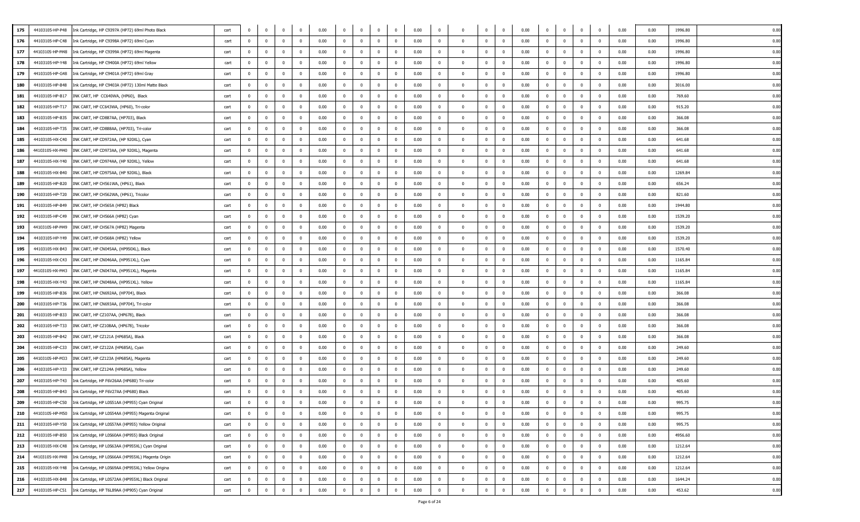| 44103105-HP-P48<br>175 | Ink Cartridge, HP C9397A (HP72) 69ml Photo Black                      | cart | $\Omega$       | $\overline{0}$ | $\overline{0}$          | $\mathbf 0$             | 0.00 | $\mathbf 0$    | $\mathbf 0$    | $\bf{0}$       | $\overline{0}$ | 0.00 | $\mathbf 0$  | $\Omega$       | $\overline{0}$ | $\overline{0}$          | 0.00 | $\overline{0}$ | $\overline{0}$          | $\mathbf{0}$   | $\mathbf 0$    | 0.00 | 0.00 | 1996.80 | 0.00 |
|------------------------|-----------------------------------------------------------------------|------|----------------|----------------|-------------------------|-------------------------|------|----------------|----------------|----------------|----------------|------|--------------|----------------|----------------|-------------------------|------|----------------|-------------------------|----------------|----------------|------|------|---------|------|
| 176<br>44103105-HP-C48 | Ink Cartridge, HP C9398A (HP72) 69ml Cyan                             | cart | $\Omega$       | $\overline{0}$ | $\overline{\mathbf{0}}$ | $\mathbf{0}$            | 0.00 | $\overline{0}$ | $\mathbf{0}$   | $\overline{0}$ | $\overline{0}$ | 0.00 | $\mathbf{0}$ | $\Omega$       | $\overline{0}$ | $\overline{0}$          | 0.00 | $\mathbf 0$    | $\mathbf 0$             | $\mathbf{0}$   | $^{\circ}$     | 0.00 | 0.00 | 1996.80 | 0.00 |
| 177                    | 44103105-HP-M48    Ink Cartridge, HP C9399A (HP72) 69ml Magenta       | cart | $\bf{0}$       | $\overline{0}$ | $\overline{\mathbf{0}}$ | $\overline{0}$          | 0.00 | $\overline{0}$ | $\mathbf 0$    | $\overline{0}$ | $\mathbf 0$    | 0.00 | $\mathbf 0$  | $^{\circ}$     | $\overline{0}$ | $\overline{\mathbf{0}}$ | 0.00 | $\overline{0}$ | $\bf{0}$                | $\bf{0}$       | $\mathbf 0$    | 0.00 | 0.00 | 1996.80 | 0.00 |
| 178<br>44103105-HP-Y48 | Ink Cartridge, HP C9400A (HP72) 69ml Yellow                           | cart | $\mathbf{0}$   | $\overline{0}$ | $\overline{\mathbf{0}}$ | $\overline{0}$          | 0.00 | $\overline{0}$ | $\mathbf{0}$   | $\overline{0}$ | $\mathbf{0}$   | 0.00 | $\mathbf{0}$ | $^{\circ}$     | $\overline{0}$ | $\overline{\mathbf{0}}$ | 0.00 | $\mathbf 0$    | $\overline{0}$          | $\bf{0}$       | $^{\circ}$     | 0.00 | 0.00 | 1996.80 | 0.00 |
| 179<br>44103105-HP-G48 | Ink Cartridge, HP C9401A (HP72) 69ml Gray                             | cart | $\mathbf{0}$   | $\mathbf 0$    | $\overline{\mathbf{0}}$ | $\Omega$                | 0.00 | $\overline{0}$ | $\mathbf{0}$   | $\overline{0}$ | $^{\circ}$     | 0.00 | $\Omega$     | $\Omega$       | $\overline{0}$ | $\overline{\mathbf{0}}$ | 0.00 | $^{\circ}$     | $\overline{0}$          | $\mathbf 0$    | $^{\circ}$     | 0.00 | 0.00 | 1996.80 | 0.00 |
| 180<br>44103105-HP-B48 | Ink Cartridge, HP C9403A (HP72) 130ml Matte Black                     | cart | $\Omega$       | $\overline{0}$ | $\overline{0}$          | $\Omega$                | 0.00 | $\overline{0}$ | $\mathbf 0$    | $\overline{0}$ | $^{\circ}$     | 0.00 | $^{\circ}$   | $\Omega$       | $\mathbf{0}$   | $\overline{\mathbf{0}}$ | 0.00 | $\overline{0}$ | $\overline{0}$          | $\mathbf{0}$   | $^{\circ}$     | 0.00 | 0.00 | 3016.00 | 0.00 |
| 181<br>44103105-HP-B17 | INK CART, HP CC640WA, (HP60), Black                                   | cart | $^{\circ}$     | $\overline{0}$ | $\mathbf 0$             | $\mathbf{0}$            | 0.00 | $^{\circ}$     | $\mathbf{0}$   | $\mathbf 0$    | $^{\circ}$     | 0.00 | $\mathbf 0$  | $\Omega$       | $\mathbf{0}$   | $\overline{\mathbf{0}}$ | 0.00 | $\mathbf{0}$   | $\mathbf{0}$            | $\bf{0}$       | 0              | 0.00 | 0.00 | 769.60  | 0.00 |
| 182<br>44103105-HP-T17 | INK CART, HP CC643WA, (HP60), Tri-color                               | cart | $\mathbf{0}$   | $\overline{0}$ | $\mathbf 0$             | $\mathbf 0$             | 0.00 | $^{\circ}$     | $\mathbf 0$    | $\overline{0}$ | $^{\circ}$     | 0.00 | $\Omega$     |                | $\overline{0}$ | $\overline{0}$          | 0.00 | $\mathbf 0$    | $\mathbf{0}$            | $\mathbf 0$    | $^{\circ}$     | 0.00 | 0.00 | 915.20  | 0.00 |
| 183<br>44103105-HP-B35 | INK CART, HP CD887AA, (HP703), Black                                  | cart | $\overline{0}$ | $\overline{0}$ | $\mathbf 0$             | $\Omega$                | 0.00 | $\overline{0}$ | $\mathbf 0$    | $\overline{0}$ | $\mathbf{0}$   | 0.00 | $\Omega$     | $\Omega$       | $\overline{0}$ | $\mathbf{0}$            | 0.00 | $\mathbf{0}$   | $\mathbf 0$             | $\bf{0}$       | $^{\circ}$     | 0.00 | 0.00 | 366.08  | 0.00 |
| 184<br>44103105-HP-T35 | INK CART, HP CD888AA, (HP703), Tri-color                              | cart | $\Omega$       | $\overline{0}$ | $\overline{\mathbf{0}}$ | $\Omega$                | 0.00 | $\overline{0}$ | $\mathbf 0$    | $\overline{0}$ | $\mathbf{0}$   | 0.00 | $\Omega$     | $\Omega$       | $\overline{0}$ | $\overline{0}$          | 0.00 | $\mathbf{0}$   | $\overline{0}$          | $\mathbf 0$    | $^{\circ}$     | 0.00 | 0.00 | 366.08  | 0.00 |
| 185<br>44103105-HX-C40 | INK CART, HP CD972AA, (HP 920XL), Cyan                                | cart | $\mathbf{0}$   | $\overline{0}$ | $\overline{\mathbf{0}}$ | $\overline{0}$          | 0.00 | $\overline{0}$ | $\mathbf 0$    | $\overline{0}$ | $\mathbf{0}$   | 0.00 | $\mathbf{0}$ | $^{\circ}$     | $\overline{0}$ | $\overline{\mathbf{0}}$ | 0.00 | $\overline{0}$ | $\overline{0}$          | $\mathbf 0$    | $^{\circ}$     | 0.00 | 0.00 | 641.68  | 0.00 |
| 186<br>44103105-HX-M40 | INK CART, HP CD973AA, (HP 920XL), Magenta                             | cart | $\Omega$       | $\overline{0}$ | $\overline{0}$          | $\Omega$                | 0.00 | $\overline{0}$ | $\Omega$       | $\overline{0}$ | $^{\circ}$     | 0.00 | $\Omega$     |                | $\Omega$       | $\overline{0}$          | 0.00 | $\mathbf 0$    | $\mathbf{0}$            | $\mathbf 0$    | $\Omega$       | 0.00 | 0.00 | 641.68  | 0.00 |
| 187<br>44103105-HX-Y40 | INK CART, HP CD974AA, (HP 920XL), Yellow                              | cart | $\Omega$       | $\overline{0}$ | $\overline{0}$          | $\Omega$                | 0.00 | $\overline{0}$ | $\mathbf{0}$   | $\overline{0}$ | $^{\circ}$     | 0.00 | $^{\circ}$   | $\Omega$       | $\mathbf{0}$   | $\overline{\mathbf{0}}$ | 0.00 | $\mathbf{0}$   | $\overline{0}$          | $\mathbf{0}$   | $^{\circ}$     | 0.00 | 0.00 | 641.68  | 0.00 |
| 188<br>44103105-HX-B40 | INK CART, HP CD975AA, (HP 920XL), Black                               | cart | $^{\circ}$     | $\overline{0}$ | $\mathbf 0$             | $\overline{0}$          | 0.00 | $^{\circ}$     | $\mathbf{0}$   | $\mathbf 0$    | $^{\circ}$     | 0.00 | $\mathbf{0}$ | $\Omega$       | $\mathbf{0}$   | $\overline{\mathbf{0}}$ | 0.00 | $\mathbf 0$    | $\mathbf{0}$            | $^{\circ}$     | 0              | 0.00 | 0.00 | 1269.84 | 0.00 |
| 189<br>44103105-HP-B20 | INK CART, HP CH561WA, (HP61), Black                                   | cart | $\mathbf{0}$   | $\overline{0}$ | $\mathbf 0$             | $\mathbf 0$             | 0.00 | $^{\circ}$     | $\overline{0}$ | $\overline{0}$ | $^{\circ}$     | 0.00 | $\Omega$     |                | $\mathbf 0$    | $\overline{0}$          | 0.00 | $\mathbf 0$    | $\mathbf 0$             | $\mathbf 0$    | $^{\circ}$     | 0.00 | 0.00 | 656.24  | 0.00 |
| 190<br>44103105-HP-T20 | INK CART, HP CH562WA, (HP61), Tricolor                                | cart | $\overline{0}$ | $\overline{0}$ | $\mathbf 0$             | $\Omega$                | 0.00 | $\overline{0}$ | $\Omega$       | $\overline{0}$ | $\mathbf{0}$   | 0.00 | $\Omega$     |                | $\overline{0}$ | $\overline{0}$          | 0.00 | $\mathbf 0$    | $\mathbf 0$             | $\mathbf{0}$   | $^{\circ}$     | 0.00 | 0.00 | 821.60  | 0.00 |
| 191<br>44103105-HP-B49 | INK CART, HP CH565A (HP82) Black                                      | cart | $\Omega$       | $\overline{0}$ | $\overline{\mathbf{0}}$ | $\Omega$                | 0.00 | $\overline{0}$ | $\mathbf 0$    | $\overline{0}$ | $\Omega$       | 0.00 | $\Omega$     |                | $\overline{0}$ | $\overline{0}$          | 0.00 | $\mathbf{0}$   | $\mathbf{0}$            | $\mathbf 0$    | $\Omega$       | 0.00 | 0.00 | 1944.80 | 0.00 |
| 192<br>44103105-HP-C49 | INK CART, HP CH566A (HP82) Cyan                                       | cart | $\mathbf{0}$   | $\overline{0}$ | $\overline{\mathbf{0}}$ | $\overline{0}$          | 0.00 | $\mathbf{0}$   | $\mathbf 0$    | $\overline{0}$ | $\mathbf{0}$   | 0.00 | $\Omega$     | $^{\circ}$     | $\overline{0}$ | $\overline{\mathbf{0}}$ | 0.00 | $\overline{0}$ | $\overline{0}$          | $\mathbf 0$    | $^{\circ}$     | 0.00 | 0.00 | 1539.20 | 0.00 |
| 193<br>44103105-HP-M49 | INK CART, HP CH567A (HP82) Magenta                                    | cart | $\Omega$       | $\overline{0}$ | $\overline{\mathbf{0}}$ | $\Omega$                | 0.00 | $\mathbf 0$    | $\Omega$       | $\overline{0}$ | $\Omega$       | 0.00 | $\Omega$     | $\Omega$       | $\Omega$       | $\Omega$                | 0.00 | $\mathbf 0$    | $\mathbf{0}$            | $\mathbf{0}$   | $\Omega$       | 0.00 | 0.00 | 1539.20 | 0.00 |
| 194<br>44103105-HP-Y49 | INK CART, HP CH568A (HP82) Yellow                                     | cart | $\Omega$       | $\overline{0}$ | $\overline{\mathbf{0}}$ | $\Omega$                | 0.00 | $\overline{0}$ | $\mathbf{0}$   | $\overline{0}$ | $^{\circ}$     | 0.00 | $\Omega$     | $\Omega$       | $\Omega$       | $\overline{\mathbf{0}}$ | 0.00 | $^{\circ}$     | $\mathbf{0}$            | $\mathbf 0$    | $^{\circ}$     | 0.00 | 0.00 | 1539.20 | 0.00 |
| 195<br>44103105-HX-B43 | INK CART, HP CN045AA, (HP950XL), Black                                | cart | $\Omega$       | $\overline{0}$ | $\overline{\mathbf{0}}$ | $\Omega$                | 0.00 | $\overline{0}$ | $\mathbf 0$    | $\overline{0}$ | $^{\circ}$     | 0.00 | $\mathbf 0$  | $\Omega$       | $\overline{0}$ | $\overline{\mathbf{0}}$ | 0.00 | $\overline{0}$ | $\overline{0}$          | $\mathbf 0$    | $\overline{0}$ | 0.00 | 0.00 | 1570.40 | 0.00 |
| 196<br>44103105-HX-C43 | INK CART, HP CN046AA, (HP951XL), Cyan                                 | cart | $\mathbf 0$    | $\overline{0}$ | $\mathbf 0$             | $\mathbf 0$             | 0.00 | $^{\circ}$     | $\mathbf 0$    | $\overline{0}$ | $^{\circ}$     | 0.00 | $\Omega$     |                | $\mathbf{0}$   | $\overline{0}$          | 0.00 | $\mathbf{0}$   | $\mathbf{0}$            | $\mathbf 0$    | $^{\circ}$     | 0.00 | 0.00 | 1165.84 | 0.00 |
| 197<br>44103105-HX-M43 | INK CART, HP CN047AA, (HP951XL), Magenta                              | cart | $\Omega$       | $\overline{0}$ | $\mathbf 0$             | $\overline{0}$          | 0.00 | $\overline{0}$ | $\mathbf 0$    | $\mathbf 0$    | $\mathbf 0$    | 0.00 | $\Omega$     | $\Omega$       | $\overline{0}$ | $\overline{0}$          | 0.00 | $\mathbf{0}$   | $\mathbf{0}$            | $\mathbf{0}$   | $^{\circ}$     | 0.00 | 0.00 | 1165.84 | 0.00 |
| 198<br>44103105-HX-Y43 | INK CART, HP CN048AA, (HP951XL). Yellow                               | cart | $\Omega$       | $\overline{0}$ | $\mathbf{0}$            | $\Omega$                | 0.00 | $\overline{0}$ | $\mathbf{0}$   | $\mathbf{0}$   | $\mathbf{0}$   | 0.00 | $\Omega$     |                | $\overline{0}$ | $\overline{0}$          | 0.00 | $\mathbf{0}$   | $\mathbf{0}$            | $\mathbf 0$    | $\Omega$       | 0.00 | 0.00 | 1165.84 | 0.00 |
| 199<br>44103105-HP-B36 | INK CART, HP CN692AA, (HP704), Black                                  | cart | $\bf{0}$       | $\overline{0}$ | $\overline{\mathbf{0}}$ | $\overline{0}$          | 0.00 | $\overline{0}$ | $\mathbf 0$    | $\overline{0}$ | $\mathbf{0}$   | 0.00 | $\mathbf 0$  | $^{\circ}$     | $\overline{0}$ | $\overline{\mathbf{0}}$ | 0.00 | $\bf{0}$       | $\overline{0}$          | $\mathbf{0}$   | $\overline{0}$ | 0.00 | 0.00 | 366.08  | 0.00 |
| 200<br>44103105-HP-T36 | INK CART, HP CN693AA, (HP704), Tri-color                              | cart | $\Omega$       | $\overline{0}$ | $\mathbf{0}$            | $\Omega$                | 0.00 | $\overline{0}$ | $\Omega$       | $\overline{0}$ | $^{\circ}$     | 0.00 | $\Omega$     | $\Omega$       | $\Omega$       | $\overline{0}$          | 0.00 | $\mathbf 0$    | $\mathbf{0}$            | $\mathbf{0}$   | $^{\circ}$     | 0.00 | 0.00 | 366.08  | 0.00 |
| 201<br>44103105-HP-B33 | INK CART, HP CZ107AA, (HP678), Black                                  | cart | $\Omega$       | $\overline{0}$ | $\overline{\mathbf{0}}$ | $\Omega$                | 0.00 | $\overline{0}$ | $\mathbf 0$    | $\overline{0}$ | $\mathbf{0}$   | 0.00 | $\Omega$     | $\Omega$       | $\mathbf 0$    | $^{\circ}$              | 0.00 | $\overline{0}$ | $\mathbf{0}$            | $\mathbf 0$    | $^{\circ}$     | 0.00 | 0.00 | 366.08  | 0.00 |
| 202<br>44103105-HP-T33 | INK CART, HP CZ108AA, (HP678), Tricolor                               | cart | $\Omega$       | $\overline{0}$ | $\overline{\mathbf{0}}$ | $\Omega$                | 0.00 | $\overline{0}$ | $\mathbf 0$    | $\overline{0}$ | $^{\circ}$     | 0.00 | $\mathbf 0$  | $\Omega$       | $\mathbf{0}$   | $\overline{\mathbf{0}}$ | 0.00 | $\mathbf 0$    | $\mathbf{0}$            | $\mathbf 0$    | $\mathbf 0$    | 0.00 | 0.00 | 366.08  | 0.00 |
| 203<br>44103105-HP-B42 | INK CART, HP CZ121A (HP685A), Black                                   | cart | $^{\circ}$     | $\overline{0}$ | $\overline{\mathbf{0}}$ | $\overline{0}$          | 0.00 | $^{\circ}$     | $\overline{0}$ | $\overline{0}$ | $^{\circ}$     | 0.00 | $\mathbf 0$  | $^{\circ}$     | $\overline{0}$ | $\overline{\mathbf{0}}$ | 0.00 | $\mathbf{0}$   | $\overline{\mathbf{0}}$ | $\mathbf 0$    | $^{\circ}$     | 0.00 | 0.00 | 366.08  | 0.00 |
| 204<br>44103105-HP-C33 | INK CART, HP CZ122A (HP685A), Cyan                                    | cart | $\Omega$       | $\overline{0}$ | $\mathbf 0$             | $\Omega$                | 0.00 | $\overline{0}$ | $\mathbf 0$    | $\mathbf 0$    | $\mathbf{0}$   | 0.00 | $\Omega$     |                | $\overline{0}$ | $\overline{0}$          | 0.00 | $\mathbf 0$    | $\mathbf{0}$            | $\mathbf 0$    | $^{\circ}$     | 0.00 | 0.00 | 249.60  | 0.00 |
| 205<br>44103105-HP-M33 | INK CART, HP CZ123A (HP685A), Magenta                                 | cart | $\Omega$       | $\overline{0}$ | $\mathbf{0}$            | $\Omega$                | 0.00 | $\overline{0}$ | $\mathbf{0}$   | $\overline{0}$ | $\Omega$       | 0.00 | $\Omega$     |                | $\mathbf{0}$   | $\overline{0}$          | 0.00 | $\mathbf 0$    | $\mathbf{0}$            | $\mathbf 0$    | $\Omega$       | 0.00 | 0.00 | 249.60  | 0.00 |
| 206<br>44103105-HP-Y33 | INK CART, HP CZ124A (HP685A), Yellow                                  | cart | $\mathbf{0}$   | $\overline{0}$ | $\overline{\mathbf{0}}$ | $\overline{\mathbf{0}}$ | 0.00 | $^{\circ}$     | $\mathbf{0}$   | $\overline{0}$ | $^{\circ}$     | 0.00 | $^{\circ}$   | $^{\circ}$     | $\mathbf{0}$   | $\overline{\mathbf{0}}$ | 0.00 | $^{\circ}$     | $\overline{\mathbf{0}}$ | $\bf{0}$       | $\mathbf 0$    | 0.00 | 0.00 | 249.60  | 0.00 |
| 207<br>44103105-HP-T43 | Ink Cartridge, HP F6V26AA (HP680) Tri-color                           | cart | $^{\circ}$     | $\overline{0}$ | $\mathbf{0}$            | $^{\circ}$              | 0.00 | $^{\circ}$     | $\mathbf{0}$   | $\overline{0}$ | $^{\circ}$     | 0.00 | $\Omega$     | $\Omega$       | $\mathbf{0}$   | $^{\circ}$              | 0.00 | $^{\circ}$     | $\mathbf{0}$            | $\mathbf 0$    | $^{\circ}$     | 0.00 | 0.00 | 405.60  | 0.00 |
| 208<br>44103105-HP-B43 | Ink Cartridge, HP F6V27AA (HP680) Black                               | cart | $\Omega$       | $\overline{0}$ | $\mathbf{0}$            | $\Omega$                | 0.00 | $^{\circ}$     | $\mathbf{0}$   | $\overline{0}$ | $^{\circ}$     | 0.00 | $\Omega$     |                | $\mathbf{0}$   | $\overline{0}$          | 0.00 | $^{\circ}$     | $\mathbf{0}$            | $\mathbf{0}$   | $^{\circ}$     | 0.00 | 0.00 | 405.60  | 0.00 |
| 209<br>44103105-HP-C50 | Ink Cartridge, HP L0S51AA (HP955) Cyan Original                       | cart | $\Omega$       | $\overline{0}$ | $\overline{0}$          | $\Omega$                | 0.00 | $^{\circ}$     | $\Omega$       | $\overline{0}$ | $\Omega$       | 0.00 | $\mathbf{0}$ |                | $\overline{0}$ | $\overline{0}$          | 0.00 | $\Omega$       | $\overline{0}$          | $\mathbf{0}$   | $\mathbf{0}$   | 0.00 | 0.00 | 995.75  | 0.00 |
| 210                    | 44103105-HP-M50 Ink Cartridge, HP L0S54AA (HP955) Magenta Original    | cart | $\mathbf{0}$   | $\overline{0}$ | $\overline{\mathbf{0}}$ | $\mathbf{0}$            | 0.00 | $\overline{0}$ | $\mathbf{0}$   | $\overline{0}$ | $\overline{0}$ | 0.00 | $\mathbf{0}$ | $\mathbf{0}$   | $\overline{0}$ | $\overline{\mathbf{0}}$ | 0.00 | $\overline{0}$ | $\mathbf 0$             | $\bf{0}$       | $\bf{0}$       | 0.00 | 0.00 | 995.75  | 0.00 |
| 211<br>44103105-HP-Y50 | Ink Cartridge, HP L0S57AA (HP955) Yellow Original                     | cart | $\mathbf{0}$   | $\overline{0}$ | $\overline{\mathbf{0}}$ | $\mathbf{0}$            | 0.00 | $\overline{0}$ | $\mathbf{0}$   | $\bf{0}$       | $\overline{0}$ | 0.00 | $\mathbf 0$  | $\Omega$       | $\overline{0}$ | $\overline{0}$          | 0.00 | $\mathbf{0}$   | $\mathbf 0$             | $\overline{0}$ | $\bf{0}$       | 0.00 | 0.00 | 995.75  | 0.00 |
| 212<br>44103105-HP-B50 | Ink Cartridge, HP L0S60AA (HP955) Black Original                      | cart | $\mathbf{0}$   | $\mathbf{0}$   | $\overline{0}$          | $\overline{0}$          | 0.00 | $\overline{0}$ | $\mathbf{0}$   | $\overline{0}$ | $\mathbf{0}$   | 0.00 | $\mathbf{0}$ | $\Omega$       | $\overline{0}$ | $\mathbf{0}$            | 0.00 | $\overline{0}$ | $\mathbf 0$             | $\mathbf{0}$   | $\mathbf 0$    | 0.00 | 0.00 | 4956.60 | 0.00 |
| 213<br>44103105-HX-C48 | Ink Cartridge, HP L0S63AA (HP955XL) Cyan Original                     | cart | $\bf{0}$       | $\overline{0}$ | $\overline{0}$          | $\bf{0}$                | 0.00 | $\overline{0}$ | $\bf{0}$       | $\overline{0}$ | $\mathbf 0$    | 0.00 | $\mathbf{0}$ | $\mathbf 0$    | $\overline{0}$ | $\overline{\mathbf{0}}$ | 0.00 | $\overline{0}$ | $\overline{0}$          | $\overline{0}$ | $\overline{0}$ | 0.00 | 0.00 | 1212.64 | 0.00 |
| 214                    | 44103105-HX-M48    Ink Cartridge, HP L0S66AA (HP955XL) Magenta Origin | cart | $\bf{0}$       | $\mathbf{0}$   | $\mathbf 0$             | $\mathbf{0}$            | 0.00 | $\overline{0}$ | $\mathbf{0}$   | $\overline{0}$ | $\mathbf{0}$   | 0.00 | $\mathbf 0$  | $\overline{0}$ | $\overline{0}$ | $\overline{0}$          | 0.00 | $\overline{0}$ | $\mathbf 0$             | $\mathbf{0}$   | $\mathbf{0}$   | 0.00 | 0.00 | 1212.64 | 0.00 |
| 215<br>44103105-HX-Y48 | Ink Cartridge, HP L0S69AA (HP955XL) Yellow Origina                    | cart | $\mathbf{0}$   | $\overline{0}$ | $\overline{\mathbf{0}}$ | $\mathbf 0$             | 0.00 | $\overline{0}$ | $\mathbf{0}$   | $\overline{0}$ | $\mathbf 0$    | 0.00 | $\mathbf 0$  | $^{\circ}$     | $\overline{0}$ | $\bf{0}$                | 0.00 | $\mathbf 0$    | $\overline{0}$          | $\bf{0}$       | $\overline{0}$ | 0.00 | 0.00 | 1212.64 | 0.00 |
| 216<br>44103105-HX-B48 | Ink Cartridge, HP L0S72AA (HP955XL) Black Original                    | cart | $\bf{0}$       | $\overline{0}$ | $\overline{\mathbf{0}}$ | $\overline{0}$          | 0.00 | $\overline{0}$ | $\mathbf 0$    | $\overline{0}$ | $\mathbf 0$    | 0.00 | $\mathbf 0$  | $\Omega$       | $\overline{0}$ | $\bf{0}$                | 0.00 | $\mathbf 0$    | $\bf{0}$                | $\bf{0}$       | $\overline{0}$ | 0.00 | 0.00 | 1644.24 | 0.00 |
| 217<br>44103105-HP-C51 | Ink Cartridge, HP T6L89AA (HP905) Cyan Original                       | cart | $\mathbf{0}$   | $\overline{0}$ | $\overline{\mathbf{0}}$ | $\overline{0}$          | 0.00 | $\mathbf 0$    | $\overline{0}$ | $\mathbf 0$    | $\overline{0}$ | 0.00 | $\mathbf 0$  | $\mathbf{0}$   | $\mathbf 0$    | $\overline{\mathbf{0}}$ | 0.00 | $\bf{0}$       | $\mathbf 0$             | $\mathbf{0}$   | $\mathbf{0}$   | 0.00 | 0.00 | 453.62  | 0.00 |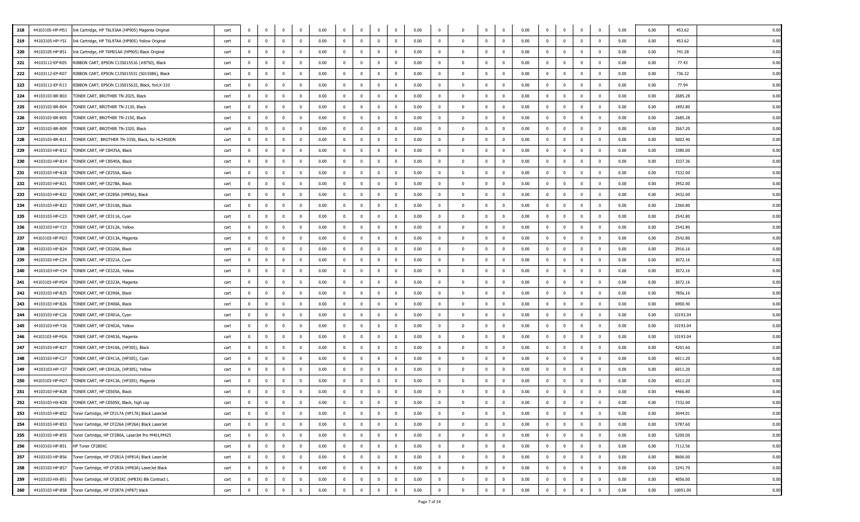| 218 | 44103105-HP-M51 | Ink Cartridge, HP T6L93AA (HP905) Magenta Original | cart | $\Omega$       | $^{\circ}$     | $^{\circ}$     | $\overline{0}$          | 0.00 | $\overline{0}$ | $\mathbf 0$    | $\mathbf{0}$            | $\bf{0}$       | 0.00 | $\mathbf 0$    |                | $^{\circ}$     | $\mathbf{0}$   | 0.00 | $\mathbf 0$    | $^{\circ}$              | $\mathbf{0}$   | $^{\circ}$     | 0.00 | 0.00 | 453.62   | 0.00 |
|-----|-----------------|----------------------------------------------------|------|----------------|----------------|----------------|-------------------------|------|----------------|----------------|-------------------------|----------------|------|----------------|----------------|----------------|----------------|------|----------------|-------------------------|----------------|----------------|------|------|----------|------|
| 219 | 44103105-HP-Y51 | Ink Cartridge, HP T6L97AA (HP905) Yellow Original  | cart | $\mathbf{0}$   | $\mathbf{0}$   | $^{\circ}$     | $\overline{0}$          | 0.00 | $\overline{0}$ | $^{\circ}$     | $\overline{0}$          | $\bf{0}$       | 0.00 | $\mathbf 0$    | $\Omega$       | $^{\circ}$     | $\mathbf{0}$   | 0.00 | $\Omega$       | $\overline{0}$          | $\bf{0}$       | $^{\circ}$     | 0.00 | 0.00 | 453.62   | 0.00 |
| 220 | 44103105-HP-B51 | Ink Cartridge, HP T6M01AA (HP905) Black Original   | cart | $\overline{0}$ | $\mathbf{0}$   | $\overline{0}$ | $\overline{0}$          | 0.00 | $\overline{0}$ | $\mathbf 0$    | $\overline{0}$          | $\overline{0}$ | 0.00 | $\Omega$       | $\Omega$       | $\Omega$       | $\mathbf 0$    | 0.00 | $\mathbf{0}$   | $\mathbf{0}$            | $\bf{0}$       | $\Omega$       | 0.00 | 0.00 | 741.28   | 0.00 |
| 221 | 44103112-EP-R05 | RIBBON CART, EPSON C13S015516 (#8750), Black       | cart | $\mathbf{0}$   | $\mathbf 0$    | $\overline{0}$ | $\overline{\mathbf{0}}$ | 0.00 | $\bf{0}$       | $\mathbf{0}$   | $\overline{0}$          | $\mathbf{0}$   | 0.00 | $\overline{0}$ | $^{\circ}$     | $\overline{0}$ | $\overline{0}$ | 0.00 | $\mathbf{0}$   | $\overline{\mathbf{0}}$ | $\overline{0}$ | $^{\circ}$     | 0.00 | 0.00 | 77.43    | 0.00 |
| 222 | 44103112-EP-R07 | RIBBON CART, EPSON C13S015531 (S015086), Black     | cart | $\mathbf{0}$   | $\Omega$       | $^{\circ}$     | $\overline{0}$          | 0.00 | $\overline{0}$ | $\Omega$       | $\mathbf{0}$            | $\bf{0}$       | 0.00 | $\Omega$       | $\Omega$       | $^{\circ}$     | $\Omega$       | 0.00 | $\mathbf{0}$   | $\Omega$                | $\bf{0}$       | $\Omega$       | 0.00 | 0.00 | 736.32   | 0.00 |
| 223 | 44103112-EP-R13 | RIBBON CART, EPSON C13S015632, Black, forLX-310    | cart | $\overline{0}$ | $^{\circ}$     | $\overline{0}$ | $\overline{0}$          | 0.00 | $\mathbf{0}$   | $^{\circ}$     | $\overline{0}$          | $\bf{0}$       | 0.00 | $\overline{0}$ | $\Omega$       | $\mathbf{0}$   | $^{\circ}$     | 0.00 | $\mathbf{0}$   | $\mathbf{0}$            | $\bf{0}$       | $^{\circ}$     | 0.00 | 0.00 | 77.94    | 0.00 |
| 224 | 44103103-BR-B03 | TONER CART, BROTHER TN-2025, Black                 | cart | $\overline{0}$ | $\mathbf 0$    | $\mathbf 0$    | $\overline{\mathbf{0}}$ | 0.00 | $\bf{0}$       | $\mathbf{0}$   | $\overline{0}$          | $\mathbf{0}$   | 0.00 | $\overline{0}$ | $^{\circ}$     | $\mathbf 0$    | $\mathbf{0}$   | 0.00 | $\bf{0}$       | $\overline{\mathbf{0}}$ | $\mathbf 0$    | $^{\circ}$     | 0.00 | 0.00 | 2685.28  | 0.00 |
| 225 | 44103103-BR-B04 | TONER CART, BROTHER TN-2130, Black                 | cart | $\overline{0}$ | $^{\circ}$     | $\mathbf 0$    | $\overline{0}$          | 0.00 | $\bf{0}$       | $\mathbf 0$    | $\mathbf{0}$            | $\mathbf{0}$   | 0.00 | $^{\circ}$     | $^{\circ}$     | $\mathbf 0$    | $\overline{0}$ | 0.00 | $\mathbf 0$    | $^{\circ}$              | $\mathbf{0}$   | $^{\circ}$     | 0.00 | 0.00 | 1892.80  | 0.00 |
| 226 | 44103103-BR-B05 | TONER CART, BROTHER TN-2150, Black                 | cart | $\mathbf 0$    | $^{\circ}$     | $\mathbf{0}$   | $\overline{0}$          | 0.00 | $\bf{0}$       | $\mathbf 0$    | $\bf{0}$                | $\bf{0}$       | 0.00 | $\mathbf 0$    | $\Omega$       | $\mathbf{0}$   | $\mathbf 0$    | 0.00 | $\mathbf 0$    | $\mathbf 0$             | $\bf{0}$       | $^{\circ}$     | 0.00 | 0.00 | 2685.28  | 0.00 |
| 227 | 44103103-BR-B09 | TONER CART, BROTHER TN-3320, Black                 | cart | $\mathbf{0}$   | $\mathbf{0}$   | $\mathbf 0$    | $\overline{0}$          | 0.00 | $\mathbf{0}$   | $\mathbf 0$    | $\overline{0}$          | $\bf{0}$       | 0.00 | $\overline{0}$ | $^{\circ}$     | $\mathbf{0}$   | $\mathbf 0$    | 0.00 | $\mathbf 0$    | $\overline{0}$          | $\bf{0}$       | $\Omega$       | 0.00 | 0.00 | 3567.20  | 0.00 |
| 228 | 44103103-BR-B11 | TONER CART, BROTHER TN-3350, Black, for HL5450DN   | cart | $\mathbf 0$    | $\mathbf{0}$   | $\bf{0}$       | $\overline{\mathbf{0}}$ | 0.00 | $\bf{0}$       | $\bf{0}$       | $\overline{0}$          | $\bf{0}$       | 0.00 | $\overline{0}$ | $^{\circ}$     | $\bf{0}$       | $\overline{0}$ | 0.00 | $\bf{0}$       | $\overline{0}$          | $\mathbf 0$    | $^{\circ}$     | 0.00 | 0.00 | 5002.40  | 0.00 |
| 229 | 44103103-HP-B12 | TONER CART, HP CB435A, Black                       | cart | $\overline{0}$ | $^{\circ}$     | $\mathbf{0}$   | $\overline{0}$          | 0.00 | $\mathbf{0}$   | $\mathbf{0}$   | $\mathbf 0$             | $\bf{0}$       | 0.00 | $\overline{0}$ | $^{\circ}$     | $^{\circ}$     | $\mathbf 0$    | 0.00 | $\mathbf 0$    | $\mathbf{0}$            | $\overline{0}$ | $\Omega$       | 0.00 | 0.00 | 3380.00  | 0.00 |
| 230 | 44103103-HP-B14 | TONER CART, HP CB540A, Black                       | cart | $\mathbf 0$    | $^{\circ}$     | $\overline{0}$ | $\overline{0}$          | 0.00 | $\mathbf{0}$   | $\mathbf 0$    | $\overline{0}$          | $\bf{0}$       | 0.00 | $\overline{0}$ | $\Omega$       | $\mathbf{0}$   | $^{\circ}$     | 0.00 | $\mathbf 0$    | $\mathbf{0}$            | $\bf{0}$       | $^{\circ}$     | 0.00 | 0.00 | 3337.36  | 0.00 |
| 231 | 44103103-HP-B18 | TONER CART, HP CE255A, Black                       | cart | $\overline{0}$ | $^{\circ}$     | $\mathbf{0}$   | $\overline{0}$          | 0.00 | $\bf{0}$       | $\mathbf 0$    | $\overline{\mathbf{0}}$ | $\overline{0}$ | 0.00 | $\overline{0}$ | $\Omega$       | $^{\circ}$     | $\mathbf{0}$   | 0.00 | $\mathbf{0}$   | $\mathbf{0}$            | $\overline{0}$ | $^{\circ}$     | 0.00 | 0.00 | 7332.00  | 0.00 |
| 232 | 44103103-HP-B21 | TONER CART, HP CE278A, Black                       | cart | $\overline{0}$ | $^{\circ}$     | $^{\circ}$     | $\overline{0}$          | 0.00 | $\bf{0}$       | $\mathbf 0$    | $\mathbf{0}$            | $\mathbf{0}$   | 0.00 | $\overline{0}$ | $^{\circ}$     | $^{\circ}$     | $\mathbf{0}$   | 0.00 | $\mathbf 0$    | $^{\circ}$              | $\mathbf{0}$   | $^{\circ}$     | 0.00 | 0.00 | 3952.00  | 0.00 |
| 233 | 44103103-HP-B22 | TONER CART, HP CE285A (HP85A), Black               | cart | $\mathbf 0$    | $^{\circ}$     | $\mathbf{0}$   | $\overline{0}$          | 0.00 | $\bf{0}$       | $\Omega$       | $\overline{0}$          | $\bf{0}$       | 0.00 | $\mathbf 0$    | $\Omega$       | $^{\circ}$     | $\mathbf 0$    | 0.00 | $\mathbf{0}$   | $\mathbf{0}$            | $\mathbf{0}$   | $\Omega$       | 0.00 | 0.00 | 3432.00  | 0.00 |
| 234 | 44103103-HP-B23 | TONER CART, HP CE310A, Black                       | cart | $\mathbf 0$    | $\mathbf 0$    | $\mathbf{0}$   | $\overline{0}$          | 0.00 | $\mathbf{0}$   | $\mathbf{0}$   | $\overline{\mathbf{0}}$ | $\bf{0}$       | 0.00 | $\overline{0}$ | $^{\circ}$     | $\mathbf{0}$   | $\mathbf 0$    | 0.00 | $\mathbf{0}$   | $\overline{0}$          | $\overline{0}$ | $^{\circ}$     | 0.00 | 0.00 | 2360.80  | 0.00 |
| 235 | 44103103-HP-C23 | TONER CART, HP CE311A, Cyan                        | cart | $\overline{0}$ | $^{\circ}$     | $\overline{0}$ | $\mathbf 0$             | 0.00 | $\bf{0}$       | $\mathbf 0$    | $\overline{0}$          | $\bf{0}$       | 0.00 | $\overline{0}$ | $\Omega$       | $\mathbf 0$    | $\mathbf{0}$   | 0.00 | $\mathbf 0$    | $\overline{0}$          | $\overline{0}$ | $\Omega$       | 0.00 | 0.00 | 2542.80  | 0.00 |
| 236 | 44103103-HP-Y23 | TONER CART, HP CE312A, Yellow                      | cart | $\mathbf 0$    | $^{\circ}$     | $^{\circ}$     | $\overline{0}$          | 0.00 | $\overline{0}$ | $\mathbf{0}$   | $\mathbf{0}$            | $\bf{0}$       | 0.00 | $\overline{0}$ | $\Omega$       | $^{\circ}$     | $\mathbf 0$    | 0.00 | $\mathbf{0}$   | $\mathbf{0}$            | $\bf{0}$       | $\Omega$       | 0.00 | 0.00 | 2542.80  | 0.00 |
| 237 | 44103103-HP-M23 | TONER CART, HP CE313A, Magenta                     | cart | $\overline{0}$ | $^{\circ}$     | $\mathbf{0}$   | $\overline{0}$          | 0.00 | $\bf{0}$       | $^{\circ}$     | $\mathbf{0}$            | $\mathbf{0}$   | 0.00 | $\Omega$       | $\Omega$       | $\mathbf 0$    | $^{\circ}$     | 0.00 | $\mathbf 0$    | 0                       | $\mathbf{0}$   | $^{\circ}$     | 0.00 | 0.00 | 2542.80  | 0.00 |
| 238 | 44103103-HP-B24 | TONER CART, HP CE320A, Black                       | cart | $\overline{0}$ | $^{\circ}$     | $\mathbf{0}$   | $\overline{0}$          | 0.00 | $\bf{0}$       | $\mathbf 0$    | $\mathbf{0}$            | $\mathbf{0}$   | 0.00 | $\overline{0}$ | $\Omega$       | $^{\circ}$     | $\mathbf{0}$   | 0.00 | $\mathbf{0}$   | $\mathbf{0}$            | $\bf{0}$       | $^{\circ}$     | 0.00 | 0.00 | 2916.16  | 0.00 |
| 239 | 44103103-HP-C24 | TONER CART, HP CE321A, Cyan                        | cart | $\overline{0}$ | $^{\circ}$     | $^{\circ}$     | $\overline{0}$          | 0.00 | $\bf{0}$       | $\mathbf 0$    | $^{\circ}$              | $\mathbf{0}$   | 0.00 | $\overline{0}$ | $^{\circ}$     | $^{\circ}$     | $\mathbf{0}$   | 0.00 | $\mathbf 0$    | $^{\circ}$              | $\mathbf{0}$   | $^{\circ}$     | 0.00 | 0.00 | 3072.16  | 0.00 |
| 240 | 44103103-HP-Y24 | TONER CART, HP CE322A, Yellow                      | cart | $\Omega$       | $\Omega$       | $\mathbf{0}$   | $\overline{0}$          | 0.00 | $\mathbf{0}$   | $\mathbf{0}$   | $\mathbf{0}$            | $\bf{0}$       | 0.00 | $\mathbf{0}$   | $\Omega$       | $\mathbf{0}$   | $\mathbf{0}$   | 0.00 | $^{\circ}$     | $\mathbf{0}$            | $\bf{0}$       | $\mathbf 0$    | 0.00 | 0.00 | 3072.16  | 0.00 |
| 241 | 44103103-HP-M24 | TONER CART, HP CE323A, Magenta                     | cart | $\mathbf 0$    | $\mathbf{0}$   | $\overline{0}$ | $\overline{0}$          | 0.00 | $\mathbf{0}$   | $\mathbf{0}$   | $\overline{0}$          | $\mathbf{0}$   | 0.00 | $\overline{0}$ | $\mathbf 0$    | $\overline{0}$ | $\mathbf{0}$   | 0.00 | $\mathbf{0}$   | $\overline{0}$          | $\overline{0}$ | $\mathbf{0}$   | 0.00 | 0.00 | 3072.16  | 0.00 |
| 242 | 44103103-HP-B25 | TONER CART, HP CE390A, Black                       | cart | $\overline{0}$ | $\overline{0}$ | $\overline{0}$ | $\overline{\mathbf{0}}$ | 0.00 | $\overline{0}$ | $\overline{0}$ | $\overline{0}$          | $\mathbf{0}$   | 0.00 | $\mathbf{0}$   | $\mathbf{0}$   | $\overline{0}$ | $\overline{0}$ | 0.00 | $\mathbf{0}$   | $\overline{\mathbf{0}}$ | $\overline{0}$ | $^{\circ}$     | 0.00 | 0.00 | 7856.16  | 0.00 |
| 243 | 44103103-HP-B26 | TONER CART, HP CE400A, Black                       | cart | $\mathbf{0}$   | $^{\circ}$     | $\mathbf{0}$   | $\overline{0}$          | 0.00 | $\mathbf{0}$   | $\mathbf 0$    | $\mathbf{0}$            | $\bf{0}$       | 0.00 | $\overline{0}$ | $^{\circ}$     | $\mathbf{0}$   | $\mathbf 0$    | 0.00 | $\mathbf{0}$   | $\mathbf{0}$            | $\bf{0}$       | $^{\circ}$     | 0.00 | 0.00 | 6900.40  | 0.00 |
| 244 | 44103103-HP-C26 | TONER CART, HP CE401A, Cyan                        | cart | $\overline{0}$ | $^{\circ}$     | $\overline{0}$ | $\overline{0}$          | 0.00 | $\bf{0}$       | $\mathbf 0$    | $\overline{0}$          | $\bf{0}$       | 0.00 | $\overline{0}$ | $\Omega$       | $\mathbf{0}$   | $\mathbf{0}$   | 0.00 | $\mathbf 0$    | $^{\circ}$              | $\bf{0}$       | $^{\circ}$     | 0.00 | 0.00 | 10193.04 | 0.00 |
| 245 | 44103103-HP-Y26 | TONER CART, HP CE402A, Yellow                      | cart | $\overline{0}$ | $^{\circ}$     | $^{\circ}$     | $\overline{0}$          | 0.00 | $\bf{0}$       | $\mathbf 0$    | $\overline{0}$          | $\bf{0}$       | 0.00 | $\overline{0}$ | $^{\circ}$     | $^{\circ}$     | $\mathbf{0}$   | 0.00 | $\mathbf{0}$   | $\mathbf{0}$            | $\bf{0}$       | $^{\circ}$     | 0.00 | 0.00 | 10193.04 | 0.00 |
| 246 | 44103103-HP-M26 | TONER CART, HP CE403A, Magenta                     | cart | $\overline{0}$ | $^{\circ}$     | $\overline{0}$ | $\overline{\mathbf{0}}$ | 0.00 | $\bf{0}$       | $\bf{0}$       | $\overline{\mathbf{0}}$ | $\bf{0}$       | 0.00 | $\overline{0}$ | $^{\circ}$     | $\overline{0}$ | $\overline{0}$ | 0.00 | $\overline{0}$ | $\overline{0}$          | $\mathbf{0}$   | $^{\circ}$     | 0.00 | 0.00 | 10193.04 | 0.00 |
| 247 | 44103103-HP-B27 | TONER CART, HP CE410A, (HP305), Black              | cart | $\mathbf{0}$   | $^{\circ}$     | $^{\circ}$     | $\overline{0}$          | 0.00 | $\overline{0}$ | $\mathbf{0}$   | $\overline{0}$          | $\bf{0}$       | 0.00 | $\mathbf 0$    | $\Omega$       | $^{\circ}$     | $\mathbf{0}$   | 0.00 | $\mathbf{0}$   | $\mathbf{0}$            | $\bf{0}$       | $\mathbf 0$    | 0.00 | 0.00 | 4201.60  | 0.00 |
| 248 | 44103103-HP-C27 | TONER CART, HP CE411A, (HP305), Cyan               | cart | $\mathbf 0$    | $\mathbf{0}$   | $\overline{0}$ | $\overline{0}$          | 0.00 | $\mathbf{0}$   | $\mathbf 0$    | $\overline{0}$          | $\bf{0}$       | 0.00 | $\overline{0}$ | $\Omega$       | $\mathbf{0}$   | $\mathbf 0$    | 0.00 | $\mathbf{0}$   | $\overline{0}$          | $\overline{0}$ | $\mathbf{0}$   | 0.00 | 0.00 | 6011.20  | 0.00 |
| 249 | 44103103-HP-Y27 | TONER CART, HP CE412A, (HP305), Yellow             | cart | $\mathbf 0$    | $\mathbf 0$    | $\overline{0}$ | $\overline{\mathbf{0}}$ | 0.00 | $\bf{0}$       | $\mathbf 0$    | $\overline{0}$          | $\overline{0}$ | 0.00 | $\overline{0}$ | $^{\circ}$     | $\overline{0}$ | $\mathbf 0$    | 0.00 | $\mathbf{0}$   | $\overline{0}$          | $\bf{0}$       | $^{\circ}$     | 0.00 | 0.00 | 6011.20  | 0.00 |
| 250 | 44103103-HP-M27 | TONER CART, HP CE413A, (HP305), Magenta            | cart | $\mathbf 0$    | $^{\circ}$     | $\mathbf 0$    | $\overline{0}$          | 0.00 | $\bf{0}$       | $\mathbf 0$    | $\overline{0}$          | $\mathbf{0}$   | 0.00 | $\overline{0}$ | $^{\circ}$     | $\mathbf 0$    | $\mathbf{0}$   | 0.00 | $\mathbf 0$    | $^{\circ}$              | $\overline{0}$ | $^{\circ}$     | 0.00 | 0.00 | 6011.20  | 0.00 |
| 251 | 44103103-HP-B28 | TONER CART, HP CE505A, Black                       | cart | $\overline{0}$ | $^{\circ}$     | $\mathbf 0$    | $\overline{0}$          | 0.00 | $\bf{0}$       | $^{\circ}$     | $\mathbf{0}$            | $\mathbf{0}$   | 0.00 | $\overline{0}$ | $\Omega$       | $\mathbf 0$    | $^{\circ}$     | 0.00 | $\mathbf 0$    | $^{\circ}$              | $\mathbf{0}$   | $^{\circ}$     | 0.00 | 0.00 | 4466.80  | 0.00 |
| 252 | 44103103-HX-B28 | TONER CART, HP CE505X, Black, high cap             | cart | $\mathbf{0}$   | $\overline{0}$ | $\mathbf{0}$   | $\overline{0}$          | 0.00 | $\mathbf{0}$   | $\mathbf 0$    | $\overline{0}$          | $\mathbf{0}$   | 0.00 | $\mathbf 0$    |                | $\mathbf{0}$   | $\mathbf 0$    | 0.00 | $\mathbf{0}$   | $\overline{\mathbf{0}}$ | $\mathbf{0}$   | $\Omega$       | 0.00 | 0.00 | 7332.00  | 0.00 |
| 253 | 44103103-HP-B52 | Toner Cartridge, HP CF217A (HP17A) Black LaserJet  | cart | $\mathbf{0}$   | $^{\circ}$     | $\bf{0}$       | $\overline{\mathbf{0}}$ | 0.00 | $\bf{0}$       | $\mathbf{0}$   | $\bf{0}$                | $\mathbf{0}$   | 0.00 | $\overline{0}$ | $\overline{0}$ | $\overline{0}$ | $\overline{0}$ | 0.00 | $\overline{0}$ | $\mathbf 0$             | $\overline{0}$ | $^{\circ}$     | 0.00 | 0.00 | 3044.01  | 0.00 |
| 254 | 44103103-HP-B53 | Toner Cartridge, HP CF226A (HP26A) Black LaserJet  | cart | $\mathbf 0$    | $\mathbf{0}$   | $\mathbf{0}$   | $\bf{0}$                | 0.00 | $\bf{0}$       | $\mathbf{0}$   | $\overline{0}$          | $\bf{0}$       | 0.00 | $\mathbf 0$    | $\Omega$       | $\overline{0}$ | $\mathbf{0}$   | 0.00 | $\mathbf{0}$   | $\mathbf{0}$            | $\bf{0}$       | $\overline{0}$ | 0.00 | 0.00 | 5787.60  | 0.00 |
| 255 | 44103103-HP-B55 | Toner Cartridge, HP CF280A, LaserJet Pro M401/M425 | cart | $\mathbf 0$    | $\overline{0}$ | $\bf{0}$       | $\overline{0}$          | 0.00 | $\mathbf 0$    | $\mathbf{0}$   | $\overline{0}$          | $\mathbf{0}$   | 0.00 | $\overline{0}$ | $\overline{0}$ | $\mathbf{0}$   | $\mathbf{0}$   | 0.00 | $\mathbf{0}$   | $\mathbf{0}$            | $\overline{0}$ | $\overline{0}$ | 0.00 | 0.00 | 5200.00  | 0.00 |
| 256 | 44103103-HP-B51 | HP Toner CF280XC                                   | cart | $\mathbf{0}$   | $\overline{0}$ | $\bf{0}$       | $\overline{0}$          | 0.00 | $\bf{0}$       | $\mathbf{0}$   | $\overline{0}$          | $\mathbf{0}$   | 0.00 | $\mathbf 0$    | $\Omega$       | $\mathbf{0}$   | $\mathbf{0}$   | 0.00 | $\mathbf{0}$   | $\overline{0}$          | $\bf{0}$       | $\Omega$       | 0.00 | 0.00 | 7112.56  | 0.00 |
| 257 | 44103103-HP-B56 | Toner Cartridge, HP CF281A (HP81A) Black LaserJet  | cart | $\overline{0}$ | $\mathbf{0}$   | $\overline{0}$ | $\bf{0}$                | 0.00 | $\overline{0}$ | $\mathbf{0}$   | $\overline{0}$          | $\bf{0}$       | 0.00 | $\overline{0}$ | $\mathbf 0$    | $\mathbf{0}$   | $\bf{0}$       | 0.00 | $\overline{0}$ | $\overline{\mathbf{0}}$ | $\bf{0}$       | $\mathbf{0}$   | 0.00 | 0.00 | 8606.00  | 0.00 |
| 258 | 44103103-HP-B57 | Toner Cartridge, HP CF283A (HP83A) LaserJet Black  | cart | $\mathbf{0}$   | $\overline{0}$ | $\overline{0}$ | $\bf{0}$                | 0.00 | $\bf{0}$       | $\mathbf{0}$   | $\overline{0}$          | $\bf{0}$       | 0.00 | $\mathbf 0$    | $\mathbf{0}$   | $\overline{0}$ | $\mathbf{0}$   | 0.00 | $\mathbf{0}$   | $\mathbf{0}$            | $\bf{0}$       | $\overline{0}$ | 0.00 | 0.00 | 3241.70  | 0.00 |
| 259 | 44103103-HX-B51 | Toner Cartridge, HP CF283XC (HP83X) Blk Contract L | cart | $\overline{0}$ | $\mathbf{0}$   | $\mathbf 0$    | $\overline{0}$          | 0.00 | $\bf{0}$       | $\mathbf 0$    | $\overline{0}$          | $\bf{0}$       | 0.00 | $\overline{0}$ | $^{\circ}$     | $^{\circ}$     | $^{\circ}$     | 0.00 | $\mathbf 0$    | $\mathbf 0$             | $\bf{0}$       | $^{\circ}$     | 0.00 | 0.00 | 4056.00  | 0.00 |
| 260 | 44103103-HP-B58 | Toner Cartridge, HP CF287A (HP87) black            | cart | $\overline{0}$ | $\overline{0}$ | $\mathbf{0}$   | $\overline{\mathbf{0}}$ | 0.00 | $\bf{0}$       | $\bf{0}$       | $\bf{0}$                | $\bf{0}$       | 0.00 | $\bf{0}$       | $\overline{0}$ | $\bf{0}$       | $\bf{0}$       | 0.00 | $\overline{0}$ | $\mathbf 0$             | $\overline{0}$ | $\mathbf{0}$   | 0.00 | 0.00 | 10051.00 | 0.00 |
|     |                 |                                                    |      |                |                |                |                         |      |                |                |                         |                |      |                |                |                |                |      |                |                         |                |                |      |      |          |      |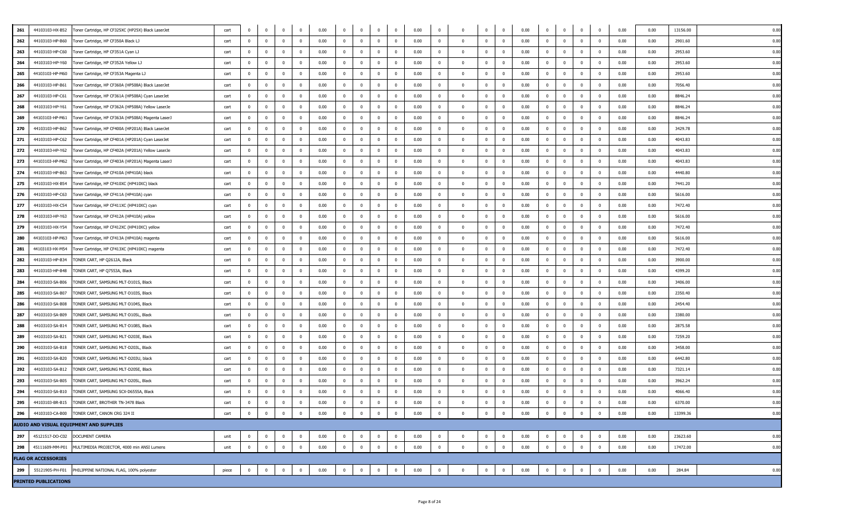| 261<br>44103103-HX-B52                                   | oner Cartridge, HP CF325XC (HP25X) Black LaserJet  | cart  | $^{\circ}$     | $^{\circ}$              | $^{\circ}$              | $\bf{0}$       | 0.00 | $^{\circ}$              | $\mathbf{0}$            | $^{\circ}$   | $\overline{\phantom{0}}$ | 0.00 | $^{\circ}$              | $\overline{\mathbf{0}}$  | $^{\circ}$     | $^{\circ}$              | 0.00 | $^{\circ}$     | $\mathbf{0}$   | $\mathbf{0}$            | $^{\circ}$     | 0.00 | 0.00 | 13156.00 | 0.00 |
|----------------------------------------------------------|----------------------------------------------------|-------|----------------|-------------------------|-------------------------|----------------|------|-------------------------|-------------------------|--------------|--------------------------|------|-------------------------|--------------------------|----------------|-------------------------|------|----------------|----------------|-------------------------|----------------|------|------|----------|------|
| 262<br>44103103-HP-B60                                   | 「oner Cartridge, HP CF350A Black LJ                | cart  | $\mathbf{0}$   | $\overline{0}$          | $\mathbf 0$             | $\mathbf{0}$   | 0.00 | $\mathbf{0}$            | $\overline{0}$          | $\Omega$     | $\overline{0}$           | 0.00 | $\bf{0}$                | $\Omega$                 | $\Omega$       | $\overline{0}$          | 0.00 | $\bf{0}$       | $\mathbf 0$    | $\bf{0}$                | $\overline{0}$ | 0.00 | 0.00 | 2901.60  | 0.00 |
| 263<br>44103103-HP-C60                                   | Toner Cartridge, HP CF351A Cyan LJ                 | cart  | $\mathbf{0}$   | $\overline{0}$          | $\overline{0}$          | $^{\circ}$     | 0.00 | $\overline{0}$          | $\overline{0}$          | $^{\circ}$   | $\overline{\mathbf{0}}$  | 0.00 | $\mathbf{0}$            | $\overline{\mathbf{0}}$  | $^{\circ}$     | $\overline{0}$          | 0.00 | $\mathbf{0}$   | $\mathbf{0}$   | $\overline{\mathbf{0}}$ | $\mathbf 0$    | 0.00 | 0.00 | 2953.60  | 0.00 |
| 264<br>44103103-HP-Y60                                   | Toner Cartridge, HP CF352A Yellow LJ               | cart  | $\bf{0}$       | $\overline{0}$          | $\overline{0}$          | $\mathbf 0$    | 0.00 | $\overline{0}$          | $\overline{\mathbf{0}}$ | $^{\circ}$   | $\overline{\mathbf{0}}$  | 0.00 | $\bf{0}$                | $\overline{\mathbf{0}}$  | $\mathbf 0$    | $\overline{\mathbf{0}}$ | 0.00 | $\mathbf 0$    | $\overline{0}$ | $\overline{\mathbf{0}}$ | 0              | 0.00 | 0.00 | 2953.60  | 0.00 |
| 265<br>44103103-HP-M60                                   | Toner Cartridge, HP CF353A Magenta LJ              | cart  | $\mathbf{0}$   | $\mathbf{0}$            | $\mathbf 0$             | $\mathbf{0}$   | 0.00 | $\mathbf{0}$            | $\overline{0}$          | $^{\circ}$   | $\overline{0}$           | 0.00 | $\mathbf{0}$            | $\overline{\mathbf{0}}$  | $\mathbf{0}$   | $\overline{0}$          | 0.00 | $^{\circ}$     | $\mathbf{0}$   | $\mathbf{0}$            | $\mathbf 0$    | 0.00 | 0.00 | 2953.60  | 0.00 |
| 266<br>44103103-HP-B61                                   | Toner Cartridge, HP CF360A (HP508A) Black LaserJet | cart  | $\mathbf 0$    | $\mathbf{0}$            | $\mathbf 0$             | $^{\circ}$     | 0.00 | $\overline{0}$          | $\overline{\mathbf{0}}$ | $^{\circ}$   | $\overline{\mathbf{0}}$  | 0.00 | $\bf{0}$                | $^{\circ}$               | $\overline{0}$ | $\overline{\mathbf{0}}$ | 0.00 | $\mathbf{0}$   | $^{\circ}$     | $^{\circ}$              | $^{\circ}$     | 0.00 | 0.00 | 7056.40  | 0.00 |
| 267<br>44103103-HP-C61                                   | Toner Cartridge, HP CF361A (HP508A) Cyan LaserJet  | cart  | $^{\circ}$     | $\mathbf 0$             | $^{\circ}$              | $^{\circ}$     | 0.00 | $^{\circ}$              | $\bf{0}$                |              | $\overline{\mathbf{0}}$  | 0.00 | $\mathbf{0}$            | $\overline{\mathbf{0}}$  | $^{\circ}$     | $\overline{0}$          | 0.00 | $\mathbf 0$    | $^{\circ}$     | $\mathbf 0$             | $\mathbf 0$    | 0.00 | 0.00 | 8846.24  | 0.00 |
| 268<br>44103103-HP-Y61                                   | Toner Cartridge, HP CF362A (HP508A) Yellow LaserJe | cart  | $\overline{0}$ | $\mathbf{0}$            | $\overline{0}$          | $\mathbf 0$    | 0.00 | $\overline{\mathbf{0}}$ | $\overline{\mathbf{0}}$ | $\Omega$     | $\overline{\mathbf{0}}$  | 0.00 | $\mathbf 0$             | $\overline{\mathbf{0}}$  | $\mathbf 0$    | $\bf{0}$                | 0.00 | $\bf{0}$       | 0              | $\mathbf 0$             | $\mathbf 0$    | 0.00 | 0.00 | 8846.24  | 0.00 |
| 269<br>44103103-HP-M61                                   | Toner Cartridge, HP CF363A (HP508A) Magenta LaserJ | cart  | $\mathbf{0}$   | $\mathbf 0$             | $^{\circ}$              | $\mathbf{0}$   | 0.00 | $^{\circ}$              | $\mathbf{0}$            | $\Omega$     | $\overline{\mathbf{0}}$  | 0.00 | $\mathbf 0$             | $\overline{\mathbf{0}}$  | $^{\circ}$     | $\overline{0}$          | 0.00 | $^{\circ}$     | $^{\circ}$     | $^{\circ}$              | $\mathbf 0$    | 0.00 | 0.00 | 8846.24  | 0.00 |
| 270<br>44103103-HP-B62                                   | Toner Cartridge, HP CF400A (HP201A) Black LaserJet | cart  | $\mathbf{0}$   | $\overline{\mathbf{0}}$ | $\mathbf 0$             | $\mathbf{0}$   | 0.00 | $\overline{0}$          | $\mathbf{0}$            | $^{\circ}$   | $\overline{\mathbf{0}}$  | 0.00 | $^{\circ}$              | $\overline{\mathbf{0}}$  | $\mathbf{0}$   | $\overline{0}$          | 0.00 | $\mathbf{0}$   | $^{\circ}$     | $\overline{\mathbf{0}}$ | $\mathbf 0$    | 0.00 | 0.00 | 3429.78  | 0.00 |
| 271<br>44103103-HP-C62                                   | Toner Cartridge, HP CF401A (HP201A) Cyan LaserJet  | cart  | $^{\circ}$     | $\overline{\mathbf{0}}$ | $\Omega$                | $\mathbf 0$    | 0.00 | $\mathbf{0}$            | $\mathbf{0}$            | $\Omega$     | $\overline{\mathbf{0}}$  | 0.00 | $\mathbf{0}$            | $\overline{\mathbf{0}}$  | $\mathbf{0}$   | $\overline{0}$          | 0.00 | $\mathbf{0}$   | $\mathbf 0$    | $\mathbf{0}$            | $\mathbf{0}$   | 0.00 | 0.00 | 4043.83  | 0.00 |
| 272<br>44103103-HP-Y62                                   | Toner Cartridge, HP CF402A (HP201A) Yellow LaserJe | cart  | $\mathbf{0}$   | $\overline{0}$          | $\overline{\mathbf{0}}$ | $\mathbf{0}$   | 0.00 | $\mathbf{0}$            | $\bf{0}$                | $^{\circ}$   | $\overline{\mathbf{0}}$  | 0.00 | $\bf{0}$                | $\overline{\mathbf{0}}$  | $\mathbf{0}$   | $\overline{0}$          | 0.00 | $\mathbf 0$    | $\mathbf 0$    | $\bf{0}$                | $\mathbf 0$    | 0.00 | 0.00 | 4043.83  | 0.00 |
| 273<br>44103103-HP-M62                                   | Toner Cartridge, HP CF403A (HP201A) Magenta LaserJ | cart  | $\mathbf 0$    | $\overline{0}$          | $\mathbf 0$             | $\mathbf{0}$   | 0.00 | $\overline{0}$          | $\overline{\mathbf{0}}$ | $^{\circ}$   | $\overline{\mathbf{0}}$  | 0.00 | $\bf{0}$                | $\overline{\mathbf{0}}$  | $^{\circ}$     | $\overline{0}$          | 0.00 | $\mathbf{0}$   | $^{\circ}$     | $^{\circ}$              | $^{\circ}$     | 0.00 | 0.00 | 4043.83  | 0.00 |
| 274<br>44103103-HP-B63                                   | Toner Cartridge, HP CF410A (HP410A) black          | cart  | $\mathbf{0}$   | $\mathbf 0$             | $\mathbf 0$             | $^{\circ}$     | 0.00 | $\overline{0}$          | $\bf{0}$                | $\Omega$     | $\overline{0}$           | 0.00 | $\mathbf{0}$            | $\overline{\mathbf{0}}$  | $^{\circ}$     | $\overline{0}$          | 0.00 | $^{\circ}$     | $^{\circ}$     | $\mathbf{0}$            | $\mathbf{0}$   | 0.00 | 0.00 | 4440.80  | 0.00 |
| 275<br>44103103-HX-B54                                   | Foner Cartridge, HP CF410XC (HP410XC) black        | cart  | $\mathbf 0$    | $\mathbf{0}$            | $\overline{0}$          | $\mathbf 0$    | 0.00 | $\overline{0}$          | $\bf{0}$                |              | $\overline{\mathbf{0}}$  | 0.00 | $\mathbf 0$             | $\overline{\mathbf{0}}$  | $\mathbf 0$    | $\overline{0}$          | 0.00 | $\mathbf 0$    | $\mathbf 0$    | $^{\circ}$              | 0              | 0.00 | 0.00 | 7441.20  | 0.00 |
| 276<br>44103103-HP-C63                                   | Foner Cartridge, HP CF411A (HP410A) cyan           | cart  | $^{\circ}$     | $\mathbf 0$             | $\overline{0}$          | $\mathbf{0}$   | 0.00 | $^{\circ}$              | $\mathbf{0}$            | $\Omega$     | $\overline{\mathbf{0}}$  | 0.00 | $\mathbf 0$             | $\overline{\mathbf{0}}$  | $^{\circ}$     | $\overline{0}$          | 0.00 | $^{\circ}$     | $^{\circ}$     | $^{\circ}$              | $\mathbf 0$    | 0.00 | 0.00 | 5616.00  | 0.00 |
| 277<br>44103103-HX-C54                                   | Toner Cartridge, HP CF411XC (HP410XC) cyan         | cart  | $\mathbf{0}$   | $\overline{\mathbf{0}}$ | $\overline{0}$          | $\mathbf{0}$   | 0.00 | $\overline{0}$          | $\overline{0}$          | $\Omega$     | $\overline{\mathbf{0}}$  | 0.00 | $\mathbf 0$             | $\overline{\mathbf{0}}$  | $\mathbf{0}$   | $\overline{0}$          | 0.00 | $\mathbf{0}$   | $\mathbf 0$    | $\mathbf 0$             | $\mathbf{0}$   | 0.00 | 0.00 | 7472.40  | 0.00 |
| 278<br>44103103-HP-Y63                                   | Toner Cartridge, HP CF412A (HP410A) yellow         | cart  | $^{\circ}$     | $\overline{0}$          | $\Omega$                | $\Omega$       | 0.00 | $\mathbf{0}$            | $\mathbf{0}$            | $\Omega$     | $\overline{0}$           | 0.00 | $^{\circ}$              | $\overline{\mathbf{0}}$  | $\Omega$       | $\overline{0}$          | 0.00 | $\mathbf{0}$   | $\Omega$       | $\mathbf{0}$            | $\mathbf{0}$   | 0.00 | 0.00 | 5616.00  | 0.00 |
| 279<br>44103103-HX-Y54                                   | Toner Cartridge, HP CF412XC (HP410XC) yellow       | cart  | $\mathbf 0$    | $\overline{0}$          | $\overline{\mathbf{0}}$ | $^{\circ}$     | 0.00 | $\mathbf{0}$            | $\mathbf{0}$            | $\Omega$     | $\overline{\mathbf{0}}$  | 0.00 | $\overline{0}$          | $\overline{\mathbf{0}}$  | $^{\circ}$     | $\overline{\mathbf{0}}$ | 0.00 | $^{\circ}$     | $^{\circ}$     | $\overline{0}$          | $\mathbf{0}$   | 0.00 | 0.00 | 7472.40  | 0.00 |
| 280<br>44103103-HP-M63                                   | Toner Cartridge, HP CF413A (HP410A) magenta        | cart  | $\mathbf 0$    | $\Omega$                | $\mathbf 0$             | $\Omega$       | 0.00 | $\mathbf{0}$            | $\overline{\mathbf{0}}$ | $\Omega$     | $\overline{0}$           | 0.00 | $\overline{0}$          | $\overline{0}$           | $^{\circ}$     | $\overline{0}$          | 0.00 | $\mathbf{0}$   | $\Omega$       | $\mathbf 0$             | $\mathbf{0}$   | 0.00 | 0.00 | 5616.00  | 0.00 |
| 281<br>44103103-HX-M54                                   | Toner Cartridge, HP CF413XC (HP410XC) magenta      | cart  | $\mathbf{0}$   | $\mathbf{0}$            | $\mathbf 0$             | $\mathbf{0}$   | 0.00 | $\overline{0}$          | $\mathbf{0}$            | $^{\circ}$   | $\overline{0}$           | 0.00 | $\bf{0}$                | $\overline{\mathbf{0}}$  | $^{\circ}$     | $\overline{0}$          | 0.00 | $\mathbf{0}$   | $^{\circ}$     | $^{\circ}$              | $^{\circ}$     | 0.00 | 0.00 | 7472.40  | 0.00 |
| 282<br>44103103-HP-B34                                   | TONER CART, HP Q2612A, Black                       | cart  | $\mathbf 0$    | $\mathbf{0}$            | $\overline{0}$          | $^{\circ}$     | 0.00 | $\overline{0}$          | $\bf{0}$                |              | $\overline{\mathbf{0}}$  | 0.00 | $\mathbf 0$             | $\overline{\mathbf{0}}$  | $\mathbf 0$    | $\overline{\mathbf{0}}$ | 0.00 | $\mathbf 0$    | $\mathbf 0$    | $^{\circ}$              | 0              | 0.00 | 0.00 | 3900.00  | 0.00 |
| 283<br>44103103-HP-B48                                   | FONER CART, HP Q7553A, Black                       | cart  | $^{\circ}$     | $\mathbf 0$             | $\overline{0}$          | $\mathbf{0}$   | 0.00 | $^{\circ}$              | $\bf{0}$                | $\Omega$     | $\overline{\mathbf{0}}$  | 0.00 | $\mathbf 0$             | $\overline{\mathbf{0}}$  | $^{\circ}$     | $\overline{0}$          | 0.00 | $\mathbf 0$    | $^{\circ}$     | $\mathbf 0$             | $\mathbf{0}$   | 0.00 | 0.00 | 4399.20  | 0.00 |
| 284<br>44103103-SA-B06                                   | ONER CART, SAMSUNG MLT-D101S, Black                | cart  | $\mathbf{0}$   | $\mathbf{0}$            | $\mathbf 0$             | $\Omega$       | 0.00 | $\overline{0}$          | $\mathbf{0}$            | $\Omega$     | $\overline{0}$           | 0.00 | $\mathbf{0}$            | $\overline{\mathbf{0}}$  | $^{\circ}$     | $\overline{0}$          | 0.00 | $\mathbf{0}$   | $^{\circ}$     | $\mathbf{0}$            | $\mathbf 0$    | 0.00 | 0.00 | 3406.00  | 0.00 |
| 285<br>44103103-SA-B07                                   | TONER CART, SAMSUNG MLT-D103S, Black               | cart  | $\mathbf{0}$   | $\overline{\mathbf{0}}$ | $\mathbf 0$             | $\mathbf{0}$   | 0.00 | $\overline{0}$          | $\mathbf{0}$            | $\mathbf{0}$ | $\overline{\mathbf{0}}$  | 0.00 | $\mathbf{0}$            | $\overline{\mathbf{0}}$  | $\mathbf{0}$   | $\overline{0}$          | 0.00 | $\mathbf{0}$   | $\mathbf 0$    | $\mathbf 0$             | $\mathbf 0$    | 0.00 | 0.00 | 2350.40  | 0.00 |
| 286<br>44103103-SA-B08                                   | TONER CART, SAMSUNG MLT-D104S, Black               | cart  | $\mathbf{0}$   | $\mathbf{0}$            | $\overline{\mathbf{0}}$ | $\mathbf{0}$   | 0.00 | $\overline{0}$          | $\mathbf{0}$            | $\Omega$     | $\overline{\mathbf{0}}$  | 0.00 | $\overline{\mathbf{0}}$ | $\overline{\mathbf{0}}$  | $\mathbf{0}$   | $\overline{\mathbf{0}}$ | 0.00 | $^{\circ}$     | $^{\circ}$     | $\mathbf{0}$            | $\mathbf{0}$   | 0.00 | 0.00 | 2454.40  | 0.00 |
| 287<br>44103103-SA-B09                                   | FONER CART, SAMSUNG MLT-D105L, Black               | cart  | $\mathbf{0}$   | $\Omega$                | $\mathbf 0$             | $\mathbf{0}$   | 0.00 | $\mathbf{0}$            | $\overline{0}$          | $\Omega$     | $\overline{0}$           | 0.00 | $\bf{0}$                | $\overline{\mathbf{0}}$  | $^{\circ}$     | $\overline{0}$          | 0.00 | $\mathbf{0}$   | $\Omega$       | $\mathbf 0$             | $\mathbf 0$    | 0.00 | 0.00 | 3380.00  | 0.00 |
| 288<br>44103103-SA-B14                                   | FONER CART, SAMSUNG MLT-D108S, Black               | cart  | $\mathbf 0$    | $\mathbf{0}$            | $\mathbf 0$             | $\mathbf{0}$   | 0.00 | $\overline{0}$          | $\mathbf{0}$            | $\Omega$     | $\overline{\mathbf{0}}$  | 0.00 | $\bf{0}$                | $\overline{\mathbf{0}}$  | $^{\circ}$     | $\overline{0}$          | 0.00 | $\mathbf{0}$   | $^{\circ}$     | $\mathbf{0}$            | $\mathbf 0$    | 0.00 | 0.00 | 2875.58  | 0.00 |
| 289<br>44103103-SA-B21                                   | TONER CART, SAMSUNG MLT-D203E, Black               | cart  | $\mathbf{0}$   | $\overline{0}$          | $\mathbf 0$             | $\bf{0}$       | 0.00 | $\overline{0}$          | $\overline{0}$          | $^{\circ}$   | $\overline{\mathbf{0}}$  | 0.00 | $\overline{0}$          | $\overline{\phantom{0}}$ | $\mathbf 0$    | $\overline{0}$          | 0.00 | $\mathbf{0}$   | $\overline{0}$ | $\overline{0}$          | $\mathbf 0$    | 0.00 | 0.00 | 7259.20  | 0.00 |
| 290<br>44103103-SA-B18                                   | ONER CART, SAMSUNG MLT-D203L, Black                | cart  | $\mathbf{0}$   | $\mathbf 0$             | $\overline{0}$          | $\mathbf{0}$   | 0.00 | $^{\circ}$              | $\bf{0}$                | $\Omega$     | $\overline{\mathbf{0}}$  | 0.00 | $\mathbf 0$             | $\overline{\mathbf{0}}$  | $^{\circ}$     | $\overline{0}$          | 0.00 | $\mathbf{0}$   | $^{\circ}$     | $\mathbf 0$             | $\mathbf{0}$   | 0.00 | 0.00 | 3458.00  | 0.00 |
| 291<br>44103103-SA-B20                                   | FONER CART, SAMSUNG MLT-D203U, black               | cart  | $\mathbf{0}$   | $\overline{0}$          | $\overline{0}$          | $\mathbf{0}$   | 0.00 | $\mathbf{0}$            | $\overline{0}$          | $^{\circ}$   | $\overline{\mathbf{0}}$  | 0.00 | $\mathbf 0$             | $\overline{\mathbf{0}}$  | $^{\circ}$     | $\overline{0}$          | 0.00 | $\overline{0}$ | $^{\circ}$     | $\mathbf{0}$            | $\mathbf 0$    | 0.00 | 0.00 | 6442.80  | 0.00 |
| 292<br>44103103-SA-B12                                   | TONER CART, SAMSUNG MLT-D205E, Black               | cart  | $\mathbf 0$    | $\mathbf{0}$            | $\overline{0}$          | $\Omega$       | 0.00 | $\Omega$                | $\mathbf{0}$            | $\Omega$     | $\overline{0}$           | 0.00 | $\mathbf{0}$            | $\overline{\mathbf{0}}$  | $^{\circ}$     | $\overline{0}$          | 0.00 | $\mathbf{0}$   | $^{\circ}$     | $\mathbf{0}$            | $\mathbf{0}$   | 0.00 | 0.00 | 7321.14  | 0.00 |
| 293<br>44103103-SA-B05                                   | TONER CART, SAMSUNG MLT-D205L, Black               | cart  | $\mathbf{0}$   | $\overline{0}$          | $\overline{\mathbf{0}}$ | $\bf{0}$       | 0.00 | $\overline{0}$          | $\overline{0}$          | $^{\circ}$   | $\overline{\mathbf{0}}$  | 0.00 | $\bf{0}$                | $\overline{\mathbf{0}}$  | $\mathbf 0$    | $\overline{\mathbf{0}}$ | 0.00 | $\mathbf{0}$   | $\overline{0}$ | $\overline{\mathbf{0}}$ | $\mathbf 0$    | 0.00 | 0.00 | 3962.24  | 0.00 |
| 294<br>44103103-SA-B10                                   | TONER CART, SAMSUNG SCX-D6555A, Black              | cart  | $\mathbf 0$    | $\mathbf 0$             | $^{\circ}$              | $\mathbf{0}$   | 0.00 | $^{\circ}$              | $\mathbf{0}$            | $\Omega$     | $\mathbf{0}$             | 0.00 | $\mathbf{0}$            | $\Omega$                 | $\mathbf{0}$   | $\overline{0}$          | 0.00 | $^{\circ}$     | $^{\circ}$     | $\mathbf 0$             | $\mathbf{0}$   | 0.00 | 0.00 | 4066.40  | 0.00 |
| 295<br>44103103-BR-B15 TONER CART, BROTHER TN-3478 Black |                                                    | cart  | $\mathbf 0$    | $\mathbf{0}$            | $\Omega$                | $\mathbf{0}$   | 0.00 | $\Omega$                | $\overline{0}$          | $\mathbf{0}$ | $\overline{0}$           | 0.00 | $\mathbf{0}$            | $\Omega$                 | $\mathbf{0}$   | $\overline{0}$          | 0.00 | $\bf{0}$       | $^{\circ}$     | $\mathbf{0}$            | $\mathbf{0}$   | 0.00 | 0.00 | 6370.00  | 0.00 |
| 296<br>44103103-CA-B00 TONER CART, CANON CRG 324 II      |                                                    | cart  | $\overline{0}$ | $\overline{0}$          | $\overline{0}$          | $\overline{0}$ | 0.00 | $\overline{0}$          | $\bf{0}$                | $\bf{0}$     | $\overline{\mathbf{0}}$  | 0.00 | $\bf{0}$                | $\Omega$                 | $\overline{0}$ | $\overline{0}$          | 0.00 | $\bf{0}$       | $\overline{0}$ | $\overline{\mathbf{0}}$ | $\mathbf 0$    | 0.00 | 0.00 | 13399.36 | 0.00 |
| AUDIO AND VISUAL EOUIPMENT AND SUPPLIES                  |                                                    |       |                |                         |                         |                |      |                         |                         |              |                          |      |                         |                          |                |                         |      |                |                |                         |                |      |      |          |      |
| 297<br>45121517-DO-C02 DOCUMENT CAMERA                   |                                                    | unit  | $^{\circ}$     | $\overline{0}$          | $\overline{0}$          | $\bf{0}$       | 0.00 | $\overline{0}$          | $\bf{0}$                | $\Omega$     | $\overline{\mathbf{0}}$  | 0.00 | $\pmb{0}$               | $\overline{\mathbf{0}}$  | $\mathbf{0}$   | $\overline{0}$          | 0.00 | $^{\circ}$     | $\mathbf 0$    | $^{\circ}$              | $\mathbf 0$    | 0.00 | 0.00 | 23623.60 | 0.00 |
| 298<br>45111609-MM-P01                                   | MULTIMEDIA PROJECTOR, 4000 min ANSI Lumens         | unit  | $\mathbf 0$    | $\mathbf{0}$            | $\Omega$                | $\mathbf{0}$   | 0.00 | $\mathbf{0}$            | $\overline{\mathbf{0}}$ | $\Omega$     | $\overline{0}$           | 0.00 | $\mathbf 0$             | $\overline{\mathbf{0}}$  | $\mathbf{0}$   | $\overline{0}$          | 0.00 | $\mathbf{0}$   | $\mathbf 0$    | $\mathbf{0}$            | $\mathbf{0}$   | 0.00 | 0.00 | 17472.00 | 0.00 |
| <b>FLAG OR ACCESSORIES</b>                               |                                                    |       |                |                         |                         |                |      |                         |                         |              |                          |      |                         |                          |                |                         |      |                |                |                         |                |      |      |          |      |
| 299<br>55121905-PH-F01                                   | PHILIPPINE NATIONAL FLAG, 100% polyester           | piece | $\overline{0}$ | $\overline{0}$          | $\overline{0}$          | $\overline{0}$ | 0.00 | $\overline{\mathbf{0}}$ | $\bf{0}$                | $\bf{0}$     | $\overline{\mathbf{0}}$  | 0.00 | $\bf{0}$                | $\overline{\mathbf{0}}$  | $\overline{0}$ | $\overline{0}$          | 0.00 | $\bf{0}$       | $\overline{0}$ | $\overline{\mathbf{0}}$ | $\overline{0}$ | 0.00 | 0.00 | 284.84   | 0.00 |
| <b>PRINTED PUBLICATIONS</b>                              |                                                    |       |                |                         |                         |                |      |                         |                         |              |                          |      |                         |                          |                |                         |      |                |                |                         |                |      |      |          |      |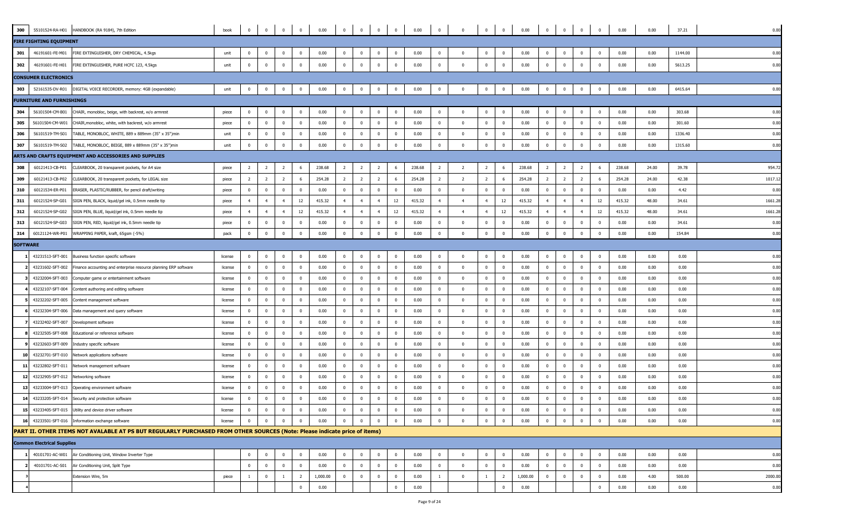| 300             | 55101524-RA-H01                   | HANDBOOK (RA 9184), 7th Edition                                                                                           | book    | $\overline{0}$ | $\mathbf{0}$   | $\overline{0}$          | $\bf{0}$                | 0.00     | $\overline{0}$ | $\overline{0}$ | $\bf{0}$                | $\overline{\mathbf{0}}$ | 0.00   | $\bf{0}$                | $\overline{\mathbf{0}}$ | $\bf{0}$       | $\overline{0}$ | 0.00     | $\bf{0}$       | $\overline{0}$           | $\overline{\mathbf{0}}$ | $\overline{0}$          | 0.00   | 0.00  | 37.21   | 0.00    |
|-----------------|-----------------------------------|---------------------------------------------------------------------------------------------------------------------------|---------|----------------|----------------|-------------------------|-------------------------|----------|----------------|----------------|-------------------------|-------------------------|--------|-------------------------|-------------------------|----------------|----------------|----------|----------------|--------------------------|-------------------------|-------------------------|--------|-------|---------|---------|
|                 | <b>FIRE FIGHTING EQUIPMENT</b>    |                                                                                                                           |         |                |                |                         |                         |          |                |                |                         |                         |        |                         |                         |                |                |          |                |                          |                         |                         |        |       |         |         |
| 301             | 46191601-FE-M01                   | FIRE EXTINGUISHER, DRY CHEMICAL, 4.5kgs                                                                                   | unit    | $\mathbf 0$    |                | $\mathbf{0}$            | $\mathbf 0$             | 0.00     | $\mathbf 0$    | $^{\circ}$     | $\overline{0}$          | $\mathbf{0}$            | 0.00   | $\mathbf 0$             | $\Omega$                | $\mathbf 0$    | $\mathbf{0}$   | 0.00     | $\mathbf 0$    |                          | $\mathbf 0$             | $\mathbf{0}$            | 0.00   | 0.00  | 1144.00 | 0.00    |
| 302             | 46191601-FE-H01                   | FIRE EXTINGUISHER, PURE HCFC 123, 4.5kgs                                                                                  | unit    | $\bf{0}$       | $\Omega$       | $\mathbf 0$             | $\bf{0}$                | 0.00     | $\overline{0}$ | $\overline{0}$ | $\bf{0}$                | $\overline{0}$          | 0.00   | $\bf{0}$                | $\mathbf{0}$            | $\mathbf 0$    | $\overline{0}$ | 0.00     | $\mathbf{0}$   | $\Omega$                 | $\bf{0}$                | $\mathbf 0$             | 0.00   | 0.00  | 5613.25 | 0.00    |
|                 | <b>CONSUMER ELECTRONICS</b>       |                                                                                                                           |         |                |                |                         |                         |          |                |                |                         |                         |        |                         |                         |                |                |          |                |                          |                         |                         |        |       |         |         |
| 303             | 52161535-DV-R01                   | DIGITAL VOICE RECORDER, memory: 4GB (expandable)                                                                          | unit    | $\overline{0}$ | $\mathbf{0}$   | $\overline{\mathbf{0}}$ | $\bf{0}$                | 0.00     | $\overline{0}$ | $\bf{0}$       | $\bf{0}$                | $\overline{\mathbf{0}}$ | 0.00   | $\bf{0}$                | $\overline{\mathbf{0}}$ | $\bf{0}$       | $\overline{0}$ | 0.00     | $\bf{0}$       | $\bf{0}$                 | $\overline{\mathbf{0}}$ | $\mathbf 0$             | 0.00   | 0.00  | 6415.64 | 0.00    |
|                 | <b>FURNITURE AND FURNISHINGS</b>  |                                                                                                                           |         |                |                |                         |                         |          |                |                |                         |                         |        |                         |                         |                |                |          |                |                          |                         |                         |        |       |         |         |
| 304             | 56101504-CM-B01                   | CHAIR, monobloc, beige, with backrest, w/o armrest                                                                        | piece   | $\mathbf 0$    | $^{\circ}$     | $\overline{\mathbf{0}}$ | $\overline{\mathbf{0}}$ | 0.00     | $\overline{0}$ | $^{\circ}$     | $\mathbf 0$             | $\overline{\mathbf{0}}$ | 0.00   | $\overline{\mathbf{0}}$ | $\overline{\mathbf{0}}$ | $\mathbf 0$    | $\bf{0}$       | 0.00     | $\mathbf{0}$   | $^{\circ}$               | $\overline{\mathbf{0}}$ | $\overline{\mathbf{0}}$ | 0.00   | 0.00  | 303.68  | 0.00    |
| 305             | 56101504-CM-W01                   | CHAIR, monobloc, white, with backrest, w/o armrest                                                                        | piece   | $\overline{0}$ | $^{\circ}$     | $\overline{0}$          | $\overline{0}$          | 0.00     | $\overline{0}$ | $\mathbf{0}$   | $\overline{\mathbf{0}}$ | $\overline{\mathbf{0}}$ | 0.00   | $\bf{0}$                | $\overline{\mathbf{0}}$ | $\overline{0}$ | $\overline{0}$ | 0.00     | $\bf{0}$       | $^{\circ}$               | $\overline{\mathbf{0}}$ | $\bf{0}$                | 0.00   | 0.00  | 301.60  | 0.00    |
| 306             | 56101519-TM-S01                   | TABLE, MONOBLOC, WHITE, 889 x 889mm (35" x 35")min                                                                        | unit    | $\mathbf{0}$   | $^{\circ}$     | $\overline{\mathbf{0}}$ | $\overline{0}$          | 0.00     | $\overline{0}$ | $\mathbf{0}$   | 0                       | $\overline{0}$          | 0.00   | $\overline{\mathbf{0}}$ | $\overline{\mathbf{0}}$ | $\mathbf 0$    | $\bf{0}$       | 0.00     | $\overline{0}$ | $\Omega$                 | $\mathbf 0$             | $\mathbf 0$             | 0.00   | 0.00  | 1336.40 | 0.00    |
| 307             | 56101519-TM-S02                   | TABLE, MONOBLOC, BEIGE, 889 x 889mm (35" x 35")min                                                                        | unit    | $\pmb{0}$      | $^{\circ}$     | $\mathbf{0}$            | $\mathbf 0$             | 0.00     | $\mathbf 0$    | $\mathbf{0}$   | $^{\circ}$              | $\overline{0}$          | 0.00   | $\overline{\mathbf{0}}$ | $\mathbf{0}$            | $\mathbf{0}$   | $\mathbf 0$    | 0.00     | $\mathbf 0$    | $\Omega$                 | $\overline{0}$          | $\mathbf{0}$            | 0.00   | 0.00  | 1315.60 | 0.00    |
|                 |                                   | ARTS AND CRAFTS EQUIPMENT AND ACCESSORIES AND SUPPLIES                                                                    |         |                |                |                         |                         |          |                |                |                         |                         |        |                         |                         |                |                |          |                |                          |                         |                         |        |       |         |         |
| 308             | 60121413-CB-P01                   | CLEARBOOK, 20 transparent pockets, for A4 size                                                                            | piece   | 2              | 2              | $\overline{2}$          | 6                       | 238.68   | $\overline{2}$ | $\overline{2}$ | $\overline{2}$          | 6                       | 238.68 | $\overline{2}$          | $\overline{2}$          | $\overline{2}$ | 6              | 238.68   | $\overline{2}$ | $\overline{\phantom{a}}$ | $\overline{2}$          | 6                       | 238.68 | 24.00 | 39.78   | 954.7   |
| 309             | 60121413-CB-P02                   | CLEARBOOK, 20 transparent pockets, for LEGAL size                                                                         | piece   | $\overline{2}$ | $\overline{2}$ | $\overline{2}$          | 6                       | 254.28   | $\overline{2}$ | $\overline{2}$ | $\overline{2}$          | 6                       | 254.28 | $\overline{2}$          | $\overline{2}$          | $\overline{2}$ | 6              | 254.28   | $\overline{2}$ | $\overline{2}$           | $\overline{2}$          | 6                       | 254.28 | 24.00 | 42.38   | 1017.1  |
| 310             | 60121534-ER-P01                   | ERASER, PLASTIC/RUBBER, for pencil draft/writing                                                                          | piece   | $\mathbf{0}$   | $^{\circ}$     | $\mathbf{0}$            | $\mathbf{0}$            | 0.00     | $\overline{0}$ | $^{\circ}$     | $\overline{0}$          | $\overline{0}$          | 0.00   | $\overline{\mathbf{0}}$ | $\overline{0}$          | $\overline{0}$ | $\overline{0}$ | 0.00     | $\overline{0}$ | $^{\circ}$               | $\mathbf{0}$            | $\overline{0}$          | 0.00   | 0.00  | 4.42    | 0.00    |
| 311             | 60121524-SP-G01                   | SIGN PEN, BLACK, liquid/gel ink, 0.5mm needle tip                                                                         | piece   | $\overline{4}$ | $\overline{4}$ | $\overline{4}$          | 12                      | 415.32   | 4              | $\overline{4}$ | $\overline{4}$          | 12                      | 415.32 | $\overline{4}$          | $\overline{4}$          | $\overline{4}$ | 12             | 415.32   | $\overline{4}$ | $\overline{a}$           | $\overline{4}$          | 12                      | 415.32 | 48.00 | 34.61   | 1661.2  |
| 312             | 60121524-SP-G02                   | SIGN PEN, BLUE, liquid/gel ink, 0.5mm needle tip                                                                          | piece   | $\overline{4}$ | $\overline{4}$ | $\overline{4}$          | 12                      | 415.32   | $\overline{4}$ | $\overline{4}$ | $\overline{4}$          | 12                      | 415.32 | $\overline{4}$          | $\overline{4}$          | $\overline{4}$ | 12             | 415.32   | $\overline{4}$ | $\overline{4}$           | $\overline{4}$          | 12                      | 415.32 | 48.00 | 34.61   | 1661.2  |
| 313             | 60121524-SP-G03                   | SIGN PEN, RED, liquid/gel ink, 0.5mm needle tip                                                                           | piece   | $\mathbf{0}$   | $\Omega$       | $\overline{\mathbf{0}}$ | $\overline{\mathbf{0}}$ | 0.00     | $\overline{0}$ | $\mathbf{0}$   | $\overline{0}$          | $\overline{0}$          | 0.00   | $\overline{\mathbf{0}}$ | $\overline{\mathbf{0}}$ | $\mathbf 0$    | $\overline{0}$ | 0.00     | $\overline{0}$ | $\Omega$                 | $\overline{0}$          | $\overline{\mathbf{0}}$ | 0.00   | 0.00  | 34.61   | 0.00    |
| 314             | 60121124-WR-P01                   | WRAPPING PAPER, kraft, 65gsm (-5%)                                                                                        | pack    | $\mathbf{0}$   | $^{\circ}$     | $\bf{0}$                | $\bf{0}$                | 0.00     | $\overline{0}$ | $\overline{0}$ | $\bf{0}$                | $\overline{0}$          | 0.00   | $\bf{0}$                | $\overline{0}$          | $\overline{0}$ | $\overline{0}$ | 0.00     | $\mathbf{0}$   | $\Omega$                 | $\bf{0}$                | $\bf{0}$                | 0.00   | 0.00  | 154.84  | 0.00    |
| <b>SOFTWARE</b> |                                   |                                                                                                                           |         |                |                |                         |                         |          |                |                |                         |                         |        |                         |                         |                |                |          |                |                          |                         |                         |        |       |         |         |
|                 | 43231513-SFT-001                  | Business function specific software                                                                                       | license | $\mathbf 0$    | $\Omega$       | $\overline{0}$          | $\mathbf 0$             | 0.00     | $\overline{0}$ | $^{\circ}$     | $\overline{0}$          | $\overline{0}$          | 0.00   | $\overline{\mathbf{0}}$ | $\mathbf{0}$            | $\mathbf{0}$   | $\bf{0}$       | 0.00     | $\mathbf 0$    | $\Omega$                 | $\mathbf 0$             | $\overline{\mathbf{0}}$ | 0.00   | 0.00  | 0.00    | 0.00    |
|                 | 43231602-SFT-002                  | Finance accounting and enterprise resource planning ERP software                                                          | license | $\overline{0}$ | $^{\circ}$     | $\overline{\mathbf{0}}$ | $\overline{\mathbf{0}}$ | 0.00     | $\overline{0}$ | $\mathbf{0}$   | $\overline{0}$          | $\overline{\mathbf{0}}$ | 0.00   | $\overline{\mathbf{0}}$ | $\overline{\mathbf{0}}$ | $\overline{0}$ | $\overline{0}$ | 0.00     | $\overline{0}$ |                          | $\bf{0}$                | $\overline{\mathbf{0}}$ | 0.00   | 0.00  | 0.00    | 0.00    |
|                 | 43232004-SFT-003                  | Computer game or entertainment software                                                                                   | license | $\mathbf 0$    | $\Omega$       | $\overline{\mathbf{0}}$ | $\mathbf 0$             | 0.00     | $\overline{0}$ | $^{\circ}$     | $^{\circ}$              | $\overline{0}$          | 0.00   | $\overline{\mathbf{0}}$ | $\Omega$                | $\mathbf 0$    | $\overline{0}$ | 0.00     | $\mathbf 0$    | $\Omega$                 | $\overline{0}$          | $\mathbf 0$             | 0.00   | 0.00  | 0.00    | 0.00    |
|                 | 43232107-SFT-004                  | Content authoring and editing software                                                                                    | license | $\overline{0}$ | $\Omega$       | $\overline{\mathbf{0}}$ | $\mathbf 0$             | 0.00     | $\overline{0}$ | $^{\circ}$     | $^{\circ}$              | $\overline{0}$          | 0.00   | $\overline{\mathbf{0}}$ | $\overline{\mathbf{0}}$ | $\overline{0}$ | $\overline{0}$ | 0.00     | $\mathbf 0$    | $\Omega$                 | $\overline{\mathbf{0}}$ | $\overline{\mathbf{0}}$ | 0.00   | 0.00  | 0.00    | 0.00    |
|                 | 43232202-SFT-005                  | Content management software                                                                                               | license | $\mathbf{0}$   | $\Omega$       | $\mathbf 0$             | $\bf{0}$                | 0.00     | $\mathbf{0}$   | $\mathbf{0}$   | $\overline{0}$          | $\overline{0}$          | 0.00   | $\overline{\mathbf{0}}$ | $\Omega$                | $\pmb{0}$      | $\overline{0}$ | 0.00     | $\overline{0}$ | $\Omega$                 | $\pmb{0}$               | $\mathbf 0$             | 0.00   | 0.00  | 0.00    | 0.00    |
|                 | 43232304-SFT-006                  | Data management and query software                                                                                        | license | $\mathbf{0}$   | $^{\circ}$     | $\mathbf{0}$            | $\mathbf 0$             | 0.00     | $\overline{0}$ | $\bf{0}$       | $^{\circ}$              | $\overline{0}$          | 0.00   | $\overline{\mathbf{0}}$ | $\mathbf{0}$            | $\overline{0}$ | $\mathbf 0$    | 0.00     | $\overline{0}$ | $\Omega$                 | $\overline{0}$          | $\mathbf{0}$            | 0.00   | 0.00  | 0.00    | 0.00    |
|                 | 43232402-SFT-007                  | Development software                                                                                                      | license | $\overline{0}$ | $\bf{0}$       | $\overline{\mathbf{0}}$ | $\bf{0}$                | 0.00     | $\bf{0}$       | $\bf{0}$       | $\bf{0}$                | $\overline{\mathbf{0}}$ | 0.00   | $\overline{\mathbf{0}}$ | $\overline{\mathbf{0}}$ | $\overline{0}$ | $\overline{0}$ | 0.00     | $\overline{0}$ | $\mathbf 0$              | $\overline{\mathbf{0}}$ | $\mathbf 0$             | 0.00   | 0.00  | 0.00    | 0.00    |
|                 | 43232505-SFT-008                  | Educational or reference software                                                                                         | license | $\mathbf{0}$   | $^{\circ}$     | $\mathbf{0}$            | $\mathbf 0$             | 0.00     | $\mathbf{0}$   | $\mathbf{0}$   | $\mathbf{0}$            | $\overline{\mathbf{0}}$ | 0.00   | $\overline{0}$          | $\overline{\mathbf{0}}$ | $\mathbf{0}$   | $\overline{0}$ | 0.00     | $\mathbf 0$    | $^{\circ}$               | $\bf{0}$                | $\mathbf{0}$            | 0.00   | 0.00  | 0.00    | 0.00    |
|                 | 43232603-SFT-009                  | Industry specific software                                                                                                | license | $\overline{0}$ | $^{\circ}$     | $\bf{0}$                | $\overline{\mathbf{0}}$ | 0.00     | $\bf{0}$       | $\bf{0}$       | $\overline{\mathbf{0}}$ | $\overline{\mathbf{0}}$ | 0.00   | $\overline{\mathbf{0}}$ | $\overline{\mathbf{0}}$ | $\mathbf 0$    | $\overline{0}$ | 0.00     | $\overline{0}$ | $\Omega$                 | $\overline{\mathbf{0}}$ | $\overline{\mathbf{0}}$ | 0.00   | 0.00  | 0.00    | 0.00    |
| 10              | 43232701-SFT-010                  | Network applications software                                                                                             | license | $\mathbf{0}$   | $^{\circ}$     | $\overline{0}$          | $\overline{0}$          | 0.00     | $\mathbf{0}$   | $\mathbf{0}$   | $^{\circ}$              | $\overline{0}$          | 0.00   | $\overline{\mathbf{0}}$ | $\mathbf{0}$            | $\overline{0}$ | $\overline{0}$ | 0.00     | $\overline{0}$ | $\Omega$                 | $\overline{0}$          | $\mathbf{0}$            | 0.00   | 0.00  | 0.00    | 0.00    |
| 11              | 43232802-SFT-011                  | Network management software                                                                                               | license | $\mathbf{0}$   | $\Omega$       | $\overline{0}$          | $\overline{0}$          | 0.00     | $\overline{0}$ | $\mathbf{0}$   | $^{\circ}$              | $\overline{0}$          | 0.00   | $\overline{\mathbf{0}}$ | $\overline{\mathbf{0}}$ | $\mathbf{0}$   | $\overline{0}$ | 0.00     | $\overline{0}$ | $\Omega$                 | $\overline{0}$          | $\mathbf{0}$            | 0.00   | 0.00  | 0.00    | 0.00    |
| 12              | 43232905-SFT-012                  | Networking software                                                                                                       | license | $\mathbf{0}$   | $\Omega$       | $\mathbf{0}$            | $\mathbf 0$             | 0.00     | $\mathbf{0}$   | $\Omega$       | $^{\circ}$              | $\overline{0}$          | 0.00   | $\overline{0}$          | $\Omega$                | $\mathbf{0}$   | $\mathbf{0}$   | 0.00     | $\overline{0}$ | $\Omega$                 | $\overline{0}$          | $\mathbf{0}$            | 0.00   | 0.00  | 0.00    | 0.00    |
| 13              | 43233004-SFT-013                  | Operating environment software                                                                                            | license | $\mathbf{0}$   | $^{\circ}$     | $\mathbf{0}$            | $\overline{0}$          | 0.00     | $\mathbf 0$    | $\mathbf{0}$   | $\overline{0}$          | $\overline{0}$          | 0.00   | $\overline{0}$          | $\mathbf{0}$            | $\mathbf 0$    | $\mathbf 0$    | 0.00     | $\mathbf{0}$   | $\Omega$                 | $\mathbf{0}$            | $\mathbf{0}$            | 0.00   | 0.00  | 0.00    | 0.00    |
| 14              | 43233205-SFT-014                  | Security and protection software                                                                                          | license | $\overline{0}$ | $^{\circ}$     | $\mathbf 0$             | $\bf{0}$                | 0.00     | $\mathbf 0$    | $\bf{0}$       | $\bf{0}$                | $\overline{\mathbf{0}}$ | 0.00   | $\bf{0}$                | $\mathbf{0}$            | $\overline{0}$ | $\overline{0}$ | 0.00     | $\overline{0}$ | $\mathbf 0$              | $\overline{0}$          | $\mathbf{0}$            | 0.00   | 0.00  | 0.00    | 0.00    |
|                 |                                   | 15 43233405-SFT-015 Utility and device driver software                                                                    | license | $\overline{0}$ | $^{\circ}$     | $\overline{0}$          | $\overline{0}$          | 0.00     | $\overline{0}$ | $\mathbf{0}$   | $\overline{0}$          | $\mathbf{0}$            | 0.00   | $\bf{0}$                |                         | $\mathbf 0$    | $\overline{0}$ | 0.00     | $\overline{0}$ | $^{\circ}$               | $\bf{0}$                | $\overline{\mathbf{0}}$ | 0.00   | 0.00  | 0.00    | 0.00    |
|                 | 16 43233501-SFT-016               | Information exchange software                                                                                             | license | $\mathbf{0}$   |                | $\Omega$                | $\Omega$                | 0.00     | $\overline{0}$ | $\Omega$       |                         | $\Omega$                | 0.00   | $\overline{0}$          | $\Omega$                | $\Omega$       | $\mathbf 0$    | 0.00     | $\Omega$       |                          | $\Omega$                | $\Omega$                | 0.00   | 0.00  | 0.00    | 0.00    |
|                 |                                   | PART II. OTHER ITEMS NOT AVALABLE AT PS BUT REGULARLY PURCHASED FROM OTHER SOURCES (Note: Please indicate price of items) |         |                |                |                         |                         |          |                |                |                         |                         |        |                         |                         |                |                |          |                |                          |                         |                         |        |       |         |         |
|                 | <b>Common Electrical Supplies</b> |                                                                                                                           |         |                |                |                         |                         |          |                |                |                         |                         |        |                         |                         |                |                |          |                |                          |                         |                         |        |       |         |         |
|                 | 40101701-AC-W01                   | Air Conditioning Unit, Window Inverter Type                                                                               |         | $\overline{0}$ | $^{\circ}$     | $\overline{\mathbf{0}}$ | $\overline{0}$          | 0.00     | $\overline{0}$ | $\mathbf{0}$   | $\bf{0}$                | $\overline{\mathbf{0}}$ | 0.00   | $\bf{0}$                | $\mathbf{0}$            | $\bf{0}$       | $\mathbf 0$    | 0.00     | $\mathbf{0}$   | $^{\circ}$               | $\overline{\mathbf{0}}$ | $\bf{0}$                | 0.00   | 0.00  | 0.00    | 0.00    |
|                 | 40101701-AC-S01                   | Air Conditioning Unit, Split Type                                                                                         |         | $\overline{0}$ | $\mathbf{0}$   | $\overline{\mathbf{0}}$ | $\overline{0}$          | 0.00     | $\overline{0}$ | $\mathbf{0}$   | $\bf{0}$                | $\overline{0}$          | 0.00   | $\overline{0}$          | $\overline{0}$          | $\bf{0}$       | $\overline{0}$ | 0.00     | $\mathbf{0}$   | $\mathbf{0}$             | $\overline{\mathbf{0}}$ | $\bf{0}$                | 0.00   | 0.00  | 0.00    | 0.00    |
|                 |                                   | Extension Wire, 5m                                                                                                        | piece   | $\mathbf{1}$   | $^{\circ}$     | $\mathbf{1}$            | $\overline{2}$          | 1,000.00 | $\overline{0}$ | $\mathbf{0}$   | $\bf{0}$                | $\overline{0}$          | 0.00   | $\overline{1}$          | $\mathbf{0}$            | $\mathbf{1}$   | $\overline{2}$ | 1,000.00 | $\mathbf{0}$   | $^{\circ}$               | $\overline{\mathbf{0}}$ | $\bf{0}$                | 0.00   | 4.00  | 500.00  | 2000.00 |
|                 |                                   |                                                                                                                           |         |                |                |                         | $\overline{0}$          | 0.00     |                |                |                         | $\Omega$                | 0.00   |                         |                         |                | $\overline{0}$ | 0.00     |                |                          |                         | $\Omega$                | 0.00   | 0.00  | 0.00    | 0.00    |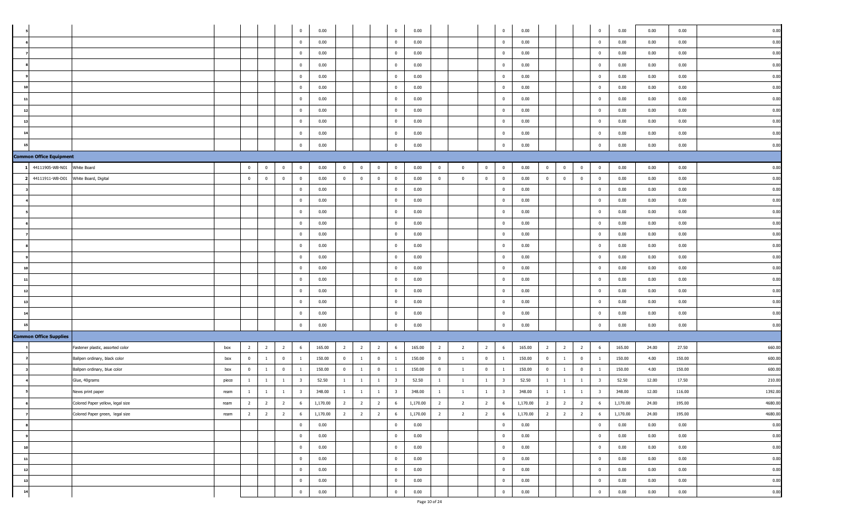|                                |                                      |       |                |                |                | $\overline{0}$          | 0.00     |                |                |                | $\bf{0}$                | 0.00     |                |                          |                | $\bf{0}$                | 0.00     |                |                         |                | $\overline{0}$          | 0.00     | 0.00  | 0.00   | 0.00    |
|--------------------------------|--------------------------------------|-------|----------------|----------------|----------------|-------------------------|----------|----------------|----------------|----------------|-------------------------|----------|----------------|--------------------------|----------------|-------------------------|----------|----------------|-------------------------|----------------|-------------------------|----------|-------|--------|---------|
|                                |                                      |       |                |                |                | $\mathbf{0}$            | 0.00     |                |                |                | $\bf{0}$                | 0.00     |                |                          |                | $\overline{0}$          | 0.00     |                |                         |                | $\overline{0}$          | 0.00     | 0.00  | 0.00   | 0.00    |
|                                |                                      |       |                |                |                | $\mathbf{0}$            | 0.00     |                |                |                | $\mathbf{0}$            | 0.00     |                |                          |                | $\mathbf{0}$            | 0.00     |                |                         |                | $\overline{0}$          | 0.00     | 0.00  | 0.00   | 0.00    |
|                                |                                      |       |                |                |                | $\mathbf{0}$            | 0.00     |                |                |                | $\overline{0}$          | 0.00     |                |                          |                | $\overline{0}$          | 0.00     |                |                         |                | $\overline{0}$          | 0.00     | 0.00  | 0.00   | 0.00    |
|                                |                                      |       |                |                |                | $\mathbf{0}$            | 0.00     |                |                |                | $\mathbf{0}$            | 0.00     |                |                          |                | $\mathbf{0}$            | 0.00     |                |                         |                | $\overline{0}$          | 0.00     | 0.00  | 0.00   | 0.00    |
| 10                             |                                      |       |                |                |                | $\bf{0}$                | 0.00     |                |                |                | $\bf{0}$                | 0.00     |                |                          |                | $\overline{0}$          | 0.00     |                |                         |                | $\overline{0}$          | 0.00     | 0.00  | 0.00   | 0.00    |
| 11                             |                                      |       |                |                |                | $\mathbf{0}$            | 0.00     |                |                |                | $\bf{0}$                | 0.00     |                |                          |                | $\overline{0}$          | 0.00     |                |                         |                | $\overline{0}$          | 0.00     | 0.00  | 0.00   | 0.00    |
| 12                             |                                      |       |                |                |                | $\mathbf{0}$            | 0.00     |                |                |                | $\bf{0}$                | 0.00     |                |                          |                | $\bf{0}$                | 0.00     |                |                         |                | $\overline{0}$          | 0.00     | 0.00  | 0.00   | 0.00    |
|                                |                                      |       |                |                |                | $\overline{0}$          | 0.00     |                |                |                | $\bf{0}$                | 0.00     |                |                          |                | $\mathbf{0}$            | 0.00     |                |                         |                | $\mathbf{0}$            | 0.00     | 0.00  | 0.00   | 0.00    |
|                                |                                      |       |                |                |                | $\overline{0}$          | 0.00     |                |                |                | $\bf{0}$                | 0.00     |                |                          |                | $\bf{0}$                | 0.00     |                |                         |                | $\overline{0}$          | 0.00     | 0.00  | 0.00   | 0.00    |
|                                |                                      |       |                |                |                | $\mathbf{0}$            | 0.00     |                |                |                | $\bf{0}$                | 0.00     |                |                          |                | $\overline{0}$          | 0.00     |                |                         |                | $\overline{0}$          | 0.00     | 0.00  | 0.00   | 0.00    |
| <b>Common Office Equipment</b> |                                      |       |                |                |                |                         |          |                |                |                |                         |          |                |                          |                |                         |          |                |                         |                |                         |          |       |        |         |
| 44111905-WB-N01                | White Board                          |       | $\bf{0}$       | $\mathbf{0}$   | $\bf{0}$       | $\bf{0}$                | 0.00     | $\overline{0}$ | $\bf{0}$       | $\mathbf{0}$   | $\bf{0}$                | 0.00     | $\mathbf{0}$   | $\mathbf{0}$             | $\overline{0}$ | $\bf{0}$                | 0.00     | $\overline{0}$ | $\overline{\mathbf{0}}$ | $\bf{0}$       | $\mathbf{0}$            | 0.00     | 0.00  | 0.00   | 0.00    |
|                                | 44111911-WB-D01 White Board, Digital |       | $\mathbf{0}$   | $\overline{0}$ | $\overline{0}$ | $\overline{0}$          | 0.00     | $\overline{0}$ | $\overline{0}$ | $\overline{0}$ | $\mathbf{0}$            | 0.00     | $\mathbf{0}$   | $\overline{0}$           | $\overline{0}$ | $\overline{0}$          | 0.00     | $\overline{0}$ | $\overline{0}$          | $\overline{0}$ | $\overline{0}$          | 0.00     | 0.00  | 0.00   | 0.00    |
|                                |                                      |       |                |                |                | $\overline{0}$          | 0.00     |                |                |                | $\bf{0}$                | 0.00     |                |                          |                | $\bf{0}$                | 0.00     |                |                         |                | $\overline{0}$          | 0.00     | 0.00  | 0.00   | 0.00    |
|                                |                                      |       |                |                |                | $\mathbf{0}$            | 0.00     |                |                |                | $\mathbf{0}$            | 0.00     |                |                          |                | $\mathbf{0}$            | 0.00     |                |                         |                | $\mathbf{0}$            | 0.00     | 0.00  | 0.00   | 0.00    |
|                                |                                      |       |                |                |                | $\mathbf{0}$            | 0.00     |                |                |                | $\bf{0}$                | 0.00     |                |                          |                | $\overline{0}$          | 0.00     |                |                         |                | $\mathbf{0}$            | 0.00     | 0.00  | 0.00   | 0.00    |
|                                |                                      |       |                |                |                | $\bf{0}$                | 0.00     |                |                |                | $\mathbf 0$             | 0.00     |                |                          |                | $\mathbf{0}$            | 0.00     |                |                         |                | $\overline{0}$          | 0.00     | 0.00  | 0.00   | 0.00    |
|                                |                                      |       |                |                |                | $\mathbf{0}$            | 0.00     |                |                |                | $\bf{0}$                | 0.00     |                |                          |                | $\overline{0}$          | 0.00     |                |                         |                | $\mathbf{0}$            | 0.00     | 0.00  | 0.00   | 0.00    |
|                                |                                      |       |                |                |                | $\overline{0}$          | 0.00     |                |                |                | $\bf{0}$                | 0.00     |                |                          |                | $\bf{0}$                | 0.00     |                |                         |                | $\mathbf{0}$            | 0.00     | 0.00  | 0.00   | 0.00    |
|                                |                                      |       |                |                |                | $\overline{0}$          | 0.00     |                |                |                | $\overline{0}$          | 0.00     |                |                          |                | $\overline{0}$          | 0.00     |                |                         |                | $\mathbf{0}$            | 0.00     | 0.00  | 0.00   | 0.00    |
| 10                             |                                      |       |                |                |                | $\mathbf{0}$            | 0.00     |                |                |                | $\overline{0}$          | 0.00     |                |                          |                | $\mathbf{0}$            | 0.00     |                |                         |                | $\mathbf{0}$            | 0.00     | 0.00  | 0.00   | 0.00    |
| 11                             |                                      |       |                |                |                | $\mathbf{0}$            | 0.00     |                |                |                | $\mathbf 0$             | 0.00     |                |                          |                | $\mathbf{0}$            | 0.00     |                |                         |                | $\overline{0}$          | 0.00     | 0.00  | 0.00   | 0.00    |
| 12                             |                                      |       |                |                |                | $\overline{0}$          | 0.00     |                |                |                | $\mathbf{0}$            | 0.00     |                |                          |                | $\overline{0}$          | 0.00     |                |                         |                | $\mathbf{0}$            | 0.00     | 0.00  | 0.00   | 0.00    |
| 13                             |                                      |       |                |                |                | $\overline{0}$          | 0.00     |                |                |                | $\bf{0}$                | 0.00     |                |                          |                | $\bf{0}$                | 0.00     |                |                         |                | $\mathbf{0}$            | 0.00     | 0.00  | 0.00   | 0.00    |
| 14                             |                                      |       |                |                |                | $\overline{0}$          | 0.00     |                |                |                | $\bf{0}$                | 0.00     |                |                          |                | $\mathbf{0}$            | 0.00     |                |                         |                | $\mathbf{0}$            | 0.00     | 0.00  | 0.00   | 0.00    |
|                                |                                      |       |                |                |                | $\bf{0}$                | 0.00     |                |                |                | $\bf{0}$                | 0.00     |                |                          |                | $\overline{0}$          | 0.00     |                |                         |                | $\overline{0}$          | 0.00     | 0.00  | 0.00   | 0.00    |
| <b>Common Office Supplies</b>  |                                      |       |                |                |                |                         |          |                |                |                |                         |          |                |                          |                |                         |          |                |                         |                |                         |          |       |        |         |
|                                | Fastener plastic, assorted color     | box   | $\overline{2}$ | $\overline{2}$ | $\overline{2}$ | 6                       | 165.00   | $\overline{2}$ | $\overline{2}$ | $\overline{2}$ | 6                       | 165.00   | $\overline{2}$ | 2                        | $\overline{2}$ | 6                       | 165.00   | $\overline{2}$ | $\overline{2}$          | $\overline{2}$ | 6                       | 165.00   | 24.00 | 27.50  | 660.00  |
|                                | Ballpen ordinary, black color        | box   | $\mathbf{0}$   | $\overline{1}$ | $\overline{0}$ | $\mathbf{1}$            | 150.00   | $\overline{0}$ | $\mathbf{1}$   | $\overline{0}$ | $\mathbf{1}$            | 150.00   | $\overline{0}$ | $\overline{1}$           | $\overline{0}$ | $\overline{1}$          | 150.00   | $\overline{0}$ | $\overline{1}$          | $\bf{0}$       | $\mathbf{1}$            | 150.00   | 4.00  | 150.00 | 600.00  |
|                                | Ballpen ordinary, blue color         | box   | $\overline{0}$ | $\mathbf{1}$   | $\bf{0}$       | <sup>1</sup>            | 150.00   | $\overline{0}$ | $\mathbf{1}$   | $\bf{0}$       | $\mathbf{1}$            | 150.00   | $\bf{0}$       | $\mathbf{1}$             | $\mathbf{0}$   | $\mathbf{1}$            | 150.00   | $\overline{0}$ | <sup>1</sup>            | $\bf{0}$       | $\mathbf{1}$            | 150.00   | 4.00  | 150.00 | 600.00  |
|                                | Glue, 40grams                        | piece | $\mathbf{1}$   | $\mathbf{1}$   | <sup>1</sup>   | $\overline{\mathbf{3}}$ | 52.50    | $\mathbf{1}$   | <sup>1</sup>   | 1              | $\overline{\mathbf{3}}$ | 52.50    | -1             | $\mathbf{1}$             | $\mathbf{1}$   | $\overline{\mathbf{3}}$ | 52.50    | $\mathbf{1}$   | $\overline{1}$          | $\overline{1}$ | $\overline{\mathbf{3}}$ | 52.50    | 12.00 | 17.50  | 210.00  |
|                                | News print paper                     | ream  | $\mathbf{1}$   | $\mathbf{1}$   | $\mathbf{1}$   | $\overline{\mathbf{3}}$ | 348.00   | $\mathbf{1}$   | $\overline{1}$ | <sup>1</sup>   | $\overline{\mathbf{3}}$ | 348.00   | $\overline{1}$ | $\mathbf{1}$             | $\mathbf{1}$   | $\overline{\mathbf{3}}$ | 348.00   | 1              | 1                       | $\overline{1}$ | $\overline{\mathbf{3}}$ | 348.00   | 12.00 | 116.00 | 1392.00 |
|                                | Colored Paper yellow, legal size     | ream  | $\overline{2}$ | $\overline{2}$ | $\overline{2}$ | 6                       | 1,170.00 | $\overline{2}$ | $\overline{2}$ | $\overline{2}$ | 6                       | 1,170.00 | $\overline{2}$ | $\overline{\phantom{a}}$ | $\overline{2}$ | 6                       | 1,170.00 | $\overline{2}$ | $\overline{2}$          | $\overline{2}$ |                         | 1,170.00 | 24.00 | 195.00 | 4680.00 |
|                                | Colored Paper green, legal size      | ream  | $\overline{2}$ | $\overline{2}$ | $\overline{2}$ | 6                       | 1,170.00 | $\overline{2}$ | $\overline{2}$ | $\overline{2}$ | 6                       | 1,170.00 | $\overline{2}$ | $\overline{2}$           | $\overline{2}$ | 6                       | 1,170.00 | $\overline{2}$ | $\overline{2}$          | $\overline{2}$ | 6                       | 1,170.00 | 24.00 | 195.00 | 4680.00 |
|                                |                                      |       |                |                |                | $\overline{0}$          | 0.00     |                |                |                | $\overline{0}$          | 0.00     |                |                          |                | $\bf{0}$                | 0.00     |                |                         |                | $\overline{0}$          | 0.00     | 0.00  | 0.00   | 0.00    |
|                                |                                      |       |                |                |                | $\mathbf{0}$            | 0.00     |                |                |                | $\mathbf{0}$            | 0.00     |                |                          |                | $\overline{0}$          | 0.00     |                |                         |                | $\bf{0}$                | 0.00     | 0.00  | 0.00   | 0.00    |
| 10                             |                                      |       |                |                |                | $\bf{0}$                | 0.00     |                |                |                | $\bf{0}$                | 0.00     |                |                          |                | $\overline{0}$          | 0.00     |                |                         |                | $\overline{0}$          | 0.00     | 0.00  | 0.00   | 0.00    |
| 11                             |                                      |       |                |                |                | $\mathbf{0}$            | 0.00     |                |                |                | $\overline{0}$          | 0.00     |                |                          |                | $\mathbf{0}$            | 0.00     |                |                         |                | $\bf{0}$                | 0.00     | 0.00  | 0.00   | 0.00    |
| 12                             |                                      |       |                |                |                | $\mathbf{0}$            | 0.00     |                |                |                | $\bf{0}$                | 0.00     |                |                          |                | $\bf{0}$                | 0.00     |                |                         |                | $\bf{0}$                | 0.00     | 0.00  | 0.00   | 0.00    |
| 13                             |                                      |       |                |                |                | $\bf{0}$                | 0.00     |                |                |                | $\bf{0}$                | 0.00     |                |                          |                | $\bf{0}$                | 0.00     |                |                         |                | $\overline{0}$          | 0.00     | 0.00  | 0.00   | 0.00    |
| 14                             |                                      |       |                |                |                | $\overline{0}$          | 0.00     |                |                |                | $\overline{0}$          | 0.00     |                |                          |                | $\bf{0}$                | 0.00     |                |                         |                | $\overline{0}$          | 0.00     | 0.00  | 0.00   | 0.00    |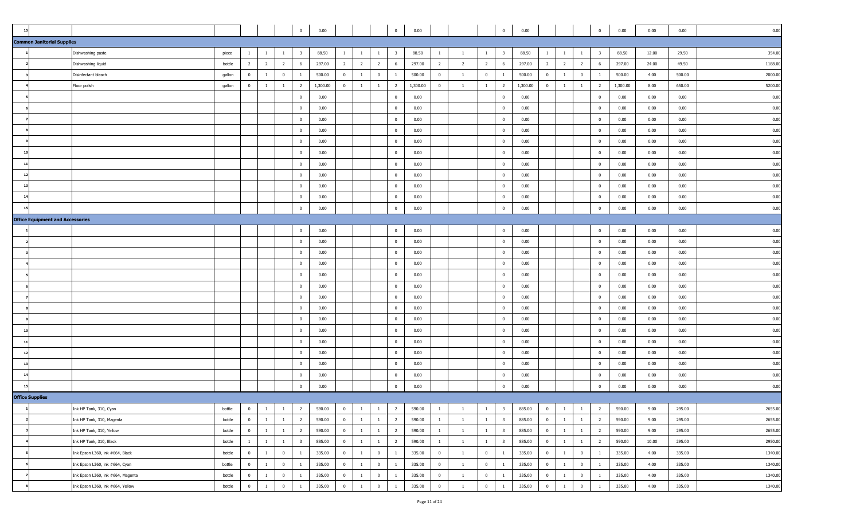|                                         |                                   |        |                |                |                | $\overline{0}$          | 0.00     |                |                |                | $\overline{0}$          | 0.00     |                |                |                | $\overline{0}$          | 0.00     |                |                |                         | $\overline{0}$          | 0.00     | 0.00  | 0.00   | 0.00    |
|-----------------------------------------|-----------------------------------|--------|----------------|----------------|----------------|-------------------------|----------|----------------|----------------|----------------|-------------------------|----------|----------------|----------------|----------------|-------------------------|----------|----------------|----------------|-------------------------|-------------------------|----------|-------|--------|---------|
| <b>Common Janitorial Supplies</b>       |                                   |        |                |                |                |                         |          |                |                |                |                         |          |                |                |                |                         |          |                |                |                         |                         |          |       |        |         |
|                                         | Dishwashing paste                 | piece  | $\mathbf{1}$   |                | -1             | $\overline{\mathbf{3}}$ | 88.50    | $\overline{1}$ | $\mathbf{1}$   | $\mathbf{1}$   | $\overline{\mathbf{3}}$ | 88.50    | <sup>1</sup>   | <sup>1</sup>   | 1              | $\overline{\mathbf{3}}$ | 88.50    | $\mathbf{1}$   | <sup>1</sup>   | $\overline{1}$          | $\overline{\mathbf{3}}$ | 88.50    | 12.00 | 29.50  | 354.00  |
|                                         | Dishwashing liquid                | bottle | $\overline{2}$ | $\overline{2}$ | $\overline{2}$ | $6\overline{6}$         | 297.00   | $\overline{2}$ | $\overline{2}$ | $\overline{2}$ | 6                       | 297.00   | $\overline{2}$ | $\overline{2}$ | $\overline{2}$ | 6                       | 297.00   | $2^{\circ}$    | $\overline{2}$ | $\overline{2}$          | 6                       | 297.00   | 24.00 | 49.50  | 1188.00 |
|                                         | Disinfectant bleach               | gallon | $\overline{0}$ | $\mathbf{1}$   | $\overline{0}$ | 1                       | 500.00   | $\bf{0}$       | $\mathbf{1}$   | $\overline{0}$ | -1                      | 500.00   | $\bf{0}$       | $\mathbf{1}$   | $\overline{0}$ | $\mathbf{1}$            | 500.00   | $\overline{0}$ | $\overline{1}$ | $\overline{0}$          | $\overline{1}$          | 500.00   | 4.00  | 500.00 | 2000.00 |
|                                         | Floor polish                      | gallon | $\mathbf{0}$   | $\mathbf{1}$   | $\mathbf{1}$   | $\overline{2}$          | 1,300.00 | $\overline{0}$ | $\mathbf{1}$   | $\overline{1}$ | $\overline{2}$          | 1,300.00 | $\bf{0}$       | $\overline{1}$ | $\mathbf{1}$   | $\overline{2}$          | 1,300.00 | $\mathbf{0}$   | $\overline{1}$ | $\overline{1}$          | $\overline{2}$          | 1,300.00 | 8.00  | 650.00 | 5200.00 |
|                                         |                                   |        |                |                |                | $\mathbf{0}$            | 0.00     |                |                |                | $\overline{0}$          | 0.00     |                |                |                | $\mathbf{0}$            | 0.00     |                |                |                         | $\overline{0}$          | 0.00     | 0.00  | 0.00   | 0.00    |
|                                         |                                   |        |                |                |                | $\mathbf{0}$            | 0.00     |                |                |                | $\bf{0}$                | 0.00     |                |                |                | $\Omega$                | 0.00     |                |                |                         | $\mathbf 0$             | 0.00     | 0.00  | 0.00   | 0.00    |
|                                         |                                   |        |                |                |                | $\overline{0}$          | 0.00     |                |                |                | $\overline{0}$          | 0.00     |                |                |                | $\mathbf 0$             | 0.00     |                |                |                         | $\overline{0}$          | 0.00     | 0.00  | 0.00   | 0.00    |
|                                         |                                   |        |                |                |                | $\mathbf{0}$            | 0.00     |                |                |                | $\mathbf{0}$            | 0.00     |                |                |                | $\mathbf{0}$            | 0.00     |                |                |                         | $\mathbf{0}$            | 0.00     | 0.00  | 0.00   | 0.00    |
|                                         |                                   |        |                |                |                | $\mathbf{0}$            | 0.00     |                |                |                | $\mathbf{0}$            | 0.00     |                |                |                | $^{\circ}$              | 0.00     |                |                |                         | $\mathbf{0}$            | 0.00     | 0.00  | 0.00   | 0.00    |
|                                         |                                   |        |                |                |                | $\overline{0}$          | 0.00     |                |                |                | $\mathbf 0$             | 0.00     |                |                |                | $\mathbf 0$             | 0.00     |                |                |                         | $\mathbf{0}$            | 0.00     | 0.00  | 0.00   | 0.00    |
| $\mathbf{1}$                            |                                   |        |                |                |                | $\overline{0}$          | 0.00     |                |                |                | $\overline{0}$          | 0.00     |                |                |                | $\mathbf{0}$            | 0.00     |                |                |                         | $\overline{0}$          | 0.00     | 0.00  | 0.00   | 0.00    |
|                                         |                                   |        |                |                |                | $\bf{0}$                | 0.00     |                |                |                | $\bf{0}$                | 0.00     |                |                |                | $^{\circ}$              | 0.00     |                |                |                         | $\mathbf 0$             | 0.00     | 0.00  | 0.00   | 0.00    |
|                                         |                                   |        |                |                |                | $\overline{0}$          | 0.00     |                |                |                | $\overline{0}$          | 0.00     |                |                |                | $\mathbf 0$             | 0.00     |                |                |                         | $\overline{0}$          | 0.00     | 0.00  | 0.00   | 0.00    |
|                                         |                                   |        |                |                |                | $\overline{0}$          | 0.00     |                |                |                | $\mathbf{0}$            | 0.00     |                |                |                | $^{\circ}$              | 0.00     |                |                |                         | $\mathbf{0}$            | 0.00     | 0.00  | 0.00   | 0.00    |
|                                         |                                   |        |                |                |                | $\mathbf 0$             | 0.00     |                |                |                | $\mathbf{0}$            | 0.00     |                |                |                | $^{\circ}$              | 0.00     |                |                |                         | $\mathbf{0}$            | 0.00     | 0.00  | 0.00   | 0.00    |
| <b>Office Equipment and Accessories</b> |                                   |        |                |                |                |                         |          |                |                |                |                         |          |                |                |                |                         |          |                |                |                         |                         |          |       |        |         |
|                                         |                                   |        |                |                |                | $\overline{0}$          | 0.00     |                |                |                | $\overline{0}$          | 0.00     |                |                |                | $\mathbf 0$             | 0.00     |                |                |                         | $\mathbf{0}$            | 0.00     | 0.00  | 0.00   | 0.00    |
|                                         |                                   |        |                |                |                | $\overline{0}$          | 0.00     |                |                |                | $\mathbf{0}$            | 0.00     |                |                |                | $\mathbf 0$             | 0.00     |                |                |                         | $\mathbf{0}$            | 0.00     | 0.00  | 0.00   | 0.00    |
|                                         |                                   |        |                |                |                | $\overline{0}$          | 0.00     |                |                |                | $\bf{0}$                | 0.00     |                |                |                | $\mathbf 0$             | 0.00     |                |                |                         | $\overline{0}$          | 0.00     | 0.00  | 0.00   | 0.00    |
|                                         |                                   |        |                |                |                | $\bf{0}$                | 0.00     |                |                |                | $\overline{0}$          | 0.00     |                |                |                | $\mathbf{0}$            | 0.00     |                |                |                         | $\overline{0}$          | 0.00     | 0.00  | 0.00   | 0.00    |
|                                         |                                   |        |                |                |                | $\mathbf 0$             | 0.00     |                |                |                | $\mathbf{0}$            | 0.00     |                |                |                | $\mathbf 0$             | 0.00     |                |                |                         | $\mathbf{0}$            | 0.00     | 0.00  | 0.00   | 0.00    |
|                                         |                                   |        |                |                |                | $\overline{0}$          | 0.00     |                |                |                | $\mathbf{0}$            | 0.00     |                |                |                | $\overline{0}$          | 0.00     |                |                |                         | $\overline{0}$          | 0.00     | 0.00  | 0.00   | 0.00    |
|                                         |                                   |        |                |                |                | $\overline{0}$          | 0.00     |                |                |                | $\bf{0}$                | 0.00     |                |                |                | $\mathbf{0}$            | 0.00     |                |                |                         | $\mathbf{0}$            | 0.00     | 0.00  | 0.00   | 0.00    |
|                                         |                                   |        |                |                |                | $\bf{0}$                | 0.00     |                |                |                | $\bf{0}$                | 0.00     |                |                |                | $\mathbf{0}$            | 0.00     |                |                |                         | $\mathbf{0}$            | 0.00     | 0.00  | 0.00   | 0.00    |
|                                         |                                   |        |                |                |                | $\overline{0}$          | 0.00     |                |                |                | $\overline{0}$          | 0.00     |                |                |                | $\mathbf{0}$            | 0.00     |                |                |                         | $\overline{0}$          | 0.00     | 0.00  | 0.00   | 0.00    |
|                                         |                                   |        |                |                |                | $\mathbf{0}$            | 0.00     |                |                |                | $\mathbf{0}$            | 0.00     |                |                |                | $\mathbf 0$             | 0.00     |                |                |                         | $\mathbf 0$             | 0.00     | 0.00  | 0.00   | 0.00    |
|                                         |                                   |        |                |                |                | $\overline{0}$          | 0.00     |                |                |                | $\overline{0}$          | 0.00     |                |                |                | $\overline{0}$          | 0.00     |                |                |                         | $\overline{0}$          | 0.00     | 0.00  | 0.00   | 0.00    |
| $\overline{1}$                          |                                   |        |                |                |                | $\overline{0}$          | 0.00     |                |                |                | $\overline{0}$          | 0.00     |                |                |                | $\mathbf{0}$            | 0.00     |                |                |                         | $\overline{0}$          | 0.00     | 0.00  | 0.00   | 0.00    |
| 13                                      |                                   |        |                |                |                | $\overline{0}$          | 0.00     |                |                |                | $\bf{0}$                | 0.00     |                |                |                | $\mathbf 0$             | 0.00     |                |                |                         | $\mathbf{0}$            | 0.00     | 0.00  | 0.00   | 0.00    |
|                                         |                                   |        |                |                |                | $\bf{0}$                | 0.00     |                |                |                | $\bf{0}$                | 0.00     |                |                |                | $\mathbf{0}$            | 0.00     |                |                |                         | $\overline{0}$          | 0.00     | 0.00  | 0.00   | 0.00    |
|                                         |                                   |        |                |                |                | $\overline{0}$          | 0.00     |                |                |                | $\overline{0}$          | 0.00     |                |                |                | $\mathbf{0}$            | 0.00     |                |                |                         | $\mathbf{0}$            | 0.00     | 0.00  | 0.00   | 0.00    |
| <b>Office Supplies</b>                  |                                   |        |                |                |                |                         |          |                |                |                |                         |          |                |                |                |                         |          |                |                |                         |                         |          |       |        |         |
|                                         | Ink HP Tank, 310, Cyan            | bottle | $\mathbf{0}$   | $\mathbf{1}$   | $\mathbf{1}$   | $\overline{2}$          | 590.00   | $\bf{0}$       | $\mathbf{1}$   | $\overline{1}$ | $\overline{2}$          | 590.00   | $\overline{1}$ | $\mathbf{1}$   | $\mathbf{1}$   | $\overline{\mathbf{3}}$ | 885.00   | $\overline{0}$ | $\mathbf{1}$   | $\overline{1}$          | $\overline{2}$          | 590.00   | 9.00  | 295.00 | 2655.00 |
|                                         | Ink HP Tank, 310, Magenta         | bottle | $\overline{0}$ | 1              | $\overline{1}$ | $\overline{2}$          | 590.00   | $\bf{0}$       | $\mathbf{1}$   | $\overline{1}$ | $\overline{2}$          | 590.00   | $\overline{1}$ | $\mathbf{1}$   | 1              | $\overline{\mathbf{3}}$ | 885.00   | $\overline{0}$ | $\overline{1}$ | $\overline{1}$          | $\overline{2}$          | 590.00   | 9.00  | 295.00 | 2655.00 |
|                                         | Ink HP Tank, 310, Yellow          | bottle | $\overline{0}$ | $\mathbf{1}$   | $\overline{1}$ | $\overline{2}$          | 590.00   | $\bf{0}$       | $\mathbf{1}$   | $\mathbf{1}$   | $\overline{2}$          | 590.00   | <sup>1</sup>   | $\mathbf{1}$   | $\mathbf{1}$   | $\overline{\mathbf{3}}$ | 885.00   | $\overline{0}$ | $\overline{1}$ | $\overline{1}$          | $\overline{2}$          | 590.00   | 9.00  | 295.00 | 2655.00 |
|                                         | Ink HP Tank, 310, Black           | bottle | $\mathbf{1}$   | $\mathbf{1}$   | $\overline{1}$ | $\overline{\mathbf{3}}$ | 885.00   | $\bf{0}$       | $\mathbf{1}$   | $\overline{1}$ | $\overline{2}$          | 590.00   | $\overline{1}$ | $\overline{1}$ | $\mathbf{1}$   | $\overline{\mathbf{3}}$ | 885.00   | $\overline{0}$ | $\overline{1}$ | $\overline{1}$          | $\overline{2}$          | 590.00   | 10.00 | 295.00 | 2950.00 |
|                                         | Ink Epson L360, ink #664, Black   | bottle | $\overline{0}$ | $\mathbf{1}$   | $\overline{0}$ | $\mathbf{1}$            | 335.00   | $\bf{0}$       | $\mathbf{1}$   | $\overline{0}$ | $\mathbf{1}$            | 335.00   | $\bf{0}$       | $\overline{1}$ | $\overline{0}$ | $\mathbf{1}$            | 335.00   | $\overline{0}$ | $\overline{1}$ | $\overline{\mathbf{0}}$ | $\mathbf{1}$            | 335.00   | 4.00  | 335.00 | 1340.00 |
|                                         | Ink Epson L360, ink #664, Cyan    | bottle | $\overline{0}$ | $\mathbf{1}$   | $\overline{0}$ | <sup>1</sup>            | 335.00   | $\bf{0}$       | $\mathbf{1}$   | $\overline{0}$ | <sup>1</sup>            | 335.00   | $\bf{0}$       | $\overline{1}$ | $\overline{0}$ | $\mathbf{1}$            | 335.00   | $\overline{0}$ | $\overline{1}$ | $\overline{\mathbf{0}}$ | $\mathbf{1}$            | 335.00   | 4.00  | 335.00 | 1340.00 |
|                                         | Ink Epson L360, ink #664, Magenta | bottle | $\overline{0}$ | $\mathbf{1}$   | $\overline{0}$ | $\mathbf{1}$            | 335.00   | $\bf{0}$       | $\mathbf{1}$   | $\overline{0}$ | $\mathbf{1}$            | 335.00   | $\bf{0}$       | $\mathbf{1}$   | $\bf{0}$       | $\mathbf{1}$            | 335.00   | $\overline{0}$ | $\overline{1}$ | $\overline{\mathbf{0}}$ | $\mathbf{1}$            | 335.00   | 4.00  | 335.00 | 1340.00 |
|                                         | Ink Epson L360, ink #664, Yellow  | bottle | $\bf{0}$       | $\mathbf{1}$   | $\mathbf 0$    |                         | 335.00   | $\mathbf 0$    | 1              | $\mathbf 0$    |                         | 335.00   | $\bf{0}$       |                | $\mathbf 0$    | -1                      | 335.00   | $\mathbf{0}$   | $\mathbf{1}$   | $\bf{0}$                |                         | 335.00   | 4.00  | 335.00 | 1340.00 |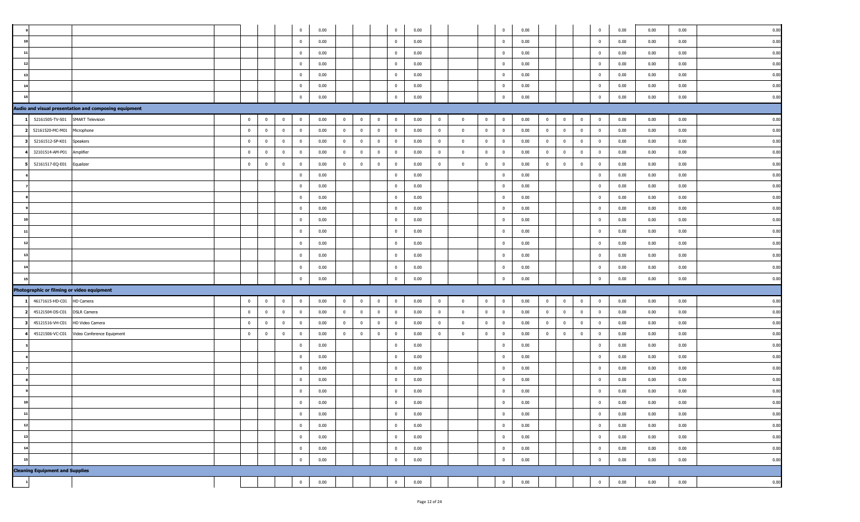|    |                                        |                                                       |                |                         |                         | $\mathbf 0$    | 0.00 |                |                         |                | $\mathbf{0}$   | 0.00 |                |                | $\overline{0}$                      | 0.00 |                |                         |                | $\overline{0}$ | 0.00 | 0.00 | 0.00 | 0.00 |
|----|----------------------------------------|-------------------------------------------------------|----------------|-------------------------|-------------------------|----------------|------|----------------|-------------------------|----------------|----------------|------|----------------|----------------|-------------------------------------|------|----------------|-------------------------|----------------|----------------|------|------|------|------|
|    |                                        |                                                       |                |                         |                         | $\mathbf{0}$   | 0.00 |                |                         |                | $\overline{0}$ | 0.00 |                |                | $\overline{0}$                      | 0.00 |                |                         |                | $\overline{0}$ | 0.00 | 0.00 | 0.00 | 0.00 |
| 11 |                                        |                                                       |                |                         |                         | $\overline{0}$ | 0.00 |                |                         |                | $\mathbf{0}$   | 0.00 |                |                | $\overline{0}$                      | 0.00 |                |                         |                | $\overline{0}$ | 0.00 | 0.00 | 0.00 | 0.00 |
| 12 |                                        |                                                       |                |                         |                         | $\mathbf{0}$   | 0.00 |                |                         |                | $\overline{0}$ | 0.00 |                |                | $\overline{0}$                      | 0.00 |                |                         |                | $\overline{0}$ | 0.00 | 0.00 | 0.00 | 0.00 |
| 13 |                                        |                                                       |                |                         |                         | $\mathbf 0$    | 0.00 |                |                         |                | $\overline{0}$ | 0.00 |                |                | $\overline{\mathbf{0}}$             | 0.00 |                |                         |                | $\overline{0}$ | 0.00 | 0.00 | 0.00 | 0.00 |
| 14 |                                        |                                                       |                |                         |                         | $\bf{0}$       | 0.00 |                |                         |                | $\bf{0}$       | 0.00 |                |                | $\overline{\mathbf{0}}$             | 0.00 |                |                         |                | $\overline{0}$ | 0.00 | 0.00 | 0.00 | 0.00 |
|    |                                        |                                                       |                |                         |                         | $\Omega$       | 0.00 |                |                         |                | $\overline{0}$ | 0.00 |                |                | $\mathbf 0$                         | 0.00 |                |                         |                | $\overline{0}$ | 0.00 | 0.00 | 0.00 | 0.00 |
|    |                                        | Audio and visual presentation and composing equipment |                |                         |                         |                |      |                |                         |                |                |      |                |                |                                     |      |                |                         |                |                |      |      |      |      |
|    | 52161505-TV-S01                        | <b>SMART Television</b>                               | $\overline{0}$ | $\overline{\mathbf{0}}$ | $\overline{0}$          | $\overline{0}$ | 0.00 | $\overline{0}$ | $\overline{0}$          | $\overline{0}$ | $\overline{0}$ | 0.00 | $\overline{0}$ | $\overline{0}$ | $\bf{0}$<br>$\overline{\mathbf{0}}$ | 0.00 | $\bf{0}$       | $\overline{0}$          | $\overline{0}$ | $\overline{0}$ | 0.00 | 0.00 | 0.00 | 0.00 |
|    | 52161520-MC-M01                        | Microphone                                            | $\mathbf{0}$   | $\overline{0}$          | $\overline{\mathbf{0}}$ | $\mathbf{0}$   | 0.00 | $\overline{0}$ | $\bf{0}$                | $\mathbf{0}$   | $\bf{0}$       | 0.00 | $\overline{0}$ | $^{\circ}$     | $\mathbf{0}$<br>$\overline{0}$      | 0.00 | $\mathbf{0}$   | $\overline{0}$          | $\overline{0}$ | $\overline{0}$ | 0.00 | 0.00 | 0.00 | 0.00 |
|    | 52161512-SP-K01                        | Speakers                                              | $\overline{0}$ | $\mathbf{0}$            | $\bf{0}$                | $\mathbf 0$    | 0.00 | $\overline{0}$ | $\bf{0}$                | $\bf{0}$       | $\mathbf{0}$   | 0.00 | $\overline{0}$ | $\mathbf 0$    | $\mathbf{0}$<br>$\overline{0}$      | 0.00 | $\bf{0}$       | $\overline{0}$          | $\mathbf{0}$   | $\overline{0}$ | 0.00 | 0.00 | 0.00 | 0.00 |
|    | 32101514-AM-P01                        | Amplifier                                             | $\overline{0}$ | $\overline{0}$          | $\overline{\mathbf{0}}$ | $\bf{0}$       | 0.00 | $\overline{0}$ | $\bf{0}$                | $\bf{0}$       | $\bf{0}$       | 0.00 | $\bf{0}$       | $\mathbf 0$    | $\overline{0}$<br>$\overline{0}$    | 0.00 | $\bf{0}$       | $\overline{0}$          | $\overline{0}$ | $\overline{0}$ | 0.00 | 0.00 | 0.00 | 0.00 |
|    | 52161517-EQ-E01                        | Equalizer                                             | $\overline{0}$ | $\mathbf 0$             | $\overline{0}$          | $\mathbf{0}$   | 0.00 | $\overline{0}$ | $\overline{\mathbf{0}}$ | $\mathbf{0}$   | $\mathbf 0$    | 0.00 | $\overline{0}$ | $\Omega$       | $\mathbf 0$<br>$\mathbf{0}$         | 0.00 | $\mathbf 0$    | $\mathbf 0$             | $\overline{0}$ | $\overline{0}$ | 0.00 | 0.00 | 0.00 | 0.00 |
|    |                                        |                                                       |                |                         |                         | $\mathbf{0}$   | 0.00 |                |                         |                | $\overline{0}$ | 0.00 |                |                | $\overline{0}$                      | 0.00 |                |                         |                | $\overline{0}$ | 0.00 | 0.00 | 0.00 | 0.00 |
|    |                                        |                                                       |                |                         |                         | $\mathbf{0}$   | 0.00 |                |                         |                | $\overline{0}$ | 0.00 |                |                | $\overline{0}$                      | 0.00 |                |                         |                | $\overline{0}$ | 0.00 | 0.00 | 0.00 | 0.00 |
|    |                                        |                                                       |                |                         |                         | $\mathbf 0$    | 0.00 |                |                         |                | $\bf{0}$       | 0.00 |                |                | $\overline{0}$                      | 0.00 |                |                         |                | $\overline{0}$ | 0.00 | 0.00 | 0.00 | 0.00 |
|    |                                        |                                                       |                |                         |                         | $\mathbf{0}$   | 0.00 |                |                         |                | $\mathbf{0}$   | 0.00 |                |                | $\overline{\mathbf{0}}$             | 0.00 |                |                         |                | $\overline{0}$ | 0.00 | 0.00 | 0.00 | 0.00 |
|    |                                        |                                                       |                |                         |                         | $\mathbf{0}$   | 0.00 |                |                         |                | $\mathbf{0}$   | 0.00 |                |                | $\overline{0}$                      | 0.00 |                |                         |                | $\overline{0}$ | 0.00 | 0.00 | 0.00 | 0.00 |
| 11 |                                        |                                                       |                |                         |                         | $\bf{0}$       | 0.00 |                |                         |                | $\mathbf{0}$   | 0.00 |                |                | $\overline{\mathbf{0}}$             | 0.00 |                |                         |                | $\mathbf{0}$   | 0.00 | 0.00 | 0.00 | 0.00 |
| 12 |                                        |                                                       |                |                         |                         |                |      |                |                         |                |                |      |                |                |                                     |      |                |                         |                |                |      |      |      |      |
|    |                                        |                                                       |                |                         |                         | $\mathbf 0$    | 0.00 |                |                         |                | $\overline{0}$ | 0.00 |                |                | $\overline{0}$                      | 0.00 |                |                         |                | $\overline{0}$ | 0.00 | 0.00 | 0.00 | 0.00 |
| 13 |                                        |                                                       |                |                         |                         | $\mathbf{0}$   | 0.00 |                |                         |                | $\mathbf{0}$   | 0.00 |                |                | $\overline{0}$                      | 0.00 |                |                         |                | $\mathbf{0}$   | 0.00 | 0.00 | 0.00 | 0.00 |
|    |                                        |                                                       |                |                         |                         | $\mathbf{0}$   | 0.00 |                |                         |                | $\mathbf{0}$   | 0.00 |                |                | $\overline{\mathbf{0}}$             | 0.00 |                |                         |                | $\mathbf{0}$   | 0.00 | 0.00 | 0.00 | 0.00 |
|    |                                        |                                                       |                |                         |                         | $\Omega$       | 0.00 |                |                         |                | $\mathbf{0}$   | 0.00 |                |                | $\mathbf{0}$                        | 0.00 |                |                         |                | $\Omega$       | 0.00 | 0.00 | 0.00 | 0.00 |
|    |                                        | Photographic or filming or video equipment            |                |                         |                         |                |      |                |                         |                |                |      |                |                |                                     |      |                |                         |                |                |      |      |      |      |
|    | 46171615-HD-C01                        | HD Camera                                             | $\overline{0}$ | $\overline{\mathbf{0}}$ | $\overline{0}$          | $\overline{0}$ | 0.00 | $\overline{0}$ | $\overline{0}$          | $\overline{0}$ | $\overline{0}$ | 0.00 | $\overline{0}$ | $\overline{0}$ | $\bf{0}$<br>$\overline{\mathbf{0}}$ | 0.00 | $\overline{0}$ | $\overline{0}$          | $\overline{0}$ | $\overline{0}$ | 0.00 | 0.00 | 0.00 | 0.00 |
|    | 45121504-DS-C01                        | <b>DSLR Camera</b>                                    | $\overline{0}$ | $\mathbf 0$             | $\overline{0}$          | $\overline{0}$ | 0.00 | $\overline{0}$ | $\overline{0}$          | $\mathbf 0$    | $\overline{0}$ | 0.00 | $\overline{0}$ | $\mathbf{0}$   | $\bf{0}$<br>$\overline{0}$          | 0.00 | $\mathbf{0}$   | $\overline{0}$          | $\overline{0}$ | $\overline{0}$ | 0.00 | 0.00 | 0.00 | 0.00 |
|    | 45121516-VH-C01                        | HD Video Camera                                       | $\overline{0}$ | $\overline{\mathbf{0}}$ | $\overline{\mathbf{0}}$ | $\mathbf{0}$   | 0.00 | $\overline{0}$ | $\mathbf{0}$            | $\mathbf{0}$   | $\overline{0}$ | 0.00 | $\overline{0}$ | $\mathbf{0}$   | $\overline{0}$<br>$\overline{0}$    | 0.00 | $\overline{0}$ | $\overline{\mathbf{0}}$ | $\mathbf{0}$   | $\overline{0}$ | 0.00 | 0.00 | 0.00 | 0.00 |
|    | 45121506-VC-C01                        | Video Conference Equipment                            | $\overline{0}$ | $\overline{0}$          | $\overline{0}$          | $\overline{0}$ | 0.00 | $\overline{0}$ | $\overline{\mathbf{0}}$ | $\overline{0}$ | $\mathbf{0}$   | 0.00 | $\overline{0}$ | $\overline{0}$ | $\overline{0}$<br>$\overline{0}$    | 0.00 | $\overline{0}$ | $\overline{0}$          | $\overline{0}$ | $\overline{0}$ | 0.00 | 0.00 | 0.00 | 0.00 |
|    |                                        |                                                       |                |                         |                         | $\mathbf 0$    | 0.00 |                |                         |                | $\overline{0}$ | 0.00 |                |                | $\mathbf{0}$                        | 0.00 |                |                         |                | $\overline{0}$ | 0.00 | 0.00 | 0.00 | 0.00 |
|    |                                        |                                                       |                |                         |                         | $\mathbf 0$    | 0.00 |                |                         |                | $\mathbf{0}$   | 0.00 |                |                | $\overline{\mathbf{0}}$             | 0.00 |                |                         |                | $\overline{0}$ | 0.00 | 0.00 | 0.00 | 0.00 |
|    |                                        |                                                       |                |                         |                         | $\Omega$       | 0.00 |                |                         |                | $\mathbf{0}$   | 0.00 |                |                | $\mathbf{0}$                        | 0.00 |                |                         |                | $\overline{0}$ | 0.00 | 0.00 | 0.00 | 0.00 |
|    |                                        |                                                       |                |                         |                         | $\mathbf{0}$   | 0.00 |                |                         |                | $\mathbf{0}$   | 0.00 |                |                | $\overline{0}$                      | 0.00 |                |                         |                | $\Omega$       | 0.00 | 0.00 | 0.00 | 0.00 |
|    |                                        |                                                       |                |                         |                         | $\mathbf 0$    | 0.00 |                |                         |                | $\overline{0}$ | 0.00 |                |                | $\overline{0}$                      | 0.00 |                |                         |                | $\overline{0}$ | 0.00 | 0.00 | 0.00 | 0.00 |
| 10 |                                        |                                                       |                |                         |                         | $\mathbf 0$    | 0.00 |                |                         |                | $\mathbf{0}$   | 0.00 |                |                | $\mathbf 0$                         | 0.00 |                |                         |                | $\overline{0}$ | 0.00 | 0.00 | 0.00 | 0.00 |
| 11 |                                        |                                                       |                |                         |                         | $\mathbf{0}$   | 0.00 |                |                         |                | $\overline{0}$ | 0.00 |                |                | $\overline{0}$                      | 0.00 |                |                         |                | $\overline{0}$ | 0.00 | 0.00 | 0.00 | 0.00 |
| 12 |                                        |                                                       |                |                         |                         | $\mathbf 0$    | 0.00 |                |                         |                | $\mathbf{0}$   | 0.00 |                |                | $\overline{0}$                      | 0.00 |                |                         |                | $\overline{0}$ | 0.00 | 0.00 | 0.00 | 0.00 |
| 13 |                                        |                                                       |                |                         |                         | $\overline{0}$ | 0.00 |                |                         |                | $\mathbf{0}$   | 0.00 |                |                | $\overline{0}$                      | 0.00 |                |                         |                | $\overline{0}$ | 0.00 | 0.00 | 0.00 | 0.00 |
| 14 |                                        |                                                       |                |                         |                         | $\mathbf 0$    | 0.00 |                |                         |                | $\overline{0}$ | 0.00 |                |                | $\bf{0}$                            | 0.00 |                |                         |                | $\overline{0}$ | 0.00 | 0.00 | 0.00 | 0.00 |
| 15 |                                        |                                                       |                |                         |                         | $\mathbf{0}$   | 0.00 |                |                         |                | $\mathbf{0}$   | 0.00 |                |                | $\overline{0}$                      | 0.00 |                |                         |                | $\overline{0}$ | 0.00 | 0.00 | 0.00 | 0.00 |
|    | <b>Cleaning Equipment and Supplies</b> |                                                       |                |                         |                         |                |      |                |                         |                |                |      |                |                |                                     |      |                |                         |                |                |      |      |      |      |
|    |                                        |                                                       |                |                         |                         | $\mathbf 0$    | 0.00 |                |                         |                | $\bf{0}$       | 0.00 |                |                | $\bf{0}$                            | 0.00 |                |                         |                | $\overline{0}$ | 0.00 | 0.00 | 0.00 | 0.00 |
|    |                                        |                                                       |                |                         |                         |                |      |                |                         |                |                |      |                |                |                                     |      |                |                         |                |                |      |      |      |      |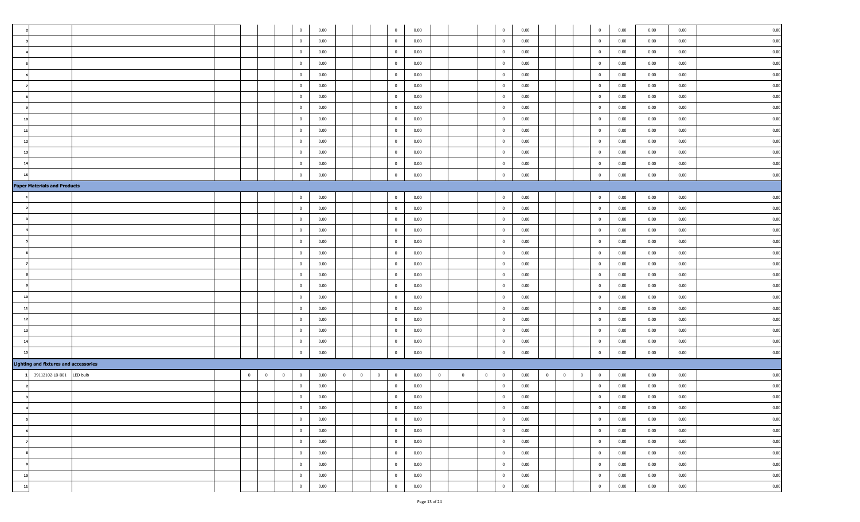|    |                                              |          |          |                |          | $\mathbf{0}$   | 0.00 |                                           |                | $\mathbf{0}$   | 0.00 |          |                |          | $\overline{0}$          | 0.00 |                |                         |          | $\overline{0}$ | 0.00 | 0.00 | 0.00 | 0.00 |
|----|----------------------------------------------|----------|----------|----------------|----------|----------------|------|-------------------------------------------|----------------|----------------|------|----------|----------------|----------|-------------------------|------|----------------|-------------------------|----------|----------------|------|------|------|------|
|    |                                              |          |          |                |          | $\overline{0}$ | 0.00 |                                           |                | $\bf{0}$       | 0.00 |          |                |          | $\overline{\mathbf{0}}$ | 0.00 |                |                         |          | $\overline{0}$ | 0.00 | 0.00 | 0.00 | 0.00 |
|    |                                              |          |          |                |          | $\mathbf{0}$   | 0.00 |                                           |                | $\bf{0}$       | 0.00 |          |                |          | $\overline{0}$          | 0.00 |                |                         |          | $\overline{0}$ | 0.00 | 0.00 | 0.00 | 0.00 |
|    |                                              |          |          |                |          | $\mathbf{0}$   | 0.00 |                                           |                | $\overline{0}$ | 0.00 |          |                |          | $\overline{\mathbf{0}}$ | 0.00 |                |                         |          | $\overline{0}$ | 0.00 | 0.00 | 0.00 | 0.00 |
|    |                                              |          |          |                |          | $\overline{0}$ | 0.00 |                                           |                | $\overline{0}$ | 0.00 |          |                |          | $\overline{\mathbf{0}}$ | 0.00 |                |                         |          | $\overline{0}$ | 0.00 | 0.00 | 0.00 | 0.00 |
|    |                                              |          |          |                |          | $\overline{0}$ | 0.00 |                                           |                | $\bf{0}$       | 0.00 |          |                |          | $\overline{\mathbf{0}}$ | 0.00 |                |                         |          | $\overline{0}$ | 0.00 | 0.00 | 0.00 | 0.00 |
|    |                                              |          |          |                |          | $\mathbf{0}$   | 0.00 |                                           |                | $\mathbf{0}$   | 0.00 |          |                |          | $\overline{\mathbf{0}}$ | 0.00 |                |                         |          | $\mathbf 0$    | 0.00 | 0.00 | 0.00 | 0.00 |
|    |                                              |          |          |                |          | $\overline{0}$ | 0.00 |                                           |                | $\bf{0}$       | 0.00 |          |                |          | $\overline{\mathbf{0}}$ | 0.00 |                |                         |          | $\overline{0}$ | 0.00 | 0.00 | 0.00 | 0.00 |
| 10 |                                              |          |          |                |          | $\mathbf{0}$   | 0.00 |                                           |                | $\bf{0}$       | 0.00 |          |                |          | $\overline{0}$          | 0.00 |                |                         |          | $\overline{0}$ | 0.00 | 0.00 | 0.00 | 0.00 |
| 11 |                                              |          |          |                |          | $\overline{0}$ | 0.00 |                                           |                | $\overline{0}$ | 0.00 |          |                |          | $\overline{\mathbf{0}}$ | 0.00 |                |                         |          | $\overline{0}$ | 0.00 | 0.00 | 0.00 | 0.00 |
| 12 |                                              |          |          |                |          | $\mathbf{0}$   | 0.00 |                                           |                | $\mathbf{0}$   | 0.00 |          |                |          | $\overline{0}$          | 0.00 |                |                         |          | $\mathbf{0}$   | 0.00 | 0.00 | 0.00 | 0.00 |
|    |                                              |          |          |                |          | $\overline{0}$ | 0.00 |                                           |                | $\bf{0}$       | 0.00 |          |                |          | $\overline{\mathbf{0}}$ | 0.00 |                |                         |          | $\overline{0}$ | 0.00 | 0.00 | 0.00 | 0.00 |
|    |                                              |          |          |                |          | $\mathbf{0}$   | 0.00 |                                           |                | $\mathbf{0}$   | 0.00 |          |                |          | $\overline{\mathbf{0}}$ | 0.00 |                |                         |          | $\mathbf 0$    | 0.00 | 0.00 | 0.00 | 0.00 |
| 15 |                                              |          |          |                |          | $\mathbf{0}$   | 0.00 |                                           |                | $\overline{0}$ | 0.00 |          |                |          | $\overline{\mathbf{0}}$ | 0.00 |                |                         |          | $\overline{0}$ | 0.00 | 0.00 | 0.00 | 0.00 |
|    | <b>Paper Materials and Products</b>          |          |          |                |          |                |      |                                           |                |                |      |          |                |          |                         |      |                |                         |          |                |      |      |      |      |
|    |                                              |          |          |                |          | $\overline{0}$ | 0.00 |                                           |                | $\bf{0}$       | 0.00 |          |                |          | $\overline{0}$          | 0.00 |                |                         |          | $\bf{0}$       | 0.00 | 0.00 | 0.00 | 0.00 |
|    |                                              |          |          |                |          | $\mathbf{0}$   | 0.00 |                                           |                | $\mathbf{0}$   | 0.00 |          |                |          | $\overline{0}$          | 0.00 |                |                         |          | $\overline{0}$ | 0.00 | 0.00 | 0.00 | 0.00 |
|    |                                              |          |          |                |          | $\overline{0}$ | 0.00 |                                           |                | $\bf{0}$       | 0.00 |          |                |          | $\overline{\mathbf{0}}$ | 0.00 |                |                         |          | $\overline{0}$ | 0.00 | 0.00 | 0.00 | 0.00 |
|    |                                              |          |          |                |          | $\mathbf{0}$   | 0.00 |                                           |                | $\bf{0}$       | 0.00 |          |                |          | $\overline{\mathbf{0}}$ | 0.00 |                |                         |          | $\mathbf{0}$   | 0.00 | 0.00 | 0.00 | 0.00 |
|    |                                              |          |          |                |          | $\mathbf{0}$   | 0.00 |                                           |                | $\bf{0}$       | 0.00 |          |                |          | $\overline{\mathbf{0}}$ | 0.00 |                |                         |          | $\overline{0}$ | 0.00 | 0.00 | 0.00 | 0.00 |
|    |                                              |          |          |                |          | $\mathbf{0}$   | 0.00 |                                           |                | $\mathbf{0}$   | 0.00 |          |                |          | $\overline{0}$          | 0.00 |                |                         |          | $\mathbf 0$    | 0.00 | 0.00 | 0.00 | 0.00 |
|    |                                              |          |          |                |          | $\mathbf{0}$   | 0.00 |                                           |                | $\overline{0}$ | 0.00 |          |                |          | $\overline{\mathbf{0}}$ | 0.00 |                |                         |          | $\overline{0}$ | 0.00 | 0.00 | 0.00 | 0.00 |
|    |                                              |          |          |                |          | $\mathbf{0}$   | 0.00 |                                           |                | $\mathbf{0}$   | 0.00 |          |                |          | $\overline{0}$          | 0.00 |                |                         |          | $\mathbf{0}$   | 0.00 | 0.00 | 0.00 | 0.00 |
|    |                                              |          |          |                |          | $\mathbf{0}$   | 0.00 |                                           |                | $\bf{0}$       | 0.00 |          |                |          | $\overline{\mathbf{0}}$ | 0.00 |                |                         |          | $\mathbf 0$    | 0.00 | 0.00 | 0.00 | 0.00 |
| 10 |                                              |          |          |                |          | $\mathbf{0}$   | 0.00 |                                           |                | $\bf{0}$       | 0.00 |          |                |          | $\overline{\mathbf{0}}$ | 0.00 |                |                         |          | $\overline{0}$ | 0.00 | 0.00 | 0.00 | 0.00 |
| 11 |                                              |          |          |                |          | $\overline{0}$ | 0.00 |                                           |                | $\bf{0}$       | 0.00 |          |                |          | $\overline{\mathbf{0}}$ | 0.00 |                |                         |          | $\overline{0}$ | 0.00 | 0.00 | 0.00 | 0.00 |
| 12 |                                              |          |          |                |          | $\mathbf{0}$   | 0.00 |                                           |                | $\overline{0}$ | 0.00 |          |                |          | $\overline{\mathbf{0}}$ | 0.00 |                |                         |          | $\overline{0}$ | 0.00 | 0.00 | 0.00 | 0.00 |
| 13 |                                              |          |          |                |          | $\overline{0}$ | 0.00 |                                           |                | $\overline{0}$ | 0.00 |          |                |          | $\overline{\mathbf{0}}$ | 0.00 |                |                         |          | $\overline{0}$ | 0.00 | 0.00 | 0.00 | 0.00 |
|    |                                              |          |          |                |          | $\mathbf{0}$   | 0.00 |                                           |                | $\overline{0}$ | 0.00 |          |                |          | $\overline{\mathbf{0}}$ | 0.00 |                |                         |          | $\mathbf{0}$   | 0.00 | 0.00 | 0.00 | 0.00 |
|    |                                              |          |          |                |          | $\mathbf{0}$   | 0.00 |                                           |                | $\bf{0}$       | 0.00 |          |                |          | $\overline{0}$          | 0.00 |                |                         |          | $\mathbf 0$    | 0.00 | 0.00 | 0.00 | 0.00 |
|    | <b>Lighting and fixtures and accessories</b> |          |          |                |          |                |      |                                           |                |                |      |          |                |          |                         |      |                |                         |          |                |      |      |      |      |
|    | 39112102-LB-B01                              | LED bulb | $\bf{0}$ | $\overline{0}$ | $\bf{0}$ | $\bf{0}$       | 0.00 | $\overline{0}$<br>$\overline{\mathbf{0}}$ | $\overline{0}$ | $\overline{0}$ | 0.00 | $\bf{0}$ | $\overline{0}$ | $\bf{0}$ | $\overline{0}$          | 0.00 | $\overline{0}$ | $\overline{\mathbf{0}}$ | $\bf{0}$ | $\overline{0}$ | 0.00 | 0.00 | 0.00 | 0.00 |
|    |                                              |          |          |                |          | $\mathbf{0}$   | 0.00 |                                           |                | $\overline{0}$ | 0.00 |          |                |          | $\overline{0}$          | 0.00 |                |                         |          | $\overline{0}$ | 0.00 | 0.00 | 0.00 | 0.00 |
|    |                                              |          |          |                |          | $\mathbf{0}$   | 0.00 |                                           |                | $\overline{0}$ | 0.00 |          |                |          | $\overline{\mathbf{0}}$ | 0.00 |                |                         |          | $\overline{0}$ | 0.00 | 0.00 | 0.00 | 0.00 |
|    |                                              |          |          |                |          | $\bf{0}$       | 0.00 |                                           |                | $\overline{0}$ | 0.00 |          |                |          | $\bf{0}$                | 0.00 |                |                         |          | $\overline{0}$ | 0.00 | 0.00 | 0.00 | 0.00 |
|    |                                              |          |          |                |          | $\bf{0}$       | 0.00 |                                           |                | $\bf{0}$       |      |          |                |          | $\bf{0}$                | 0.00 |                |                         |          |                |      |      |      |      |
|    |                                              |          |          |                |          |                |      |                                           |                |                | 0.00 |          |                |          |                         |      |                |                         |          | $\bf{0}$       | 0.00 | 0.00 | 0.00 | 0.00 |
|    |                                              |          |          |                |          | $\bf{0}$       | 0.00 |                                           |                | $\bf{0}$       | 0.00 |          |                |          | $\overline{0}$          | 0.00 |                |                         |          | $\overline{0}$ | 0.00 | 0.00 | 0.00 | 0.00 |
|    |                                              |          |          |                |          | $\overline{0}$ | 0.00 |                                           |                | $\bf{0}$       | 0.00 |          |                |          | $\overline{0}$          | 0.00 |                |                         |          | $\overline{0}$ | 0.00 | 0.00 | 0.00 | 0.00 |
|    |                                              |          |          |                |          | $\bf{0}$       | 0.00 |                                           |                | $\bf{0}$       | 0.00 |          |                |          | $\overline{\mathbf{0}}$ | 0.00 |                |                         |          | $\bf{0}$       | 0.00 | 0.00 | 0.00 | 0.00 |
|    |                                              |          |          |                |          | $\bf{0}$       | 0.00 |                                           |                | $\bf{0}$       | 0.00 |          |                |          | $\overline{0}$          | 0.00 |                |                         |          | $\overline{0}$ | 0.00 | 0.00 | 0.00 | 0.00 |
| 10 |                                              |          |          |                |          | $\overline{0}$ | 0.00 |                                           |                | $\bf{0}$       | 0.00 |          |                |          | $\overline{0}$          | 0.00 |                |                         |          | $\overline{0}$ | 0.00 | 0.00 | 0.00 | 0.00 |
| 11 |                                              |          |          |                |          | $\bf{0}$       | 0.00 |                                           |                | $\mathbf{0}$   | 0.00 |          |                |          | $\overline{0}$          | 0.00 |                |                         |          | $\overline{0}$ | 0.00 | 0.00 | 0.00 | 0.00 |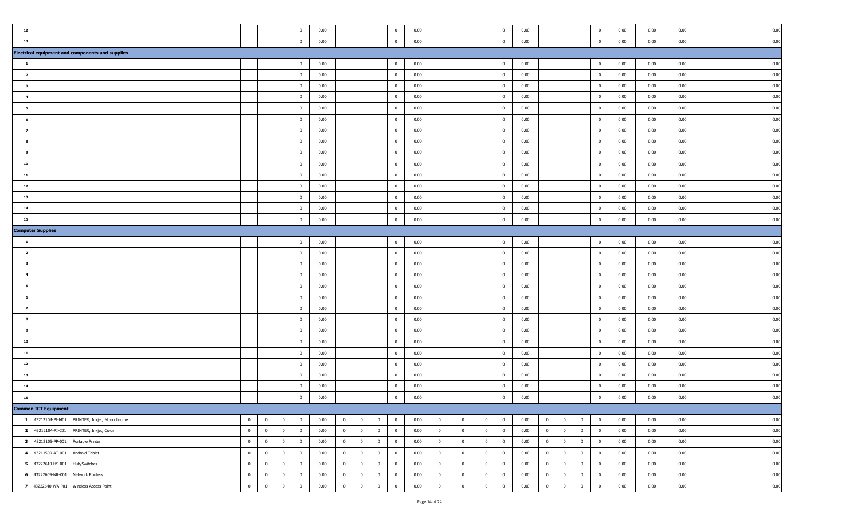|                |                             |                                                         |                |                |                         | $\mathbf 0$    | 0.00 |                |                |                | $\mathbf{0}$   | 0.00 |                |                |                | $\overline{0}$          | 0.00 |                |                |                | $^{\circ}$     | 0.00 | 0.00 | 0.00<br>0.00 |
|----------------|-----------------------------|---------------------------------------------------------|----------------|----------------|-------------------------|----------------|------|----------------|----------------|----------------|----------------|------|----------------|----------------|----------------|-------------------------|------|----------------|----------------|----------------|----------------|------|------|--------------|
| $\overline{1}$ |                             |                                                         |                |                |                         | $\bf{0}$       | 0.00 |                |                |                | $\overline{0}$ | 0.00 |                |                |                | $\overline{0}$          | 0.00 |                |                |                | $\overline{0}$ | 0.00 | 0.00 | 0.00<br>0.00 |
|                |                             | <b>Electrical equipment and components and supplies</b> |                |                |                         |                |      |                |                |                |                |      |                |                |                |                         |      |                |                |                |                |      |      |              |
|                |                             |                                                         |                |                |                         | $\bf{0}$       | 0.00 |                |                |                | $\overline{0}$ | 0.00 |                |                |                | $\bf{0}$                | 0.00 |                |                |                | $\overline{0}$ | 0.00 | 0.00 | 0.00<br>0.00 |
|                |                             |                                                         |                |                |                         | $\bf{0}$       | 0.00 |                |                |                | $\overline{0}$ | 0.00 |                |                |                | $\overline{0}$          | 0.00 |                |                |                | $\overline{0}$ | 0.00 | 0.00 | 0.00<br>0.00 |
|                |                             |                                                         |                |                |                         | $\bf{0}$       | 0.00 |                |                |                | $\bf{0}$       | 0.00 |                |                |                | $\overline{0}$          | 0.00 |                |                |                | $\mathbf{0}$   | 0.00 | 0.00 | 0.00<br>0.00 |
|                |                             |                                                         |                |                |                         | $\mathbf{0}$   | 0.00 |                |                |                | $\overline{0}$ | 0.00 |                |                |                | $\mathbf{0}$            | 0.00 |                |                |                | $^{\circ}$     | 0.00 | 0.00 | 0.00<br>0.00 |
|                |                             |                                                         |                |                |                         | $\mathbf{0}$   | 0.00 |                |                |                | $\overline{0}$ | 0.00 |                |                |                | $\mathbf{0}$            | 0.00 |                |                |                | $\mathbf{0}$   | 0.00 | 0.00 | 0.00<br>0.00 |
|                |                             |                                                         |                |                |                         | $\bf{0}$       | 0.00 |                |                |                | $\overline{0}$ | 0.00 |                |                |                | $\overline{0}$          | 0.00 |                |                |                | $\mathbf{0}$   | 0.00 | 0.00 | 0.00<br>0.00 |
|                |                             |                                                         |                |                |                         | $\overline{0}$ | 0.00 |                |                |                | $\overline{0}$ | 0.00 |                |                |                | $\overline{0}$          | 0.00 |                |                |                | $\overline{0}$ | 0.00 | 0.00 | 0.00<br>0.00 |
|                |                             |                                                         |                |                |                         | $\mathbf{0}$   | 0.00 |                |                |                | $\mathbf{0}$   | 0.00 |                |                |                | $\overline{0}$          | 0.00 |                |                |                | $\mathbf{0}$   | 0.00 | 0.00 | 0.00<br>0.00 |
|                |                             |                                                         |                |                |                         | $\bf{0}$       | 0.00 |                |                |                | $\bf{0}$       | 0.00 |                |                |                | $\mathbf{0}$            | 0.00 |                |                |                | $\mathbf{0}$   | 0.00 | 0.00 | 0.00<br>0.00 |
|                |                             |                                                         |                |                |                         | $\overline{0}$ | 0.00 |                |                |                | $\bf{0}$       | 0.00 |                |                |                | $\overline{0}$          | 0.00 |                |                |                | $\overline{0}$ | 0.00 | 0.00 | 0.00<br>0.00 |
|                |                             |                                                         |                |                |                         | $\bf{0}$       | 0.00 |                |                |                | $\bf{0}$       | 0.00 |                |                |                | $\overline{0}$          | 0.00 |                |                |                | $\mathbf{0}$   | 0.00 | 0.00 | 0.00<br>0.00 |
|                |                             |                                                         |                |                |                         | $\overline{0}$ | 0.00 |                |                |                | $\mathbf{0}$   | 0.00 |                |                |                | $\mathbf{0}$            | 0.00 |                |                |                | $^{\circ}$     | 0.00 | 0.00 | 0.00<br>0.00 |
| 13             |                             |                                                         |                |                |                         | $\overline{0}$ | 0.00 |                |                |                | $\overline{0}$ | 0.00 |                |                |                | $\overline{0}$          | 0.00 |                |                |                | $\overline{0}$ | 0.00 | 0.00 | 0.00<br>0.00 |
|                |                             |                                                         |                |                |                         | $\mathbf{0}$   | 0.00 |                |                |                | $\mathbf{0}$   | 0.00 |                |                |                | $\mathbf{0}$            | 0.00 |                |                |                | $\mathbf{0}$   | 0.00 | 0.00 | 0.00<br>0.00 |
|                |                             |                                                         |                |                |                         |                |      |                |                |                |                |      |                |                |                |                         |      |                |                |                |                |      |      |              |
|                |                             |                                                         |                |                |                         | $\mathbf{0}$   | 0.00 |                |                |                | $\mathbf{0}$   | 0.00 |                |                |                | $\mathbf 0$             | 0.00 |                |                |                | $^{\circ}$     | 0.00 | 0.00 | 0.00<br>0.00 |
|                | <b>Computer Supplies</b>    |                                                         |                |                |                         |                |      |                |                |                |                |      |                |                |                |                         |      |                |                |                |                |      |      |              |
|                |                             |                                                         |                |                |                         | $\bf{0}$       | 0.00 |                |                |                | $\bf{0}$       | 0.00 |                |                |                | $\overline{0}$          | 0.00 |                |                |                | $\overline{0}$ | 0.00 | 0.00 | 0.00<br>0.00 |
|                |                             |                                                         |                |                |                         | $\mathbf 0$    | 0.00 |                |                |                | $\mathbf{0}$   | 0.00 |                |                |                | $\overline{0}$          | 0.00 |                |                |                | $\mathbf 0$    | 0.00 | 0.00 | 0.00<br>0.00 |
|                |                             |                                                         |                |                |                         | $\mathbf 0$    | 0.00 |                |                |                | $\overline{0}$ | 0.00 |                |                |                | $\overline{0}$          | 0.00 |                |                |                | $\overline{0}$ | 0.00 | 0.00 | 0.00<br>0.00 |
|                |                             |                                                         |                |                |                         | $\mathbf 0$    | 0.00 |                |                |                | $\mathbf{0}$   | 0.00 |                |                |                | $\overline{0}$          | 0.00 |                |                |                | $\mathbf{0}$   | 0.00 | 0.00 | 0.00<br>0.00 |
|                |                             |                                                         |                |                |                         | $\mathbf 0$    | 0.00 |                |                |                | $\overline{0}$ | 0.00 |                |                |                | $\mathbf 0$             | 0.00 |                |                |                | $^{\circ}$     | 0.00 | 0.00 | 0.00<br>0.00 |
|                |                             |                                                         |                |                |                         | $\bf{0}$       | 0.00 |                |                |                | $\overline{0}$ | 0.00 |                |                |                | $\mathbf{0}$            | 0.00 |                |                |                | $\mathbf{0}$   | 0.00 | 0.00 | 0.00<br>0.00 |
|                |                             |                                                         |                |                |                         | $\overline{0}$ | 0.00 |                |                |                | $\overline{0}$ | 0.00 |                |                |                | $\overline{0}$          | 0.00 |                |                |                | $\overline{0}$ | 0.00 | 0.00 | 0.00<br>0.00 |
|                |                             |                                                         |                |                |                         | $\mathbf 0$    | 0.00 |                |                |                | $\overline{0}$ | 0.00 |                |                |                | $\overline{0}$          | 0.00 |                |                |                | $\mathbf{0}$   | 0.00 | 0.00 | 0.00<br>0.00 |
|                |                             |                                                         |                |                |                         | $\bf{0}$       | 0.00 |                |                |                | $\overline{0}$ | 0.00 |                |                |                | $\overline{0}$          | 0.00 |                |                |                | $\overline{0}$ | 0.00 | 0.00 | 0.00<br>0.00 |
|                |                             |                                                         |                |                |                         | $\mathbf{0}$   | 0.00 |                |                |                | $\bf{0}$       | 0.00 |                |                |                | $\mathbf{0}$            | 0.00 |                |                |                | $\Omega$       | 0.00 | 0.00 | 0.00<br>0.00 |
|                |                             |                                                         |                |                |                         | $\bf{0}$       | 0.00 |                |                |                | $\bf{0}$       | 0.00 |                |                |                | $\overline{0}$          | 0.00 |                |                |                | $\overline{0}$ | 0.00 | 0.00 | 0.00<br>0.00 |
|                |                             |                                                         |                |                |                         | $\bf{0}$       | 0.00 |                |                |                | $\overline{0}$ | 0.00 |                |                |                | $\mathbf{0}$            | 0.00 |                |                |                | $\mathbf{0}$   | 0.00 | 0.00 | 0.00<br>0.00 |
|                |                             |                                                         |                |                |                         | $\bf{0}$       | 0.00 |                |                |                | $\bf{0}$       | 0.00 |                |                |                | $\overline{0}$          | 0.00 |                |                |                | $\mathbf{0}$   | 0.00 | 0.00 | 0.00<br>0.00 |
|                |                             |                                                         |                |                |                         | $\mathbf{0}$   | 0.00 |                |                |                | $\overline{0}$ | 0.00 |                |                |                | $\overline{0}$          | 0.00 |                |                |                | $\mathbf{0}$   | 0.00 | 0.00 | 0.00<br>0.00 |
|                |                             |                                                         |                |                |                         | $\mathbf{0}$   | 0.00 |                |                |                | $\overline{0}$ | 0.00 |                |                |                | $\mathbf{0}$            | 0.00 |                |                |                | $\mathbf{0}$   | 0.00 | 0.00 | 0.00<br>0.00 |
|                | <b>Common ICT Equipment</b> |                                                         |                |                |                         |                |      |                |                |                |                |      |                |                |                |                         |      |                |                |                |                |      |      |              |
|                | 43212104-PI-M01             | PRINTER, Inkjet, Monochrome                             | $\mathbf{0}$   | $\overline{0}$ | $\overline{\mathbf{0}}$ | $\bf{0}$       | 0.00 | $\overline{0}$ | $\overline{0}$ | $\overline{0}$ | $\bf{0}$       | 0.00 | $\overline{0}$ | $\overline{0}$ | $\overline{0}$ | $\overline{\mathbf{0}}$ | 0.00 | $\overline{0}$ | $\mathbf 0$    | $\bf{0}$       | $\mathbf{0}$   | 0.00 | 0.00 | 0.00<br>0.00 |
|                | 43212104-PI-C01             | PRINTER, Inkjet, Color                                  | $\overline{0}$ | $\overline{0}$ | $\overline{\mathbf{0}}$ | $\overline{0}$ | 0.00 | $\bf{0}$       | $\overline{0}$ | $\overline{0}$ | $\bf{0}$       | 0.00 | $\mathbf{0}$   | $\mathbf{0}$   | $\overline{0}$ | $\bf{0}$                | 0.00 | $\overline{0}$ | $\overline{0}$ | $\overline{0}$ | $\mathbf{0}$   | 0.00 | 0.00 | 0.00<br>0.00 |
|                | 43212105-PP-001             | Portable Printer                                        | $\overline{0}$ | $\overline{0}$ | $\overline{\mathbf{0}}$ | $\overline{0}$ | 0.00 | $\bf{0}$       | $\overline{0}$ | $\mathbf{0}$   | $\bf{0}$       | 0.00 | $\mathbf{0}$   | $\overline{0}$ | $\overline{0}$ | $\overline{0}$          | 0.00 | $\overline{0}$ | $\mathbf 0$    | $\overline{0}$ | $\mathbf{0}$   | 0.00 | 0.00 | 0.00<br>0.00 |
|                | 43211509-AT-001             | Android Tablet                                          | $\mathbf{0}$   | $\bf{0}$       | $\overline{\mathbf{0}}$ | $\bf{0}$       | 0.00 | $\bf{0}$       | $\bf{0}$       | $\overline{0}$ | $\bf{0}$       | 0.00 | $\bf{0}$       | $\overline{0}$ | $\mathbf 0$    | $\bf{0}$                | 0.00 | $\bf{0}$       | $\mathbf 0$    | $\bf{0}$       | $\bf{0}$       | 0.00 | 0.00 | 0.00<br>0.00 |
|                | 43222610-HS-001             | Hub/Switches                                            | $\mathbf{0}$   | $\overline{0}$ | $\overline{0}$          | $\bf{0}$       | 0.00 | $\overline{0}$ | $\overline{0}$ | $\mathbf{0}$   | $\bf{0}$       | 0.00 | $\overline{0}$ | $\mathbf{0}$   | $\overline{0}$ | $\overline{0}$          | 0.00 | $\overline{0}$ | $\overline{0}$ | $\overline{0}$ | $\overline{0}$ | 0.00 | 0.00 | 0.00<br>0.00 |
|                | 43222609-NR-001             | Network Routers                                         | $\overline{0}$ | $\overline{0}$ | $\overline{\mathbf{0}}$ | $\bf{0}$       | 0.00 | $\overline{0}$ | $\overline{0}$ | $\bf{0}$       | $\bf{0}$       | 0.00 | $\overline{0}$ | $\mathbf{0}$   | $\bf{0}$       | $\bf{0}$                | 0.00 | $\bf{0}$       | $\overline{0}$ | $\overline{0}$ | $\overline{0}$ | 0.00 | 0.00 | 0.00<br>0.00 |
|                |                             | 43222640-WA-P01 Wireless Access Point                   | $\overline{0}$ | $\mathbf 0$    | $\mathbf 0$             | $\overline{0}$ | 0.00 | $\overline{0}$ | $\bf{0}$       | $\bf{0}$       | $\mathbf{0}$   | 0.00 | $\overline{0}$ | $\mathbf{0}$   | $\overline{0}$ | $\mathbf 0$             | 0.00 | $\overline{0}$ | $\mathbf 0$    | $\overline{0}$ | $\overline{0}$ | 0.00 | 0.00 | 0.00<br>0.00 |
|                |                             |                                                         |                |                |                         |                |      |                |                |                |                |      |                |                |                |                         |      |                |                |                |                |      |      |              |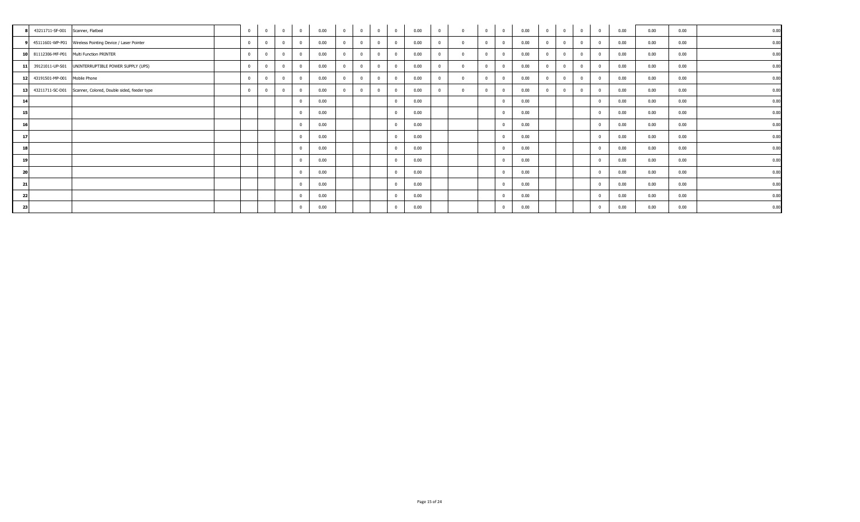| 43211711-SF-001 Scanner, Flatbed                               |  | $\mathbf{0}$   | $\overline{0}$ | 0.00 | $\mathbf{0}$   | $\overline{0}$ | $\mathbf{0}$ | $\overline{0}$ | 0.00 | $\overline{0}$ | $\overline{0}$ | $^{\circ}$ | $\overline{0}$          | 0.00 | $\mathbf{0}$ | $\Omega$ | $\mathbf{0}$   | $\overline{0}$ | 0.00 | 0.00 | 0.00 | 0.00 |
|----------------------------------------------------------------|--|----------------|----------------|------|----------------|----------------|--------------|----------------|------|----------------|----------------|------------|-------------------------|------|--------------|----------|----------------|----------------|------|------|------|------|
| 45111601-WP-P01 Wireless Pointing Device / Laser Pointer       |  | $\overline{0}$ | $\overline{0}$ | 0.00 | $\mathbf{0}$   | $\overline{0}$ | $\Omega$     | $\overline{0}$ | 0.00 | $\mathbf{0}$   | $\Omega$       | $\Omega$   | $\Omega$                | 0.00 | $\mathbf{0}$ | $\Omega$ | $\overline{0}$ | $\mathbf{0}$   | 0.00 | 0.00 | 0.00 | 0.00 |
| 10 81112306-MF-P01 Multi Function PRINTER                      |  | $\mathbf{0}$   | $\overline{0}$ | 0.00 | $\overline{0}$ | $^{\circ}$     |              | $\overline{0}$ | 0.00 | $\Omega$       | $\Omega$       |            | $\Omega$                | 0.00 |              |          | $\mathbf{0}$   | $\mathbf{0}$   | 0.00 | 0.00 | 0.00 | 0.00 |
| 11 39121011-UP-S01 UNINTERRUPTIBLE POWER SUPPLY (UPS)          |  | $\mathbf 0$    | $\overline{0}$ | 0.00 | $\mathbf{0}$   | $\Omega$       | $\Omega$     | $\overline{0}$ | 0.00 | $\mathbf{0}$   | $\Omega$       |            | $\Omega$                | 0.00 |              |          | $\Omega$       | $\mathbf{0}$   | 0.00 | 0.00 | 0.00 | 0.00 |
| 12 43191501-MP-001 Mobile Phone                                |  | $\mathbf{0}$   | $\overline{0}$ | 0.00 | $\mathbf{0}$   | $\mathbf{0}$   | $\Omega$     | $\overline{0}$ | 0.00 | $\mathbf{0}$   | $\Omega$       |            | $\Omega$                | 0.00 |              |          | $\mathbf{0}$   | $\mathbf{0}$   | 0.00 | 0.00 | 0.00 | 0.00 |
| 13 43211711-SC-D01 Scanner, Colored, Double sided, feeder type |  | $\mathbf{0}$   | $\overline{0}$ | 0.00 | $\mathbf{0}$   |                |              | $\mathbf{0}$   | 0.00 | $\Omega$       | $\Omega$       |            |                         | 0.00 |              |          | $\mathbf{0}$   | $\mathbf 0$    | 0.00 | 0.00 | 0.00 | 0.00 |
| 14                                                             |  |                |                | 0.00 |                |                |              | $\mathbf{0}$   | 0.00 |                |                |            | $\Omega$                | 0.00 |              |          |                | $^{\circ}$     | 0.00 | 0.00 | 0.00 | 0.00 |
| 15                                                             |  |                |                | 0.00 |                |                |              | $\mathbf{0}$   | 0.00 |                |                |            | $\Omega$                | 0.00 |              |          |                | $\mathbf 0$    | 0.00 | 0.00 | 0.00 | 0.00 |
| 16                                                             |  |                |                | 0.00 |                |                |              | $\mathbf{0}$   | 0.00 |                |                |            | $\Omega$                | 0.00 |              |          |                | $\mathbf{0}$   | 0.00 | 0.00 | 0.00 | 0.00 |
| 17                                                             |  |                |                | 0.00 |                |                |              | $\mathbf{0}$   | 0.00 |                |                |            |                         | 0.00 |              |          |                | $^{\circ}$     | 0.00 | 0.00 | 0.00 | 0.00 |
| 18                                                             |  |                |                | 0.00 |                |                |              | $\mathbf{0}$   | 0.00 |                |                |            | $\Omega$                | 0.00 |              |          |                | $^{\circ}$     | 0.00 | 0.00 | 0.00 | 0.00 |
| 19                                                             |  |                |                | 0.00 |                |                |              | $\mathbf{0}$   | 0.00 |                |                |            | $\Omega$                | 0.00 |              |          |                | $\overline{0}$ | 0.00 | 0.00 | 0.00 | 0.00 |
| 20                                                             |  |                |                | 0.00 |                |                |              | $\mathbf{0}$   | 0.00 |                |                |            | $\Omega$                | 0.00 |              |          |                | $^{\circ}$     | 0.00 | 0.00 | 0.00 | 0.00 |
| 21                                                             |  |                |                | 0.00 |                |                |              | $\mathbf{0}$   | 0.00 |                |                |            |                         | 0.00 |              |          |                | $\Omega$       | 0.00 | 0.00 | 0.00 | 0.00 |
| 22                                                             |  |                |                | 0.00 |                |                |              | $\mathbf{0}$   | 0.00 |                |                |            | $\overline{\mathbf{0}}$ | 0.00 |              |          |                | $\mathbf 0$    | 0.00 | 0.00 | 0.00 | 0.00 |
| 23                                                             |  |                |                | 0.00 |                |                |              | $\mathbf{0}$   | 0.00 |                |                |            | $\Omega$                | 0.00 |              |          |                | $\mathbf{0}$   | 0.00 | 0.00 | 0.00 | 0.00 |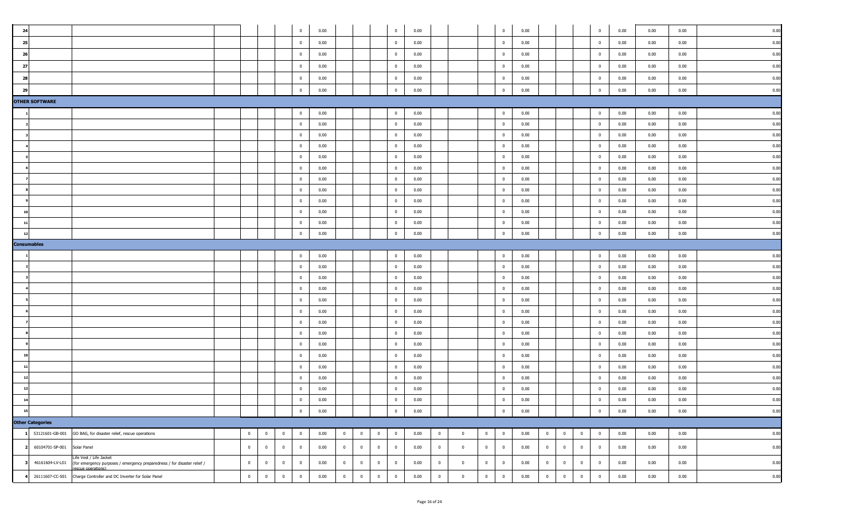| 24             |                         |                                                                                                                         |                |                |                | $\overline{0}$       | 0.00         |                         |                         |              | $\mathbf{0}$                     | 0.00         |                |                |                | $\overline{\mathbf{0}}$                            | 0.00         |                |                         |                | $\overline{0}$               | 0.00         | 0.00         | 0.00         | 0.00         |
|----------------|-------------------------|-------------------------------------------------------------------------------------------------------------------------|----------------|----------------|----------------|----------------------|--------------|-------------------------|-------------------------|--------------|----------------------------------|--------------|----------------|----------------|----------------|----------------------------------------------------|--------------|----------------|-------------------------|----------------|------------------------------|--------------|--------------|--------------|--------------|
| 25             |                         |                                                                                                                         |                |                |                | $\overline{0}$       | 0.00         |                         |                         |              | $\bf{0}$                         | 0.00         |                |                |                | $\overline{\mathbf{0}}$                            | 0.00         |                |                         |                | $\mathbf{0}$                 | 0.00         | 0.00         | 0.00         | 0.00         |
| 26             |                         |                                                                                                                         |                |                |                | $\bf{0}$             | 0.00         |                         |                         |              | $\overline{0}$                   | 0.00         |                |                |                | $\overline{\mathbf{0}}$                            | 0.00         |                |                         |                | $\overline{0}$               | 0.00         | 0.00         | 0.00         | 0.00         |
| 27             |                         |                                                                                                                         |                |                |                | $\overline{0}$       | 0.00         |                         |                         |              | $\mathbf{0}$                     | 0.00         |                |                |                | $\overline{\mathbf{0}}$                            | 0.00         |                |                         |                | $\overline{0}$               | 0.00         | 0.00         | 0.00         | 0.00         |
| 28             |                         |                                                                                                                         |                |                |                | $\overline{0}$       | 0.00         |                         |                         |              | $\overline{0}$                   | 0.00         |                |                |                | $\overline{\mathbf{0}}$                            | 0.00         |                |                         |                | $\mathbf{0}$                 | 0.00         | 0.00         | 0.00         | 0.00         |
| 29             |                         |                                                                                                                         |                |                |                | $\mathbf 0$          | 0.00         |                         |                         |              | $\mathbf{0}$                     | 0.00         |                |                |                | $\overline{0}$                                     | 0.00         |                |                         |                | $\overline{0}$               | 0.00         | 0.00         | 0.00         | 0.00         |
|                | <b>OTHER SOFTWARE</b>   |                                                                                                                         |                |                |                |                      |              |                         |                         |              |                                  |              |                |                |                |                                                    |              |                |                         |                |                              |              |              |              |              |
|                |                         |                                                                                                                         |                |                |                | $\overline{0}$       | 0.00         |                         |                         |              | $\overline{0}$                   | 0.00         |                |                |                | $\overline{\mathbf{0}}$                            | 0.00         |                |                         |                | $\overline{0}$               | 0.00         | 0.00         | 0.00         | 0.00         |
|                |                         |                                                                                                                         |                |                |                | $\overline{0}$       | 0.00         |                         |                         |              | $\overline{0}$                   | 0.00         |                |                |                | $\overline{\mathbf{0}}$                            | 0.00         |                |                         |                | $\overline{0}$               | 0.00         | 0.00         | 0.00         | 0.00         |
|                |                         |                                                                                                                         |                |                |                | $\bf{0}$             | 0.00         |                         |                         |              | $\overline{0}$                   | 0.00         |                |                |                | $\overline{\mathbf{0}}$                            | 0.00         |                |                         |                | $\overline{0}$               | 0.00         | 0.00         | 0.00         | 0.00         |
|                |                         |                                                                                                                         |                |                |                | $\overline{0}$       | 0.00         |                         |                         |              | $\overline{0}$                   | 0.00         |                |                |                | $\overline{0}$                                     | 0.00         |                |                         |                | $\overline{0}$               | 0.00         | 0.00         | 0.00         | 0.00         |
|                |                         |                                                                                                                         |                |                |                | $\overline{0}$       | 0.00         |                         |                         |              | $\overline{0}$                   | 0.00         |                |                |                | $\overline{\mathbf{0}}$                            | 0.00         |                |                         |                | $\overline{0}$               | 0.00         | 0.00         | 0.00         | 0.00         |
|                |                         |                                                                                                                         |                |                |                | $\bf{0}$             | 0.00         |                         |                         |              | $\overline{0}$                   | 0.00         |                |                |                | $\overline{\mathbf{0}}$                            | 0.00         |                |                         |                | $\overline{0}$               | 0.00         | 0.00         | 0.00         | 0.00         |
|                |                         |                                                                                                                         |                |                |                | $\bf{0}$             | 0.00         |                         |                         |              | $\overline{\mathbf{0}}$          | 0.00         |                |                |                | $\overline{\mathbf{0}}$                            | 0.00         |                |                         |                | $\overline{0}$               | 0.00         | 0.00         | 0.00         | 0.00         |
|                |                         |                                                                                                                         |                |                |                | $\bf{0}$             | 0.00         |                         |                         |              | $\overline{0}$                   | 0.00         |                |                |                | $\overline{\mathbf{0}}$                            | 0.00         |                |                         |                | $\overline{0}$               | 0.00         | 0.00         | 0.00         | 0.00         |
|                |                         |                                                                                                                         |                |                |                | $\overline{0}$       | 0.00         |                         |                         |              | $\overline{0}$                   | 0.00         |                |                |                | $\overline{\mathbf{0}}$                            | 0.00         |                |                         |                | $\overline{0}$               | 0.00         | 0.00         | 0.00         | 0.00         |
| 10             |                         |                                                                                                                         |                |                |                | $\bf{0}$             | 0.00         |                         |                         |              | $\overline{0}$                   | 0.00         |                |                |                | $\overline{\mathbf{0}}$                            | 0.00         |                |                         |                | $\overline{0}$               | 0.00         | 0.00         | 0.00         | 0.00         |
| 11             |                         |                                                                                                                         |                |                |                | $\overline{0}$       | 0.00         |                         |                         |              | $\overline{0}$                   | 0.00         |                |                |                | $\overline{\mathbf{0}}$                            | 0.00         |                |                         |                | $\overline{0}$               | 0.00         | 0.00         | 0.00         | 0.00         |
| $\overline{1}$ |                         |                                                                                                                         |                |                |                | $\overline{0}$       | 0.00         |                         |                         |              | $\overline{0}$                   | 0.00         |                |                |                | $\overline{\mathbf{0}}$                            | 0.00         |                |                         |                | $\overline{0}$               | 0.00         | 0.00         | 0.00         | 0.00         |
|                | <b>Consumables</b>      |                                                                                                                         |                |                |                |                      |              |                         |                         |              |                                  |              |                |                |                |                                                    |              |                |                         |                |                              |              |              |              |              |
|                |                         |                                                                                                                         |                |                |                | $\mathbf{0}$         | 0.00         |                         |                         |              | $\overline{0}$                   | 0.00         |                |                |                | $\overline{\mathbf{0}}$                            | 0.00         |                |                         |                | $\overline{0}$               | 0.00         | 0.00         | 0.00         | 0.00         |
|                |                         |                                                                                                                         |                |                |                | $\mathbf{0}$         | 0.00         |                         |                         |              | $\overline{0}$                   | 0.00         |                |                |                | $\overline{0}$                                     | 0.00         |                |                         |                | $\overline{0}$               | 0.00         | 0.00         | 0.00         | 0.00         |
|                |                         |                                                                                                                         |                |                |                | $\mathbf{0}$         | 0.00         |                         |                         |              | $\overline{0}$                   | 0.00         |                |                |                | $\overline{\mathbf{0}}$                            | 0.00         |                |                         |                | $\overline{0}$               | 0.00         | 0.00         | 0.00         | 0.00         |
|                |                         |                                                                                                                         |                |                |                | $\bf{0}$             | 0.00         |                         |                         |              | $\overline{0}$                   | 0.00         |                |                |                | $\overline{\mathbf{0}}$                            | 0.00         |                |                         |                | $\overline{0}$               | 0.00         | 0.00         | 0.00         | 0.00         |
|                |                         |                                                                                                                         |                |                |                | $\bf{0}$             | 0.00         |                         |                         |              | $\overline{0}$                   | 0.00         |                |                |                | $\overline{\mathbf{0}}$                            | 0.00         |                |                         |                | $\overline{0}$               | 0.00         | 0.00         | 0.00         | 0.00         |
|                |                         |                                                                                                                         |                |                |                | $\bf{0}$             | 0.00         |                         |                         |              | $\overline{0}$<br>$\overline{0}$ | 0.00         |                |                |                | $\overline{\mathbf{0}}$                            | 0.00         |                |                         |                | $\overline{0}$               | 0.00         | 0.00         | 0.00         | 0.00<br>0.00 |
|                |                         |                                                                                                                         |                |                |                | $\bf{0}$<br>$\bf{0}$ | 0.00<br>0.00 |                         |                         |              | $\overline{0}$                   | 0.00<br>0.00 |                |                |                | $\overline{\mathbf{0}}$<br>$\overline{\mathbf{0}}$ | 0.00<br>0.00 |                |                         |                | $\mathbf{0}$<br>$\mathbf{0}$ | 0.00<br>0.00 | 0.00<br>0.00 | 0.00<br>0.00 | 0.00         |
|                |                         |                                                                                                                         |                |                |                | $\overline{0}$       | 0.00         |                         |                         |              | $\overline{0}$                   | 0.00         |                |                |                | $\overline{\mathbf{0}}$                            | 0.00         |                |                         |                | $\overline{0}$               | 0.00         | 0.00         | 0.00         | 0.00         |
| 10             |                         |                                                                                                                         |                |                |                | $\bf{0}$             | 0.00         |                         |                         |              | $\overline{0}$                   | 0.00         |                |                |                | $\overline{\mathbf{0}}$                            | 0.00         |                |                         |                | $\overline{0}$               | 0.00         | 0.00         | 0.00         | 0.00         |
| 11             |                         |                                                                                                                         |                |                |                | $\bf{0}$             | 0.00         |                         |                         |              | $\overline{0}$                   | 0.00         |                |                |                | $\overline{\mathbf{0}}$                            | 0.00         |                |                         |                | $\overline{0}$               | 0.00         | 0.00         | 0.00         | 0.00         |
|                |                         |                                                                                                                         |                |                |                | $\bf{0}$             | 0.00         |                         |                         |              | $\overline{0}$                   | 0.00         |                |                |                | $\overline{\mathbf{0}}$                            | 0.00         |                |                         |                | $\overline{0}$               | 0.00         | 0.00         | 0.00         | 0.00         |
| 13             |                         |                                                                                                                         |                |                |                | $\bf{0}$             | 0.00         |                         |                         |              | $\overline{0}$                   | 0.00         |                |                |                | $\overline{\mathbf{0}}$                            | 0.00         |                |                         |                | $\overline{0}$               | 0.00         | 0.00         | 0.00         | 0.00         |
|                |                         |                                                                                                                         |                |                |                | $\overline{0}$       | 0.00         |                         |                         |              | $\overline{0}$                   | 0.00         |                |                |                | $\overline{0}$                                     | 0.00         |                |                         |                | $\mathbf{0}$                 | 0.00         | 0.00         | 0.00         | 0.00         |
| 15             |                         |                                                                                                                         |                |                |                | $\bf{0}$             | 0.00         |                         |                         |              | $\overline{0}$                   | 0.00         |                |                |                | $\,$ 0                                             | 0.00         |                |                         |                | $\overline{0}$               | 0.00         | 0.00         | 0.00         | 0.00         |
|                | <b>Other Categories</b> |                                                                                                                         |                |                |                |                      |              |                         |                         |              |                                  |              |                |                |                |                                                    |              |                |                         |                |                              |              |              |              |              |
|                | 53121601-GB-001         | GO BAG, for disaster relief, rescue operations                                                                          | $\overline{0}$ | $\overline{0}$ | $\overline{0}$ | $\bf{0}$             | 0.00         | $\overline{0}$          | $\overline{\mathbf{0}}$ | $\mathbf{0}$ | $\bf{0}$                         | 0.00         | $\overline{0}$ | $\overline{0}$ | $\overline{0}$ | $\overline{\mathbf{0}}$                            | 0.00         | $\overline{0}$ | $\overline{0}$          | $\overline{0}$ | $\overline{0}$               | 0.00         | 0.00         | 0.00         | 0.00         |
|                | 60104701-SP-001         | Solar Panel                                                                                                             | $\bf{0}$       | $\bf{0}$       | $\overline{0}$ | $\overline{0}$       | 0.00         | $\overline{\mathbf{0}}$ | $\bf{0}$                | $\bf{0}$     | $\mathbf{0}$                     | 0.00         | $\overline{0}$ | $\overline{0}$ | $\overline{0}$ | $\overline{\mathbf{0}}$                            | 0.00         | $\bf{0}$       | $\overline{\mathbf{0}}$ | $\overline{0}$ | $\overline{0}$               | 0.00         | 0.00         | 0.00         | 0.00         |
|                | 46161604-LV-L01         | Life Vest / Life Jacket<br>(for emergency purposes / emergency preparedness / for disaster relief /<br>scue operations) | $\bf{0}$       | $\bf{0}$       | $\overline{0}$ | $\overline{0}$       | 0.00         | $\bf{0}$                | $\overline{\mathbf{0}}$ | $\mathbf{0}$ | $\mathbf{0}$                     | 0.00         | $\overline{0}$ | $\bf{0}$       | $\mathbf{0}$   | $\overline{\mathbf{0}}$                            | 0.00         | $\bf{0}$       | $\overline{0}$          | $\overline{0}$ | $\overline{0}$               | 0.00         | 0.00         | 0.00         | 0.00         |
|                | 26111607-CC-S01         | Charge Controller and DC Inverter for Solar Panel                                                                       | $\mathbf 0$    | $\bf{0}$       | $\overline{0}$ | $\mathbf 0$          | 0.00         | $\bf{0}$                | $\mathbf 0$             | $\mathbf{0}$ | $\overline{0}$                   | 0.00         | $\mathbf 0$    | $\overline{0}$ | $\overline{0}$ | $\overline{\mathbf{0}}$                            | 0.00         | $\mathbf 0$    | $\mathbf 0$             | $\overline{0}$ | $\overline{0}$               | 0.00         | 0.00         | 0.00         | 0.00         |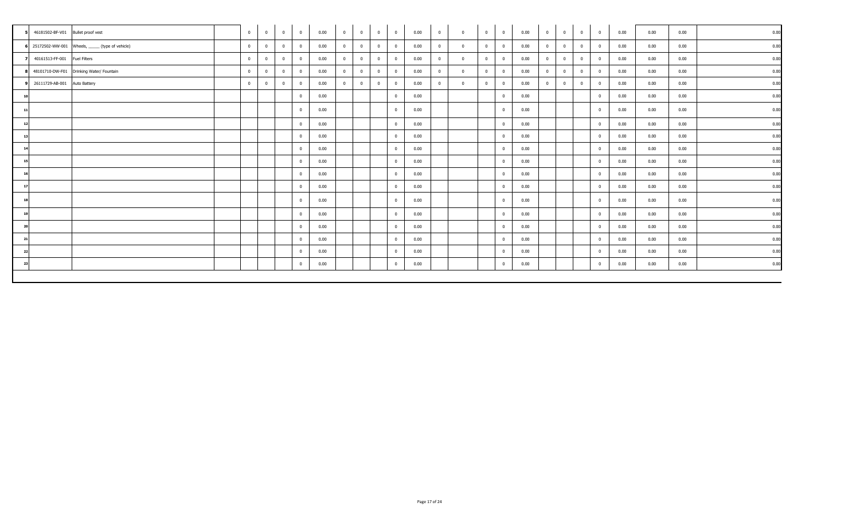|           | 46181502-BF-V01 Bullet proof vest |                                                    | $\mathbf{0}$   | $\overline{0}$ | $\bf{0}$       | $\mathbf{0}$   | 0.00 | $\overline{0}$ | $\overline{\mathbf{0}}$ | $\overline{\phantom{0}}$ 0 | $\overline{0}$ | 0.00 | $\overline{0}$ | $\mathbf{0}$ | $\mathbf{0}$   | $\overline{0}$          | 0.00 | $\overline{0}$ | $\bf{0}$       | $\overline{\mathbf{0}}$ | $\overline{0}$ | 0.00 | 0.00 | 0.00 | 0.00 |
|-----------|-----------------------------------|----------------------------------------------------|----------------|----------------|----------------|----------------|------|----------------|-------------------------|----------------------------|----------------|------|----------------|--------------|----------------|-------------------------|------|----------------|----------------|-------------------------|----------------|------|------|------|------|
|           |                                   | 6 25172502-WW-001 Wheels, ______ (type of vehicle) | $\overline{0}$ | $\mathbf{0}$   | $\overline{0}$ | $\mathbf{0}$   | 0.00 | $\overline{0}$ | $\overline{0}$          | $\overline{0}$             | $\mathbf{0}$   | 0.00 | $\mathbf{0}$   | $\Omega$     | $\overline{0}$ | $\overline{0}$          | 0.00 | $\overline{0}$ | $\mathbf{0}$   | $\overline{0}$          | $\overline{0}$ | 0.00 | 0.00 | 0.00 | 0.00 |
|           | 40161513-FF-001 Fuel Filters      |                                                    | $\mathbf{0}$   | $\overline{0}$ | $\mathbf 0$    | $\mathbf{0}$   | 0.00 | $\overline{0}$ | $\overline{0}$          | $\overline{0}$             | $\mathbf{0}$   | 0.00 | $\mathbf{0}$   |              | $\overline{0}$ | $\overline{\mathbf{0}}$ | 0.00 | $\overline{0}$ | $\mathbf{0}$   | $\overline{0}$          | $\overline{0}$ | 0.00 | 0.00 | 0.00 | 0.00 |
|           |                                   | 48101710-DW-F01 Drinking Water/ Fountain           | $\overline{0}$ | $\overline{0}$ | $\mathbf{0}$   | $\overline{0}$ | 0.00 | $\mathbf{0}$   | $\overline{0}$          | $\overline{0}$             | $\overline{0}$ | 0.00 | $\mathbf{0}$   | $^{\circ}$   | $\overline{0}$ | $\overline{\mathbf{0}}$ | 0.00 | $\overline{0}$ | $\overline{0}$ | $\overline{0}$          | $\mathbf{0}$   | 0.00 | 0.00 | 0.00 | 0.00 |
|           | 26111729-AB-001 Auto Battery      |                                                    | $\overline{0}$ | $\overline{0}$ | $\Omega$       | $\overline{0}$ | 0.00 | $\overline{0}$ | $\overline{0}$          | $\overline{0}$             | $\overline{0}$ | 0.00 | $\mathbf{0}$   |              | $\overline{0}$ | $\overline{\mathbf{0}}$ | 0.00 | $\mathbf{0}$   | $\overline{0}$ | $\mathbf{0}$            | $\overline{0}$ | 0.00 | 0.00 | 0.00 | 0.00 |
|           |                                   |                                                    |                |                |                | $\mathbf{0}$   | 0.00 |                |                         |                            | $\overline{0}$ | 0.00 |                |              |                | $\overline{0}$          | 0.00 |                |                |                         | $\mathbf{0}$   | 0.00 | 0.00 | 0.00 | 0.00 |
| 11        |                                   |                                                    |                |                |                | $\bf{0}$       | 0.00 |                |                         |                            | $\overline{0}$ | 0.00 |                |              |                | $\overline{0}$          | 0.00 |                |                |                         | $\mathbf{0}$   | 0.00 | 0.00 | 0.00 | 0.00 |
| 12        |                                   |                                                    |                |                |                | $\bf{0}$       | 0.00 |                |                         |                            | $\mathbf{0}$   | 0.00 |                |              |                | $\overline{\mathbf{0}}$ | 0.00 |                |                |                         | $\mathbf{0}$   | 0.00 | 0.00 | 0.00 | 0.00 |
| -13       |                                   |                                                    |                |                |                | $\overline{0}$ | 0.00 |                |                         |                            | $\overline{0}$ | 0.00 |                |              |                | $\overline{0}$          | 0.00 |                |                |                         | $\mathbf{0}$   | 0.00 | 0.00 | 0.00 | 0.00 |
| 14        |                                   |                                                    |                |                |                | $\mathbf{0}$   | 0.00 |                |                         |                            | $\bf{0}$       | 0.00 |                |              |                | $\overline{\mathbf{0}}$ | 0.00 |                |                |                         | $\mathbf{0}$   | 0.00 | 0.00 | 0.00 | 0.00 |
| <b>15</b> |                                   |                                                    |                |                |                | $\overline{0}$ | 0.00 |                |                         |                            | $\mathbf{0}$   | 0.00 |                |              |                | $\overline{0}$          | 0.00 |                |                |                         | $\mathbf{0}$   | 0.00 | 0.00 | 0.00 | 0.00 |
| 16        |                                   |                                                    |                |                |                | $\overline{0}$ | 0.00 |                |                         |                            | $\bf{0}$       | 0.00 |                |              |                | $\overline{\mathbf{0}}$ | 0.00 |                |                |                         | $\mathbf{0}$   | 0.00 | 0.00 | 0.00 | 0.00 |
| 17        |                                   |                                                    |                |                |                | $\bf{0}$       | 0.00 |                |                         |                            | $\mathbf{0}$   | 0.00 |                |              |                | $\overline{\mathbf{0}}$ | 0.00 |                |                |                         | $\mathbf{0}$   | 0.00 | 0.00 | 0.00 | 0.00 |
| 18        |                                   |                                                    |                |                |                | $\mathbf{0}$   | 0.00 |                |                         |                            | $\mathbf{0}$   | 0.00 |                |              |                | $\overline{0}$          | 0.00 |                |                |                         | $\mathbf{0}$   | 0.00 | 0.00 | 0.00 | 0.00 |
| 19        |                                   |                                                    |                |                |                | $\overline{0}$ | 0.00 |                |                         |                            | $\bf{0}$       | 0.00 |                |              |                | $\overline{\mathbf{0}}$ | 0.00 |                |                |                         | $\mathbf{0}$   | 0.00 | 0.00 | 0.00 | 0.00 |
| 20        |                                   |                                                    |                |                |                | $\overline{0}$ | 0.00 |                |                         |                            | $\Omega$       | 0.00 |                |              |                | $\overline{\mathbf{0}}$ | 0.00 |                |                |                         | $\mathbf{0}$   | 0.00 | 0.00 | 0.00 | 0.00 |
| 21        |                                   |                                                    |                |                |                | $\mathbf{0}$   | 0.00 |                |                         |                            | $\mathbf{0}$   | 0.00 |                |              |                | $\overline{0}$          | 0.00 |                |                |                         | $\overline{0}$ | 0.00 | 0.00 | 0.00 | 0.00 |
| 22        |                                   |                                                    |                |                |                | $\overline{0}$ | 0.00 |                |                         |                            | $\overline{0}$ | 0.00 |                |              |                | $\overline{\mathbf{0}}$ | 0.00 |                |                |                         | $\mathbf{0}$   | 0.00 | 0.00 | 0.00 | 0.00 |
| -23       |                                   |                                                    |                |                |                | $\mathbf{0}$   | 0.00 |                |                         |                            | $\bf{0}$       | 0.00 |                |              |                | $\overline{0}$          | 0.00 |                |                |                         | $\overline{0}$ | 0.00 | 0.00 | 0.00 | 0.00 |
|           |                                   |                                                    |                |                |                |                |      |                |                         |                            |                |      |                |              |                |                         |      |                |                |                         |                |      |      |      |      |